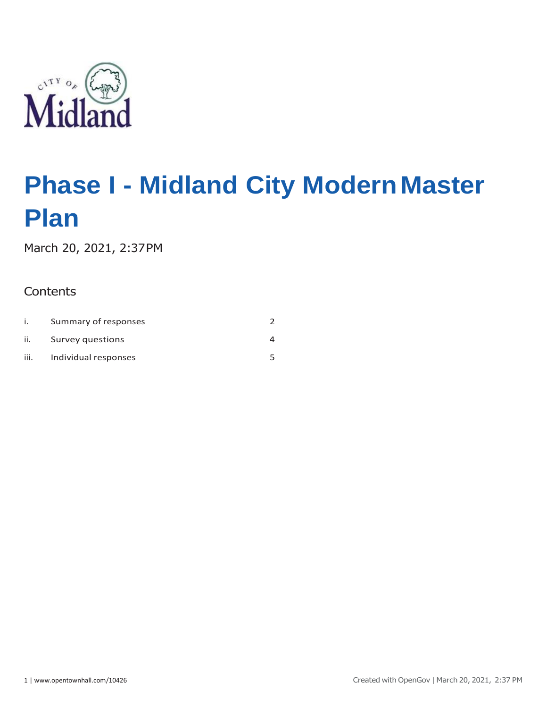

March 20, 2021, 2:37PM

# **Contents**

|      | Summary of responses |  |
|------|----------------------|--|
| ii.  | Survey questions     |  |
| iii. | Individual responses |  |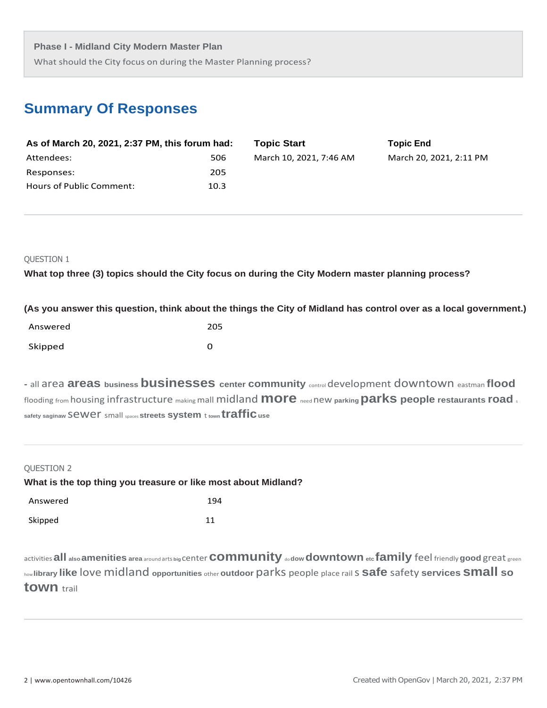What should the City focus on during the Master Planning process?

# **Summary Of Responses**

| As of March 20, 2021, 2:37 PM, this forum had: |      | <b>Topic Start</b>      | <b>Topic End</b>        |
|------------------------------------------------|------|-------------------------|-------------------------|
| Attendees:                                     | 506  | March 10, 2021, 7:46 AM | March 20, 2021, 2:11 PM |
| Responses:                                     | 205  |                         |                         |
| Hours of Public Comment:                       | 10.3 |                         |                         |

# QUESTION 1

**What top three (3) topics should the City focus on during the City Modern master planning process?**

|  | (As you answer this question, think about the things the City of Midland has control over as a local government.) |  |  |  |  |
|--|-------------------------------------------------------------------------------------------------------------------|--|--|--|--|
|  |                                                                                                                   |  |  |  |  |

| Answered | 205 |
|----------|-----|
| Skipped  | O   |

**-** all area **areas business businesses center community** control development downtown eastman **flood**  flooding from housing infrastructure makingmall midland **more** need new **parking parks people restaurants road** <sup>s</sup> **safety saginaw** sewer small spaces **streets system** t **town traffic use**

| QUESTION 2 |                                                                |  |
|------------|----------------------------------------------------------------|--|
|            | What is the top thing you treasure or like most about Midland? |  |
| Answered   | 194                                                            |  |
| Skipped    | 11                                                             |  |
|            |                                                                |  |

activities**all also amenities area** around arts **big** center**community** do**dow downtown etc family** feel friendly**good** great green how **library like** love midland **opportunities** other **outdoor** parks people place rails **safe** safety **services small so town** trail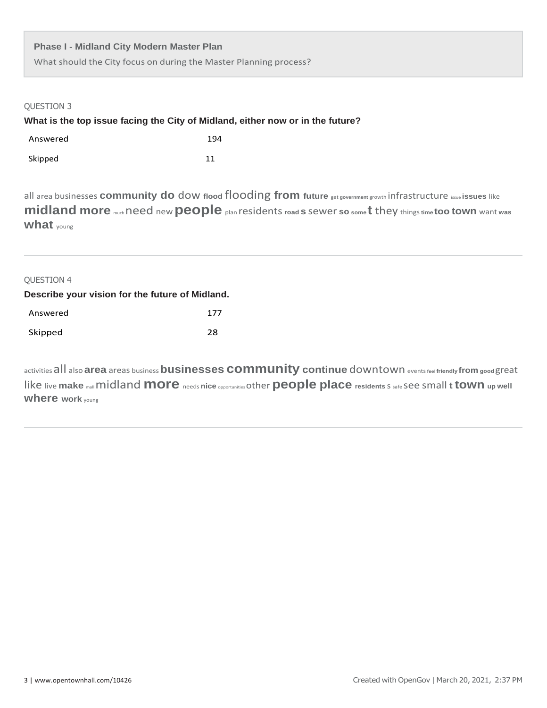What should the City focus on during the Master Planning process?

| <b>QUESTION 3</b><br>What is the top issue facing the City of Midland, either now or in the future?                                                                                                                                                      |     |  |  |  |  |
|----------------------------------------------------------------------------------------------------------------------------------------------------------------------------------------------------------------------------------------------------------|-----|--|--|--|--|
| Answered                                                                                                                                                                                                                                                 | 194 |  |  |  |  |
| Skipped                                                                                                                                                                                                                                                  | 11  |  |  |  |  |
| all area businesses community do dow flood flooding from future get government growth infrastructure issue issues like<br>midland more much need new people plan residents road s sewer so somet they things time too town want was<br><b>what</b> young |     |  |  |  |  |
| <b>QUESTION 4</b>                                                                                                                                                                                                                                        |     |  |  |  |  |
| Describe your vision for the future of Midland.                                                                                                                                                                                                          |     |  |  |  |  |
| Answered                                                                                                                                                                                                                                                 | 177 |  |  |  |  |
| Skipped                                                                                                                                                                                                                                                  | 28  |  |  |  |  |
|                                                                                                                                                                                                                                                          |     |  |  |  |  |

activitiesall also**area** areas business**businesses community continue** downtown events**feelfriendly from good** great like live make mall midland more needs nice opportunities other people place residents S safe See Small t town up well **where work** young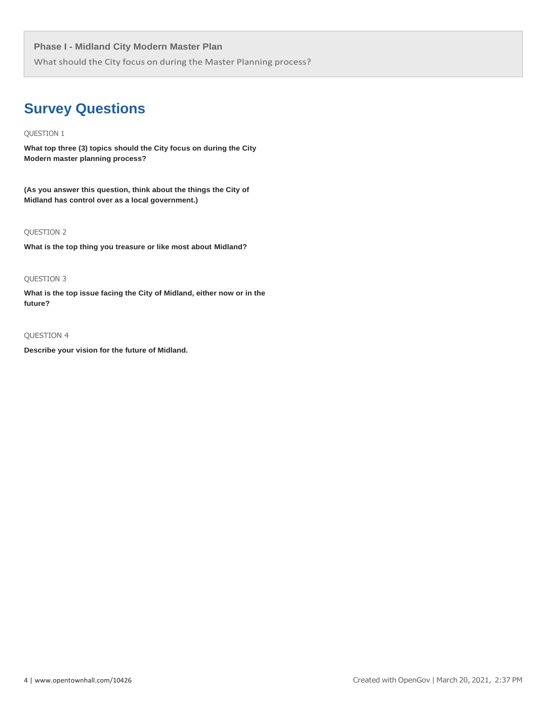What should the City focus on during the Master Planning process?

# **Survey Questions**

# QUESTION 1

**What top three (3) topics should the City focus on during the City Modern master planning process?**

**(As you answer this question, think about the things the City of Midland has control over as a local government.)**

# QUESTION 2

**What is the top thing you treasure or like most about Midland?**

# QUESTION 3

**What is the top issue facing the City of Midland, either now or in the future?**

# QUESTION 4

**Describe your vision for the future of Midland.**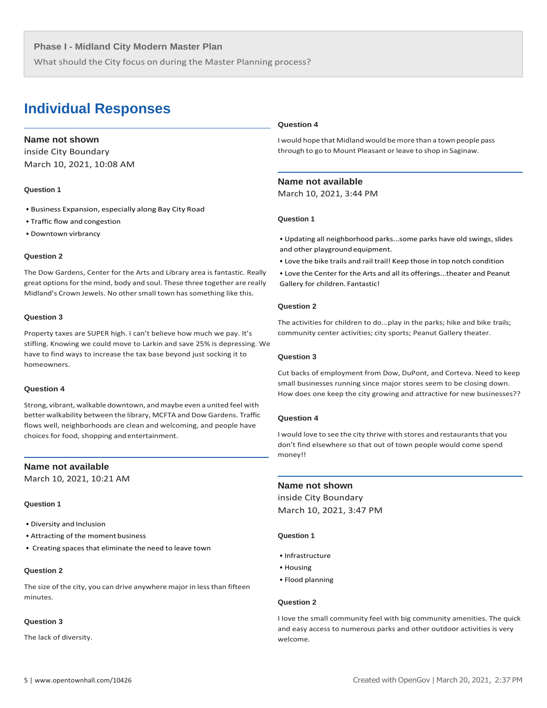What should the City focus on during the Master Planning process?

# **Individual Responses**

# **Name not shown**

inside City Boundary March 10, 2021, 10:08 AM

#### **Question 1**

- Business Expansion, especially along Bay City Road
- Traffic flow and congestion
- Downtown virbrancy

# **Question 2**

The Dow Gardens, Center for the Arts and Library area is fantastic. Really great options for the mind, body and soul. These three together are really Midland's Crown Jewels. No other small town has something like this.

#### **Question 3**

Property taxes are SUPER high. I can't believe how much we pay. It's stifling. Knowing we could move to Larkin and save 25% is depressing. We have to find ways to increase the tax base beyond just socking it to homeowners.

#### **Question 4**

Strong, vibrant, walkable downtown, andmaybe even a united feel with better walkability between the library, MCFTA and Dow Gardens. Traffic flows well, neighborhoods are clean and welcoming, and people have choices for food, shopping andentertainment.

# **Name not available**

March 10, 2021, 10:21 AM

#### **Question 1**

- Diversity and Inclusion
- Attracting of the moment business
- Creating spaces that eliminate the need to leave town

## **Question 2**

The size of the city, you can drive anywhere major in less than fifteen minutes.

#### **Question 3**

The lack of diversity.

# **Question 4**

Iwould hope that Midland would bemore than a town people pass through to go to Mount Pleasant or leave to shop in Saginaw.

# **Name not available**

March 10, 2021, 3:44 PM

# **Question 1**

• Updating all neighborhood parks...some parks have old swings, slides and other playground equipment.

• Love the bike trails and rail trail! Keep those in top notch condition

• Love the Center for the Arts and all its offerings...theater and Peanut Gallery for children. Fantastic!

#### **Question 2**

The activities for children to do...play in the parks; hike and bike trails; community center activities; city sports; Peanut Gallery theater.

#### **Question 3**

Cut backs of employment from Dow, DuPont, and Corteva. Need to keep small businesses running since major stores seem to be closing down. How does one keep the city growing and attractive for new businesses??

# **Question 4**

I would love to see the city thrive with stores and restaurants that you don't find elsewhere so that out of town people would come spend money!!

# **Name not shown**

inside City Boundary March 10, 2021, 3:47 PM

#### **Question 1**

- Infrastructure
- Housing
- Flood planning

#### **Question 2**

I love the small community feel with big community amenities. The quick and easy access to numerous parks and other outdoor activities is very welcome.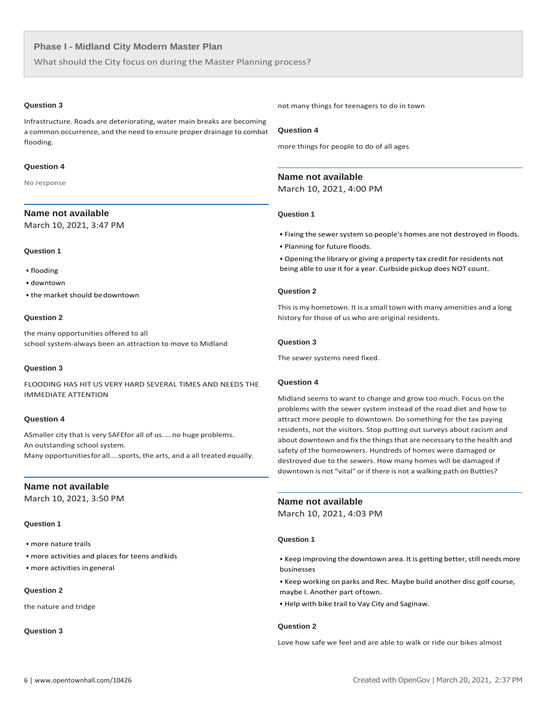What should the City focus on during the Master Planning process?

# **Question 3**

Infrastructure. Roads are deteriorating, water main breaks are becoming a common occurrence, and the need to ensure proper drainage to combat flooding.

# **Question 4**

No response

# **Name not available**

March 10, 2021, 3:47 PM

# **Question 1**

- flooding
- downtown
- the market should bedowntown

#### **Question 2**

the many opportunities offered to all school system-always been an attraction to move to Midland

#### **Question 3**

FLOODING HAS HIT US VERY HARD SEVERAL TIMES AND NEEDS THE IMMEDIATE ATTENTION

#### **Question 4**

ASmaller city that is very SAFEfor all of us....no huge problems. An outstanding school system. Many opportunitiesfor all....sports, the arts, and a all treated equally.

# **Name not available**

March 10, 2021, 3:50 PM

# **Question 1**

- more nature trails
- more activities and places for teens andkids
- more activities in general

# **Question 2**

the nature and tridge

# **Question 3**

not many things for teenagers to do in town

# **Question 4**

more things for people to do of all ages

# **Name not available**

March 10, 2021, 4:00 PM

#### **Question 1**

- Fixing the sewer system so people's homes are not destroyed in floods.
- Planning for future floods.

• Opening the library or giving a property tax credit for residents not being able to use it for a year. Curbside pickup does NOT count.

# **Question 2**

This is my hometown. It is a small town with many amenities and a long history for those of us who are original residents.

#### **Question 3**

The sewer systems need fixed.

# **Question 4**

Midland seems to want to change and grow too much. Focus on the problems with the sewer system instead of the road diet and how to attract more people to downtown. Do something for the tax paying residents, not the visitors. Stop putting out surveys about racism and about downtown and fix the things that are necessary to the health and safety of the homeowners. Hundreds of homes were damaged or destroyed due to the sewers. How many homes will be damaged if downtown is not "vital" or if there is not a walking path on Buttles?

# **Name not available**

March 10, 2021, 4:03 PM

#### **Question 1**

• Keep improving the downtown area. It is getting better, still needs more businesses

• Keep working on parks and Rec. Maybe build another disc golf course, maybe I. Another part oftown.

• Help with bike trail to Vay City and Saginaw.

# **Question 2**

Love how safe we feel and are able to walk or ride our bikes almost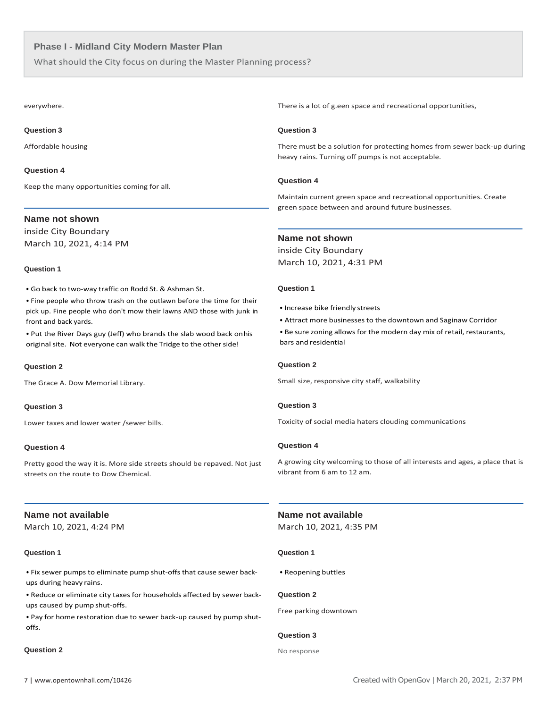What should the City focus on during the Master Planning process?

everywhere.

#### **Question 3**

Affordable housing

#### **Question 4**

Keep the many opportunities coming for all.

# **Name not shown**

inside City Boundary March 10, 2021, 4:14 PM

#### **Question 1**

• Go back to two-way traffic on Rodd St. & Ashman St.

• Fine people who throw trash on the outlawn before the time for their pick up. Fine people who don't mow their lawns AND those with junk in front and back yards.

• Put the River Days guy (Jeff) who brands the slab wood back onhis original site. Not everyone can walk the Tridge to the other side!

# **Question 2**

The Grace A. Dow Memorial Library.

# **Question 3**

Lower taxes and lower water /sewer bills.

#### **Question 4**

Pretty good the way it is. More side streets should be repaved. Not just streets on the route to Dow Chemical.

# **Name not available**

March 10, 2021, 4:24 PM

# **Question 1**

• Fix sewer pumps to eliminate pump shut-offs that cause sewer backups during heavy rains.

• Reduce or eliminate city taxes for households affected by sewer backups caused by pump shut-offs.

• Pay for home restoration due to sewer back-up caused by pump shutoffs.

# **Question 2**

There is a lot of g.een space and recreational opportunities,

# **Question 3**

There must be a solution for protecting homes from sewer back-up during heavy rains. Turning off pumps is not acceptable.

# **Question 4**

Maintain current green space and recreational opportunities. Create green space between and around future businesses.

# **Name not shown**

inside City Boundary March 10, 2021, 4:31 PM

#### **Question 1**

- Increase bike friendly streets
- Attract more businesses to the downtown and Saginaw Corridor
- Be sure zoning allows for the modern day mix of retail, restaurants, bars and residential

# **Question 2**

Small size, responsive city staff, walkability

# **Question 3**

Toxicity of social media haters clouding communications

# **Question 4**

A growing city welcoming to those of all interests and ages, a place that is vibrant from 6 am to 12 am.

# **Name not available**

March 10, 2021, 4:35 PM

# **Question 1**

• Reopening buttles

# **Question 2**

Free parking downtown

# **Question 3**

No response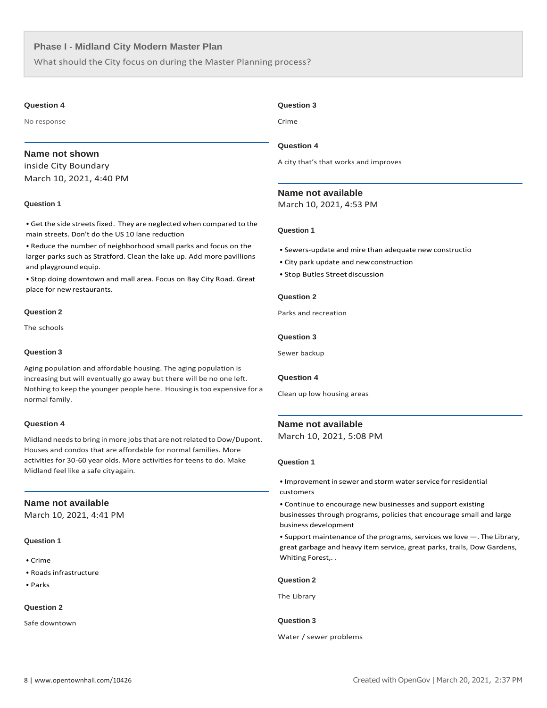What should the City focus on during the Master Planning process?

#### **Question 4**

No response

# **Name not shown**

inside City Boundary March 10, 2021, 4:40 PM

# **Question 1**

• Get the side streets fixed. They are neglected when compared to the main streets. Don't do the US 10 lane reduction

• Reduce the number of neighborhood small parks and focus on the larger parks such as Stratford. Clean the lake up. Add more pavillions and playground equip.

• Stop doing downtown and mall area. Focus on Bay City Road. Great place for new restaurants.

# **Question 2**

The schools

#### **Question 3**

Aging population and affordable housing. The aging population is increasing but will eventually go away but there will be no one left. Nothing to keep the younger people here. Housing istoo expensive for a normal family.

# **Question 4**

Midland needs to bring in more jobs that are not related to Dow/Dupont. Houses and condos that are affordable for normal families. More activities for 30-60 year olds. More activities for teens to do. Make Midland feel like a safe cityagain.

# **Name not available**

March 10, 2021, 4:41 PM

# **Question 1**

- Crime
- Roads infrastructure
- Parks

# **Question 2**

Safe downtown

# **Question 3**

Crime

#### **Question 4**

A city that's that works and improves

# **Name not available**

March 10, 2021, 4:53 PM

#### **Question 1**

- Sewers-update and mire than adequate new constructio
- City park update and newconstruction
- Stop Butles Street discussion

#### **Question 2**

Parks and recreation

#### **Question 3**

Sewer backup

# **Question 4**

Clean up low housing areas

#### **Name not available**

March 10, 2021, 5:08 PM

#### **Question 1**

• Improvement in sewer and storm water service for residential customers

• Continue to encourage new businesses and support existing businesses through programs, policies that encourage small and large business development

• Support maintenance of the programs, services we love - The Library, great garbage and heavy item service, great parks, trails, Dow Gardens, Whiting Forest,. .

#### **Question 2**

The Library

#### **Question 3**

Water / sewer problems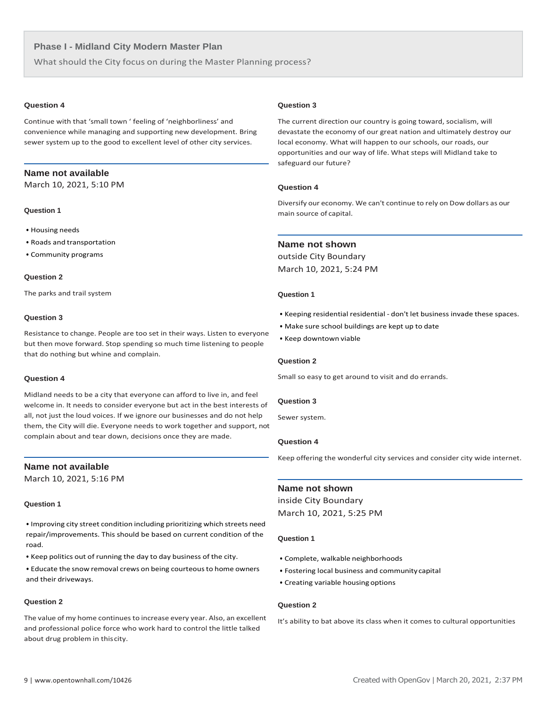What should the City focus on during the Master Planning process?

# **Question 4**

Continue with that 'small town ' feeling of 'neighborliness' and convenience while managing and supporting new development. Bring sewer system up to the good to excellent level of other city services.

# **Name not available**

March 10, 2021, 5:10 PM

# **Question 1**

- Housing needs
- Roads and transportation
- Community programs

#### **Question 2**

The parks and trail system

#### **Question 3**

Resistance to change. People are too set in their ways. Listen to everyone but then move forward. Stop spending so much time listening to people that do nothing but whine and complain.

# **Question 4**

Midland needs to be a city that everyone can afford to live in, and feel welcome in. It needs to consider everyone but act in the best interests of all, not just the loud voices. If we ignore our businesses and do not help them, the City will die. Everyone needs to work together and support, not complain about and tear down, decisions once they are made.

#### **Name not available**

March 10, 2021, 5:16 PM

# **Question 1**

• Improving city street condition including prioritizing which streets need repair/improvements. This should be based on current condition of the road.

• Keep politics out of running the day to day business of the city.

• Educate the snow removal crews on being courteous to home owners and their driveways.

# **Question 2**

The value of my home continues to increase every year. Also, an excellent and professional police force who work hard to control the little talked about drug problem in thiscity.

#### **Question 3**

The current direction our country is going toward, socialism, will devastate the economy of our great nation and ultimately destroy our local economy. What will happen to our schools, our roads, our opportunities and our way of life. What steps will Midland take to safeguard our future?

# **Question 4**

Diversify our economy. We can't continue to rely on Dow dollars as our main source of capital.

#### **Name not shown**

outside City Boundary March 10, 2021, 5:24 PM

#### **Question 1**

- Keeping residential residential don't let business invade these spaces.
- Make sure school buildings are kept up to date
- Keep downtown viable

## **Question 2**

Small so easy to get around to visit and do errands.

## **Question 3**

Sewer system.

# **Question 4**

Keep offering the wonderful city services and consider city wide internet.

#### **Name not shown**

inside City Boundary March 10, 2021, 5:25 PM

#### **Question 1**

- Complete, walkable neighborhoods
- Fostering local business and community capital
- Creating variable housing options

# **Question 2**

It's ability to bat above its class when it comes to cultural opportunities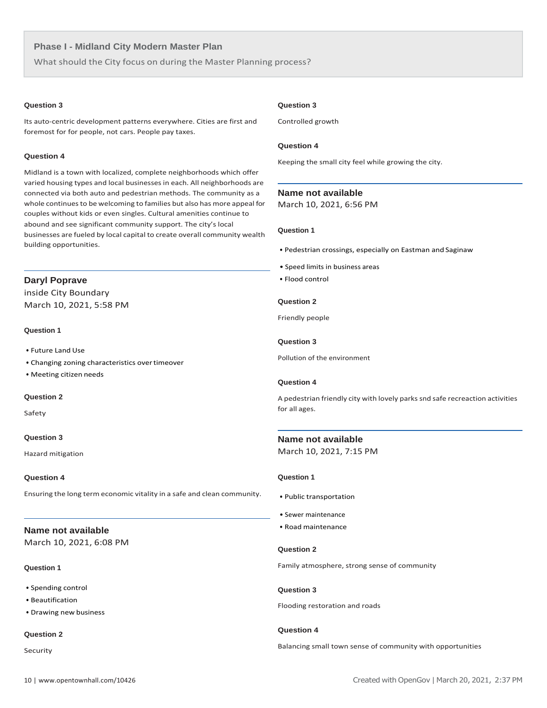What should the City focus on during the Master Planning process?

# **Question 3**

Its auto-centric development patterns everywhere. Cities are first and foremost for for people, not cars. People pay taxes.

# **Question 4**

Midland is a town with localized, complete neighborhoods which offer varied housing types and local businesses in each. All neighborhoods are connected via both auto and pedestrian methods. The community as a whole continues to be welcoming to families but also has more appeal for couples without kids or even singles. Cultural amenities continue to abound and see significant community support. The city's local businesses are fueled by local capital to create overall community wealth building opportunities.

# **Daryl Poprave**

inside City Boundary March 10, 2021, 5:58 PM

# **Question 1**

- Future Land Use
- Changing zoning characteristics overtimeover
- Meeting citizen needs

# **Question 2**

Safety

# **Question 3**

Hazard mitigation

# **Question 4**

Ensuring the long term economic vitality in a safe and clean community.

# **Name not available**

March 10, 2021, 6:08 PM

#### **Question 1**

- Spending control
- Beautification
- Drawing new business

# **Question 2**

Security

# **Question 3**

Controlled growth

#### **Question 4**

Keeping the small city feel while growing the city.

#### **Name not available**

March 10, 2021, 6:56 PM

# **Question 1**

- Pedestrian crossings, especially on Eastman and Saginaw
- Speed limits in business areas
- Flood control

#### **Question 2**

Friendly people

#### **Question 3**

Pollution of the environment

# **Question 4**

A pedestrian friendly city with lovely parks snd safe recreaction activities for all ages.

# **Name not available**

March 10, 2021, 7:15 PM

# **Question 1**

- Public transportation
- Sewer maintenance
- Road maintenance

#### **Question 2**

Family atmosphere, strong sense of community

# **Question 3**

Flooding restoration and roads

# **Question 4**

Balancing small town sense of community with opportunities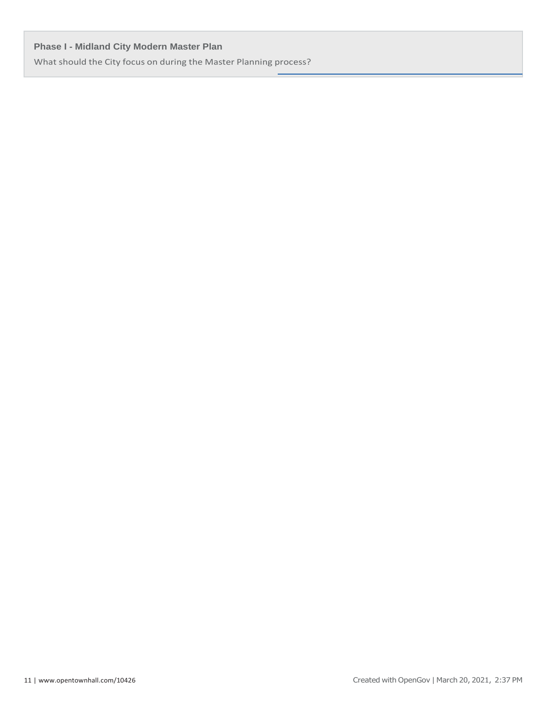What should the City focus on during the Master Planning process?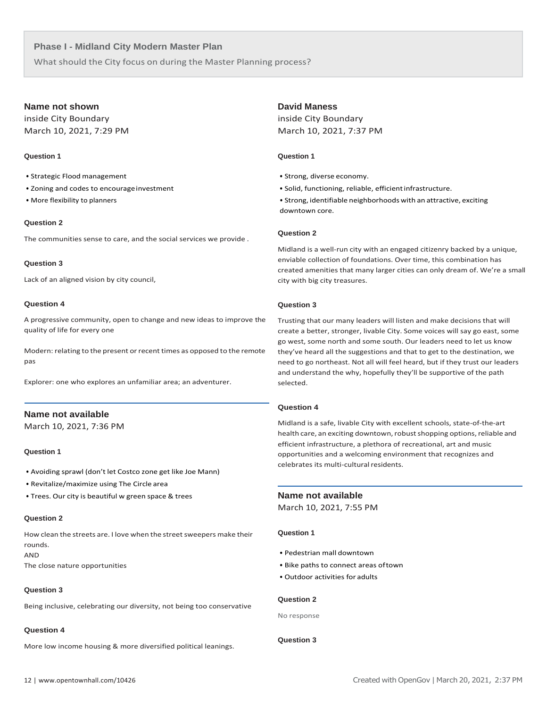What should the City focus on during the Master Planning process?

# **Name not shown**

inside City Boundary March 10, 2021, 7:29 PM

# **Question 1**

- Strategic Flood management
- Zoning and codes to encourageinvestment
- More flexibility to planners

# **Question 2**

The communities sense to care, and the social services we provide .

# **Question 3**

Lack of an aligned vision by city council,

# **Question 4**

A progressive community, open to change and new ideas to improve the quality of life for every one

Modern: relating to the present or recent times as opposed to the remote pas

Explorer: one who explores an unfamiliar area; an adventurer.

# **Name not available**

March 10, 2021, 7:36 PM

# **Question 1**

- Avoiding sprawl (don't let Costco zone get like Joe Mann)
- Revitalize/maximize using The Circle area
- Trees. Our city is beautiful w green space & trees

# **Question 2**

How clean the streets are. I love when the street sweepers make their rounds.

AND

The close nature opportunities

# **Question 3**

Being inclusive, celebrating our diversity, not being too conservative

# **Question 4**

More low income housing & more diversified political leanings.

# **David Maness**

inside City Boundary March 10, 2021, 7:37 PM

# **Question 1**

- Strong, diverse economy.
- Solid, functioning, reliable, efficientinfrastructure.

• Strong, identifiable neighborhoods with an attractive, exciting downtown core.

# **Question 2**

Midland is a well-run city with an engaged citizenry backed by a unique, enviable collection of foundations. Over time, this combination has created amenities that many larger cities can only dream of. We're a small city with big city treasures.

# **Question 3**

Trusting that our many leaders will listen and make decisions that will create a better, stronger, livable City. Some voices will say go east, some go west, some north and some south. Our leaders need to let us know they've heard all the suggestions and that to get to the destination, we need to go northeast. Not all will feel heard, but if they trust our leaders and understand the why, hopefully they'll be supportive of the path selected.

# **Question 4**

Midland is a safe, livable City with excellent schools, state-of-the-art health care, an exciting downtown, robust shopping options, reliable and efficient infrastructure, a plethora of recreational, art and music opportunities and a welcoming environment that recognizes and celebrates its multi-cultural residents.

# **Name not available**

March 10, 2021, 7:55 PM

# **Question 1**

- Pedestrian mall downtown
- Bike paths to connect areas oftown
- Outdoor activities for adults

# **Question 2**

No response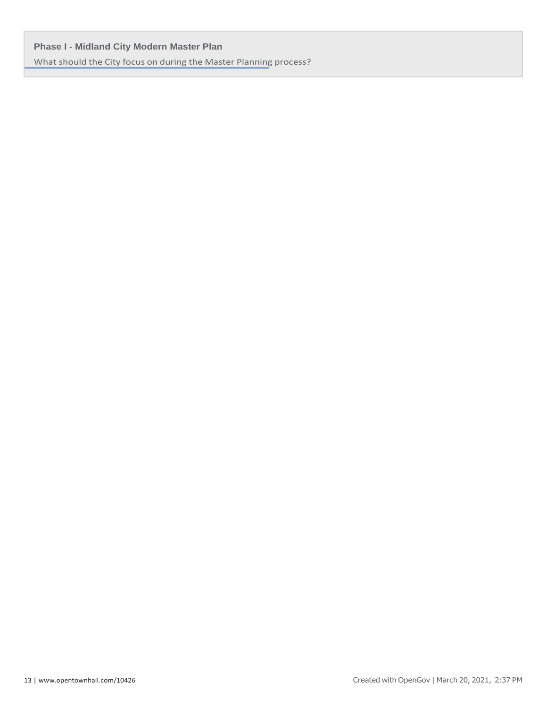What should the City focus on during the Master Planning process?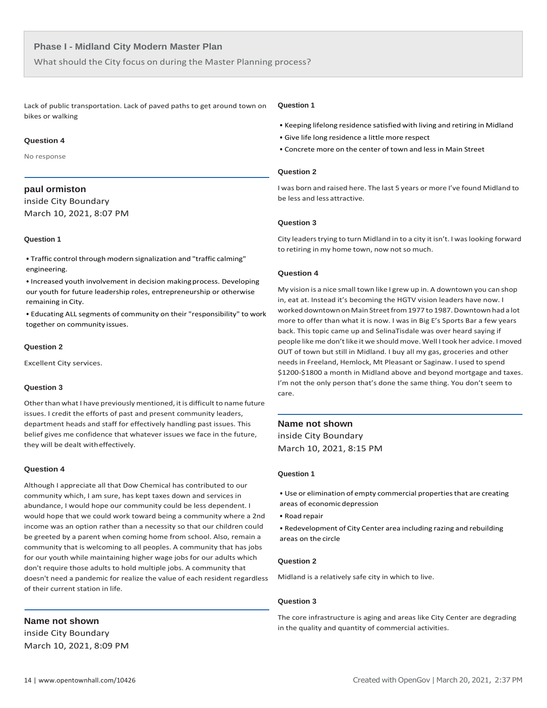What should the City focus on during the Master Planning process?

Lack of public transportation. Lack of paved paths to get around town on bikes or walking

#### **Question 4**

No response

# **paul ormiston**

inside City Boundary March 10, 2021, 8:07 PM

#### **Question 1**

• Traffic control through modern signalization and "traffic calming" engineering.

• Increased youth involvement in decision makingprocess. Developing our youth for future leadership roles, entrepreneurship or otherwise remaining in City.

• Educating ALL segments of community on their "responsibility" to work together on community issues.

#### **Question 2**

Excellent City services.

# **Question 3**

Other than what I have previously mentioned, it is difficult to name future issues. I credit the efforts of past and present community leaders, department heads and staff for effectively handling past issues. This belief gives me confidence that whatever issues we face in the future, they will be dealt witheffectively.

#### **Question 4**

Although I appreciate all that Dow Chemical has contributed to our community which, I am sure, has kept taxes down and services in abundance, I would hope our community could be less dependent. I would hope that we could work toward being a community where a 2nd income was an option rather than a necessity so that our children could be greeted by a parent when coming home from school. Also, remain a community that is welcoming to all peoples. A community that has jobs for our youth while maintaining higher wage jobs for our adults which don't require those adults to hold multiple jobs. A community that doesn't need a pandemic for realize the value of each resident regardless of their current station in life.

**Name not shown** inside City Boundary March 10, 2021, 8:09 PM

#### **Question 1**

- Keeping lifelong residence satisfied with living and retiring in Midland
- Give life long residence a little more respect
- Concrete more on the center of town and less in Main Street

#### **Question 2**

I was born and raised here. The last 5 years or more I've found Midland to be less and less attractive.

# **Question 3**

City leaders trying to turn Midland in to a city it isn't. I was looking forward to retiring in my home town, now not so much.

# **Question 4**

My vision is a nice small town like I grew up in. A downtown you can shop in, eat at. Instead it's becoming the HGTV vision leaders have now. I worked downtown on Main Street from 1977 to 1987. Downtown had a lot more to offer than what it is now. I was in Big E's Sports Bar a few years back. This topic came up and SelinaTisdale was over heard saying if people likeme don't like it we shouldmove. Well Itook her advice. Imoved OUT of town but still in Midland. I buy all my gas, groceries and other needs in Freeland, Hemlock, Mt Pleasant or Saginaw. I used to spend \$1200-\$1800 a month in Midland above and beyond mortgage and taxes. I'm not the only person that's done the same thing. You don't seem to care.

#### **Name not shown**

inside City Boundary March 10, 2021, 8:15 PM

# **Question 1**

• Use or elimination of empty commercial properties that are creating areas of economic depression

• Road repair

• Redevelopment of City Center area including razing and rebuilding areas on the circle

# **Question 2**

Midland is a relatively safe city in which to live.

#### **Question 3**

The core infrastructure is aging and areas like City Center are degrading in the quality and quantity of commercial activities.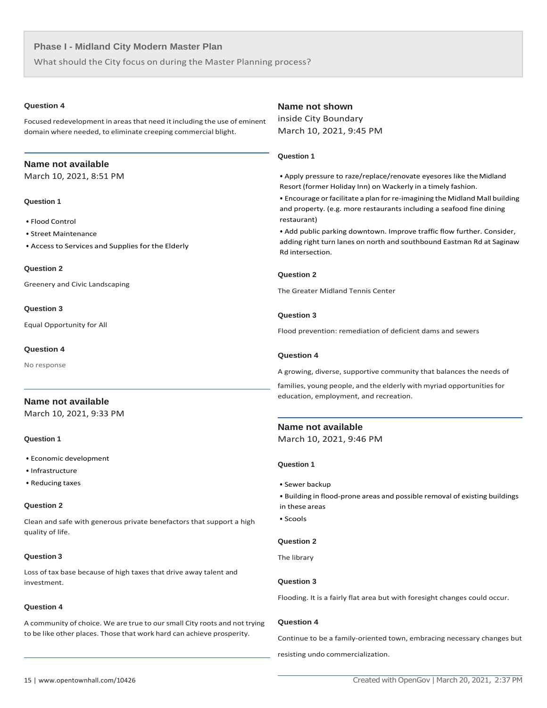What should the City focus on during the Master Planning process?

# **Question 4**

Focused redevelopment in areas that need it including the use of eminent domain where needed, to eliminate creeping commercial blight.

# **Name not available**

March 10, 2021, 8:51 PM

# **Question 1**

- Flood Control
- Street Maintenance
- Access to Services and Supplies for the Elderly

#### **Question 2**

Greenery and Civic Landscaping

#### **Question 3**

Equal Opportunity for All

# **Question 4**

No response

# **Name not available**

March 10, 2021, 9:33 PM

# **Question 1**

- Economic development
- Infrastructure
- Reducing taxes

# **Question 2**

Clean and safe with generous private benefactors that support a high quality of life.

# **Question 3**

Loss of tax base because of high taxes that drive away talent and investment.

# **Question 4**

A community of choice. We are true to our small City roots and not trying to be like other places. Those that work hard can achieve prosperity.

# **Name not shown**

inside City Boundary March 10, 2021, 9:45 PM

# **Question 1**

• Apply pressure to raze/replace/renovate eyesores like theMidland Resort (former Holiday Inn) on Wackerly in a timely fashion.

• Encourage or facilitate a plan for re-imagining the Midland Mall building and property. (e.g. more restaurants including a seafood fine dining restaurant)

• Add public parking downtown. Improve traffic flow further. Consider, adding right turn lanes on north and southbound Eastman Rd at Saginaw Rd intersection.

# **Question 2**

The Greater Midland Tennis Center

# **Question 3**

Flood prevention: remediation of deficient dams and sewers

# **Question 4**

A growing, diverse, supportive community that balances the needs of

families, young people, and the elderly with myriad opportunities for education, employment, and recreation.

# **Name not available**

March 10, 2021, 9:46 PM

# **Question 1**

• Sewer backup

• Building in flood-prone areas and possible removal of existing buildings in these areas

• Scools

# **Question 2**

The library

# **Question 3**

Flooding. It is a fairly flat area but with foresight changes could occur.

# **Question 4**

Continue to be a family-oriented town, embracing necessary changes but resisting undo commercialization.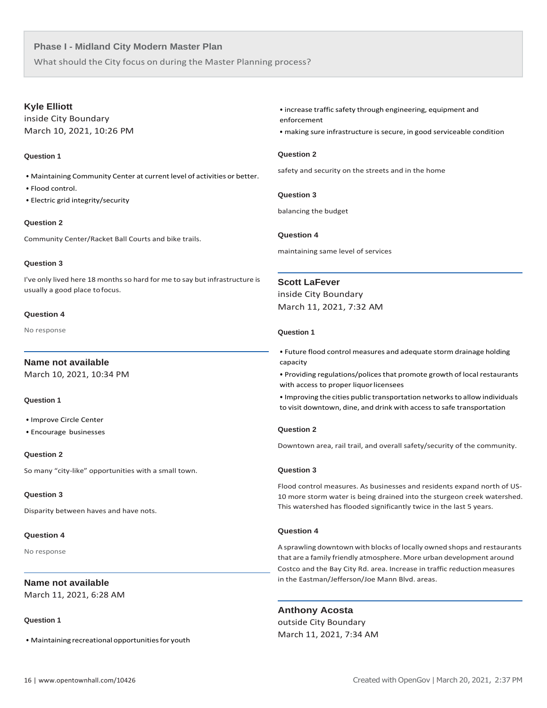What should the City focus on during the Master Planning process?

# **Kyle Elliott**

inside City Boundary March 10, 2021, 10:26 PM

# **Question 1**

- Maintaining Community Center at current level of activities or better.
- Flood control.
- Electric grid integrity/security

# **Question 2**

Community Center/Racket Ball Courts and bike trails.

# **Question 3**

I've only lived here 18 months so hard for me to say but infrastructure is usually a good place tofocus.

# **Question 4**

No response

# **Name not available**

March 10, 2021, 10:34 PM

# **Question 1**

- Improve Circle Center
- Encourage businesses

# **Question 2**

So many "city-like" opportunities with a small town.

# **Question 3**

Disparity between haves and have nots.

# **Question 4**

No response

# **Name not available**

March 11, 2021, 6:28 AM

# **Question 1**

• Maintaining recreational opportunities for youth

• increase traffic safety through engineering, equipment and enforcement

• making sure infrastructure is secure, in good serviceable condition

# **Question 2**

safety and security on the streets and in the home

**Question 3**

balancing the budget

# **Question 4**

maintaining same level of services

# **Scott LaFever**

inside City Boundary March 11, 2021, 7:32 AM

# **Question 1**

• Future flood control measures and adequate storm drainage holding capacity

• Providing regulations/policesthat promote growth of local restaurants with access to proper liquor licensees

• Improving the cities public transportation networksto allow individuals to visit downtown, dine, and drink with accessto safe transportation

# **Question 2**

Downtown area, rail trail, and overall safety/security of the community.

# **Question 3**

Flood control measures. As businesses and residents expand north of US-10 more storm water is being drained into the sturgeon creek watershed. This watershed has flooded significantly twice in the last 5 years.

# **Question 4**

A sprawling downtown with blocks of locally owned shops and restaurants that are a family friendly atmosphere. More urban development around Costco and the Bay City Rd. area. Increase in traffic reductionmeasures in the Eastman/Jefferson/Joe Mann Blvd. areas.

# **Anthony Acosta**

outside City Boundary March 11, 2021, 7:34 AM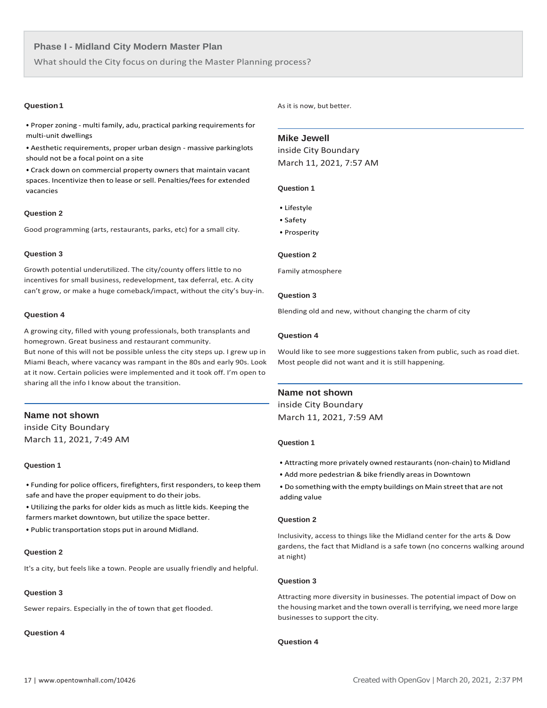What should the City focus on during the Master Planning process?

• Properzoning - multi family, adu, practical parking requirements for multi-unit dwellings

• Aesthetic requirements, proper urban design - massive parkinglots should not be a focal point on a site

• Crack down on commercial property owners that maintain vacant spaces. Incentivize then to lease or sell. Penalties/fees for extended vacancies

# **Question 2**

Good programming (arts, restaurants, parks, etc) for a small city.

# **Question 3**

Growth potential underutilized. The city/county offers little to no incentives for small business, redevelopment, tax deferral, etc. A city can't grow, or make a huge comeback/impact, without the city's buy-in.

#### **Question 4**

A growing city, filled with young professionals, both transplants and homegrown. Great business and restaurant community.

But none of this will not be possible unless the city steps up. I grew up in Miami Beach, where vacancy was rampant in the 80s and early 90s. Look at it now. Certain policies were implemented and it took off. I'm open to sharing all the info I know about the transition.

# **Name not shown**

inside City Boundary March 11, 2021, 7:49 AM

#### **Question 1**

• Funding for police officers, firefighters, first responders, to keep them safe and have the proper equipment to do their jobs.

• Utilizing the parks for older kids as much as little kids. Keeping the farmers market downtown, but utilize the space better.

• Public transportation stops put in around Midland.

# **Question 2**

It's a city, but feels like a town. People are usually friendly and helpful.

## **Question 3**

Sewer repairs. Especially in the of town that get flooded.

# **Question 4**

**Question 1 As it is now, but better.** 

# **Mike Jewell**

inside City Boundary March 11, 2021, 7:57 AM

#### **Question 1**

- Lifestyle
- Safety
- Prosperity

#### **Question 2**

Family atmosphere

# **Question 3**

Blending old and new, without changing the charm of city

# **Question 4**

Would like to see more suggestions taken from public, such as road diet. Most people did not want and it is still happening.

# **Name not shown**

inside City Boundary March 11, 2021, 7:59 AM

# **Question 1**

- Attracting more privately owned restaurants(non-chain) to Midland
- Add more pedestrian & bike friendly areas in Downtown
- Do something with the empty buildings on Main street that are not adding value

#### **Question 2**

Inclusivity, access to things like the Midland center for the arts & Dow gardens, the fact that Midland is a safe town (no concerns walking around at night)

#### **Question 3**

Attracting more diversity in businesses. The potential impact of Dow on the housing market and the town overall isterrifying, we need more large businesses to support the city.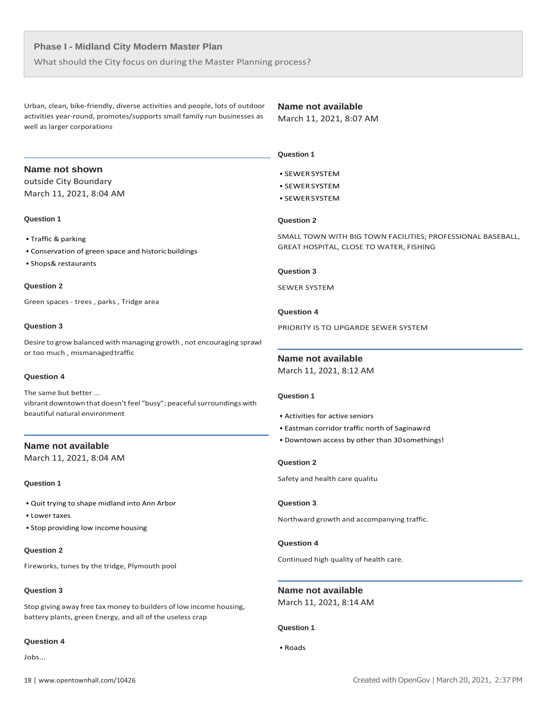What should the City focus on during the Master Planning process?

Urban, clean, bike-friendly, diverse activities and people, lots of outdoor activities year-round, promotes/supports small family run businesses as well as larger corporations

# **Name not available**

March 11, 2021, 8:07 AM

# **Name not shown**

outside City Boundary March 11, 2021, 8:04 AM

# **Question 1**

- Traffic & parking
- Conservation of green space and historicbuildings
- Shops& restaurants

# **Question 2**

Green spaces - trees , parks , Tridge area

# **Question 3**

Desire to grow balanced with managing growth , not encouraging sprawl or too much , mismanagedtraffic

#### **Question 4**

The same but better ... vibrant downtown that doesn't feel "busy"; peaceful surroundings with beautiful natural environment

# **Name not available**

March 11, 2021, 8:04 AM

#### **Question 1**

- Quit trying to shape midland into Ann Arbor
- Lower taxes
- Stop providing low income housing

# **Question 2**

Fireworks, tunes by the tridge, Plymouth pool

# **Question 3**

Stop giving away free tax money to builders of low income housing, battery plants, green Energy, and all of the useless crap

# **Question 4**

Jobs...

# **Question 3**

**Question 2**

 **Question 1**

• SEWERSYSTEM • SEWERSYSTEM • SEWERSYSTEM

SEWER SYSTEM

# **Question 4**

PRIORITY IS TO UPGARDE SEWER SYSTEM

GREAT HOSPITAL, CLOSE TO WATER, FISHING

SMALL TOWN WITH BIG TOWN FACILITIES; PROFESSIONAL BASEBALL,

# **Name not available**

March 11, 2021, 8:12 AM

# **Question 1**

- Activities for active seniors
- Eastman corridor traffic north of Saginawrd
- Downtown access by other than 30somethings!

# **Question 2**

Safety and health care qualitu

# **Question 3**

Northward growth and accompanying traffic.

#### **Question 4**

Continued high quality of health care.

**Name not available** March 11, 2021, 8:14 AM

# **Question 1**

• Roads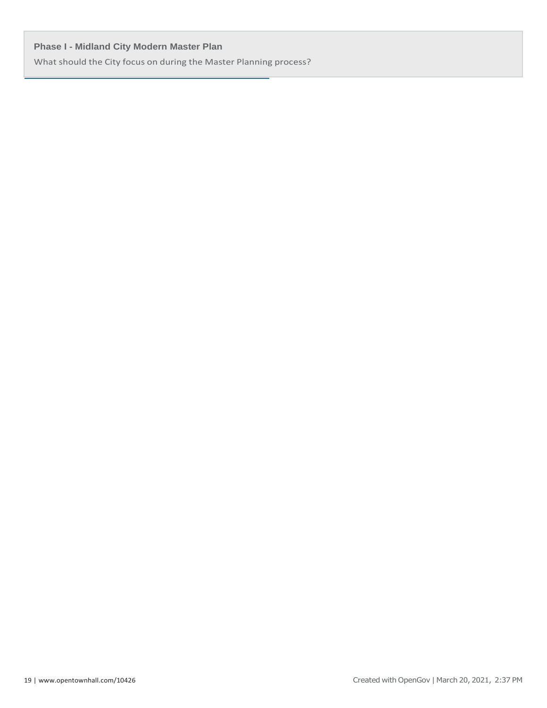What should the City focus on during the Master Planning process?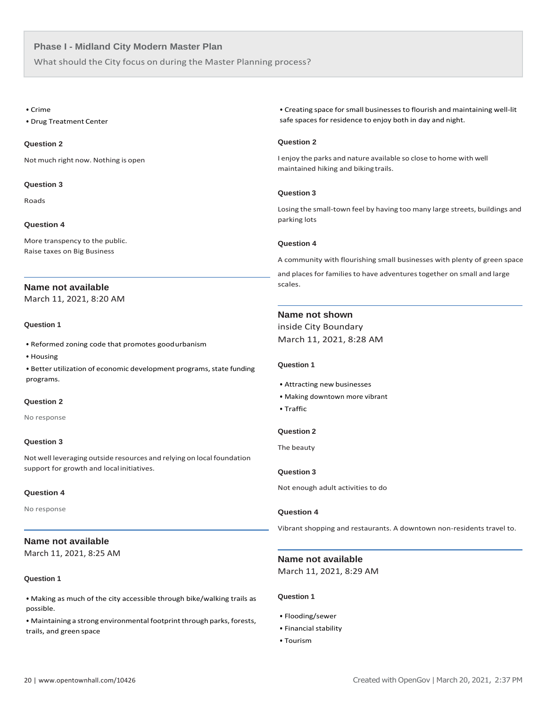What should the City focus on during the Master Planning process?

#### • Crime

• Drug Treatment Center

# **Question 2**

Not much right now. Nothing is open

# **Question 3**

Roads

# **Question 4**

More transpency to the public. Raise taxes on Big Business

# **Name not available**

March 11, 2021, 8:20 AM

# **Question 1**

- Reformed zoning code that promotes goodurbanism
- Housing

• Better utilization of economic development programs, state funding programs.

# **Question 2**

No response

# **Question 3**

Not well leveraging outside resources and relying on local foundation support for growth and localinitiatives.

# **Question 4**

No response

# **Name not available**

March 11, 2021, 8:25 AM

# **Question 1**

• Making as much of the city accessible through bike/walking trails as possible.

• Maintaining a strong environmental footprint through parks, forests, trails, and green space

• Creating space for small businesses to flourish and maintaining well-lit safe spaces for residence to enjoy both in day and night.

# **Question 2**

I enjoy the parks and nature available so close to home with well maintained hiking and biking trails.

# **Question 3**

Losing the small-town feel by having too many large streets, buildings and parking lots

# **Question 4**

A community with flourishing small businesses with plenty of green space

and places for families to have adventures together on small and large scales.

# **Name not shown**

inside City Boundary March 11, 2021, 8:28 AM

# **Question 1**

- Attracting new businesses
- Making downtown more vibrant
- Traffic

# **Question 2**

The beauty

# **Question 3**

Not enough adult activities to do

#### **Question 4**

Vibrant shopping and restaurants. A downtown non-residents travel to.

# **Name not available** March 11, 2021, 8:29 AM

- Flooding/sewer
- Financial stability
- Tourism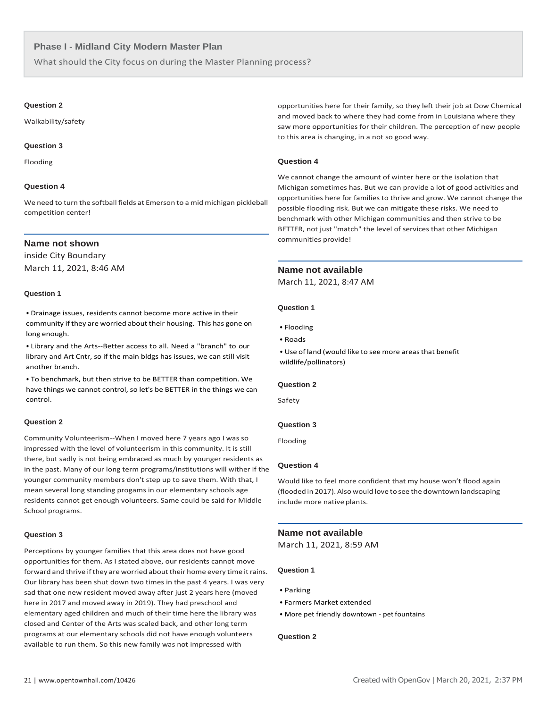What should the City focus on during the Master Planning process?

#### **Question 2**

Walkability/safety

#### **Question 3**

Flooding

# **Question 4**

We need to turn the softball fields at Emerson to a mid michigan pickleball competition center!

# **Name not shown**

inside City Boundary March 11, 2021, 8:46 AM

# **Question 1**

• Drainage issues, residents cannot become more active in their community if they are worried about their housing. This has gone on long enough.

• Library and the Arts--Better access to all. Need a "branch" to our library and Art Cntr, so if the main bldgs has issues, we can still visit another branch.

• To benchmark, but then strive to be BETTER than competition. We have things we cannot control, so let's be BETTER in the things we can control.

#### **Question 2**

Community Volunteerism--When I moved here 7 years ago I was so impressed with the level of volunteerism in this community. It is still there, but sadly is not being embraced as much by younger residents as in the past. Many of our long term programs/institutions will wither if the younger community members don't step up to save them. With that, I mean several long standing progams in our elementary schools age residents cannot get enough volunteers. Same could be said for Middle School programs.

#### **Question 3**

Perceptions by younger families that this area does not have good opportunities for them. As I stated above, our residents cannot move forward and thrive if they are worried about their home every time it rains. Our library has been shut down two times in the past 4 years. I was very sad that one new resident moved away after just 2 years here (moved here in 2017 and moved away in 2019). They had preschool and elementary aged children and much of their time here the library was closed and Center of the Arts was scaled back, and other long term programs at our elementary schools did not have enough volunteers available to run them. So this new family was not impressed with

opportunities here for their family, so they left their job at Dow Chemical and moved back to where they had come from in Louisiana where they saw more opportunities for their children. The perception of new people to this area is changing, in a not so good way.

# **Question 4**

We cannot change the amount of winter here or the isolation that Michigan sometimes has. But we can provide a lot of good activities and opportunities here for families to thrive and grow. We cannot change the possible flooding risk. But we can mitigate these risks. We need to benchmark with other Michigan communities and then strive to be BETTER, not just "match" the level of services that other Michigan communities provide!

# **Name not available**

March 11, 2021, 8:47 AM

#### **Question 1**

- Flooding
- Roads

• Use of land (would like to see more areas that benefit wildlife/pollinators)

#### **Question 2**

Safety

# **Question 3**

Flooding

# **Question 4**

Would like to feel more confident that my house won't flood again (flooded in 2017). Also would love to see the downtown landscaping include more native plants.

#### **Name not available**

March 11, 2021, 8:59 AM

## **Question 1**

- Parking
- Farmers Market extended
- More pet friendly downtown pet fountains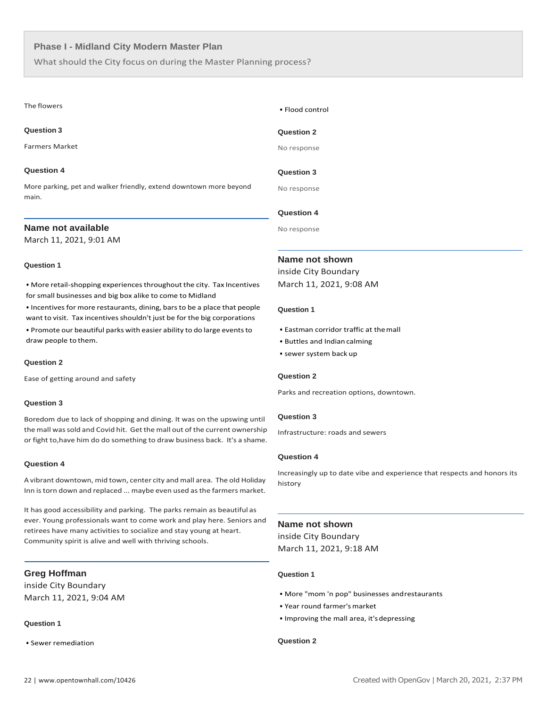What should the City focus on during the Master Planning process?

#### The flowers

# **Question 3**

Farmers Market

#### **Question 4**

More parking, pet and walker friendly, extend downtown more beyond main.

# **Name not available**

March 11, 2021, 9:01 AM

# **Question 1**

• More retail-shopping experiencesthroughout the city. Tax Incentives for small businesses and big box alike to come to Midland

• Incentives for more restaurants, dining, bars to be a place that people want to visit. Tax incentives shouldn't just be for the big corporations

• Promote our beautiful parks with easier ability to do large events to draw people to them.

#### **Question 2**

Ease of getting around and safety

#### **Question 3**

Boredom due to lack of shopping and dining. It was on the upswing until the mall was sold and Covid hit. Get the mall out of the current ownership or fight to,have him do do something to draw business back. It's a shame.

#### **Question 4**

A vibrant downtown, mid town, center city and mall area. The old Holiday Inn is torn down and replaced ... maybe even used as the farmers market.

It has good accessibility and parking. The parks remain as beautiful as ever. Young professionals want to come work and play here. Seniors and retirees have many activities to socialize and stay young at heart. Community spirit is alive and well with thriving schools.

# **Greg Hoffman**

inside City Boundary March 11, 2021, 9:04 AM

# **Question 1**

• Sewer remediation

# • Flood control

# **Question 2**

No response

# **Question 3**

No response

#### **Question 4**

No response

# **Name not shown**

inside City Boundary March 11, 2021, 9:08 AM

# **Question 1**

- Eastman corridor traffic at themall
- Buttles and Indian calming
- sewer system back up

#### **Question 2**

Parks and recreation options, downtown.

#### **Question 3**

Infrastructure: roads and sewers

# **Question 4**

Increasingly up to date vibe and experience that respects and honors its history

#### **Name not shown**

inside City Boundary March 11, 2021, 9:18 AM

# **Question 1**

- More "mom 'n pop" businesses andrestaurants
- Year round farmer'smarket
- Improving the mall area, it'sdepressing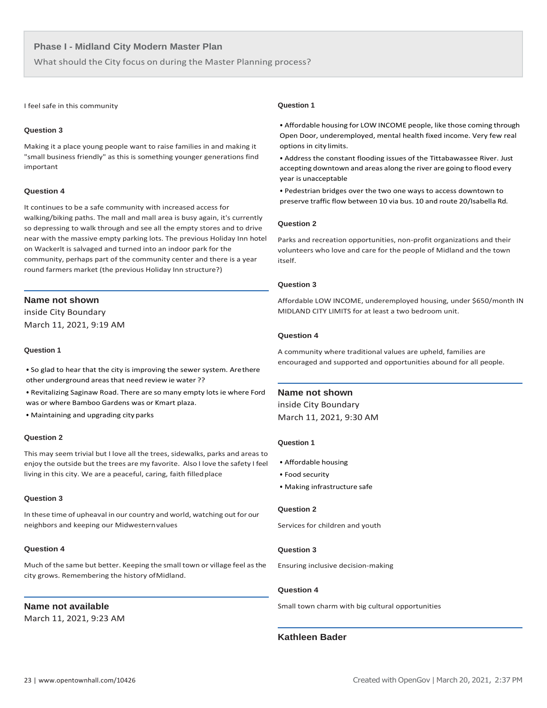What should the City focus on during the Master Planning process?

#### I feel safe in this community

# **Question 3**

Making it a place young people want to raise families in and making it "small business friendly" as this is something younger generations find important

# **Question 4**

It continues to be a safe community with increased access for walking/biking paths. The mall and mall area is busy again, it's currently so depressing to walk through and see all the empty stores and to drive near with the massive empty parking lots. The previous Holiday Inn hotel on Wackerlt is salvaged and turned into an indoor park for the community, perhaps part of the community center and there is a year round farmers market (the previous Holiday Inn structure?)

# **Name not shown**

inside City Boundary March 11, 2021, 9:19 AM

# **Question 1**

• So glad to hear that the city is improving the sewer system. Arethere other underground areas that need review ie water ??

• Revitalizing Saginaw Road. There are so many empty lots ie where Ford was or where Bamboo Gardens was or Kmart plaza.

• Maintaining and upgrading cityparks

# **Question 2**

This may seem trivial but I love all the trees, sidewalks, parks and areas to enjoy the outside but the trees are my favorite. Also I love the safety I feel living in this city. We are a peaceful, caring, faith filledplace

#### **Question 3**

In these time of upheaval in our country and world, watching out for our neighbors and keeping our Midwesternvalues

# **Question 4**

Much of the same but better. Keeping the small town or village feel asthe city grows. Remembering the history ofMidland.

# **Name not available**

March 11, 2021, 9:23 AM

# **Question 1**

• Affordable housing for LOW INCOME people, like those coming through Open Door, underemployed, mental health fixed income. Very few real options in city limits.

• Address the constant flooding issues of the Tittabawassee River. Just accepting downtown and areas along the river are going to flood every year is unacceptable

• Pedestrian bridges over the two one ways to access downtown to preserve traffic flow between 10 via bus. 10 and route 20/Isabella Rd.

#### **Question 2**

Parks and recreation opportunities, non-profit organizations and their volunteers who love and care for the people of Midland and the town itself.

#### **Question 3**

Affordable LOW INCOME, underemployed housing, under \$650/month IN MIDLAND CITY LIMITS for at least a two bedroom unit.

# **Question 4**

A community where traditional values are upheld, families are encouraged and supported and opportunities abound for all people.

# **Name not shown**

inside City Boundary March 11, 2021, 9:30 AM

#### **Question 1**

- Affordable housing
- Food security
- Making infrastructure safe

#### **Question 2**

Services for children and youth

# **Question 3**

Ensuring inclusive decision-making

#### **Question 4**

Small town charm with big cultural opportunities

# **Kathleen Bader**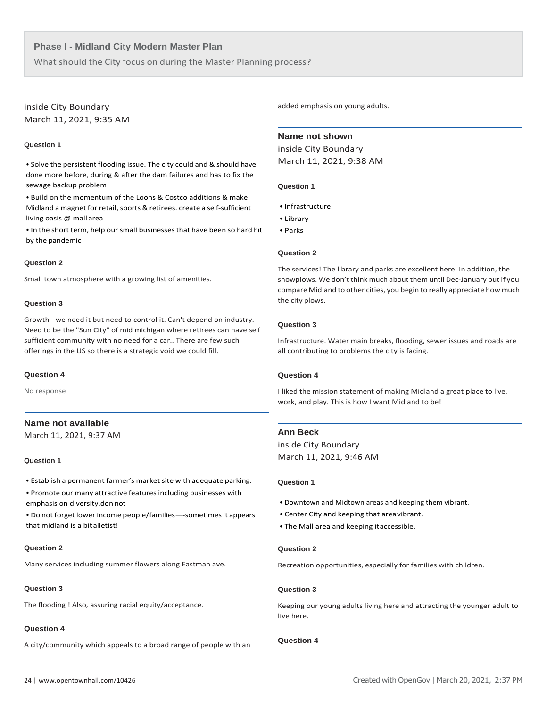What should the City focus on during the Master Planning process?

# inside City Boundary

March 11, 2021, 9:35 AM

# **Question 1**

• Solve the persistent flooding issue. The city could and & should have done more before, during & after the dam failures and has to fix the sewage backup problem

• Build on the momentum of the Loons & Costco additions & make Midland a magnet for retail, sports & retirees. create a self-sufficient living oasis @ mall area

• In the short term, help our small businessesthat have been so hard hit by the pandemic

#### **Question 2**

Small town atmosphere with a growing list of amenities.

#### **Question 3**

Growth - we need it but need to control it. Can't depend on industry. Need to be the "Sun City" of mid michigan where retirees can have self sufficient community with no need for a car.. There are few such offerings in the US so there is a strategic void we could fill.

#### **Question 4**

No response

# **Name not available**

March 11, 2021, 9:37 AM

#### **Question 1**

- Establish a permanent farmer's market site with adequate parking.
- Promote our many attractive features including businesses with emphasis on diversity.don not
- Do not forget lower income people/families—-sometimes it appears that midland is a bitalletist!

#### **Question 2**

Many services including summer flowers along Eastman ave.

# **Question 3**

The flooding ! Also, assuring racial equity/acceptance.

# **Question 4**

A city/community which appeals to a broad range of people with an

added emphasis on young adults.

# **Name not shown**

inside City Boundary March 11, 2021, 9:38 AM

#### **Question 1**

- Infrastructure
- Library
- Parks

# **Question 2**

The services! The library and parks are excellent here. In addition, the snowplows. We don't think much about them until Dec-January but if you compare Midland to other cities, you begin to really appreciate how much the city plows.

#### **Question 3**

Infrastructure. Water main breaks, flooding, sewer issues and roads are all contributing to problems the city is facing.

#### **Question 4**

I liked the mission statement of making Midland a great place to live, work, and play. This is how I want Midland to be!

# **Ann Beck**

inside City Boundary March 11, 2021, 9:46 AM

#### **Question 1**

- Downtown and Midtown areas and keeping them vibrant.
- Center City and keeping that areavibrant.
- The Mall area and keeping itaccessible.

# **Question 2**

Recreation opportunities, especially for families with children.

#### **Question 3**

Keeping our young adults living here and attracting the younger adult to live here.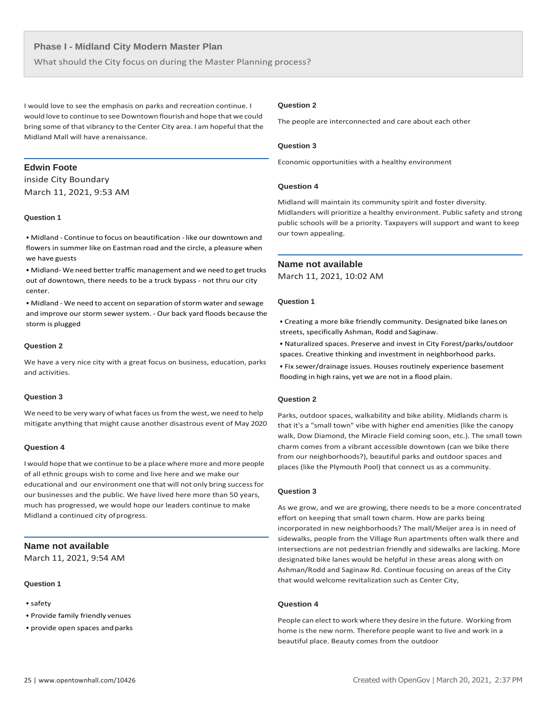What should the City focus on during the Master Planning process?

I would love to see the emphasis on parks and recreation continue. I would love to continue to see Downtown flourish and hope that we could bring some of that vibrancy to the Center City area. I am hopeful that the Midland Mall will have arenaissance.

# **Edwin Foote**

inside City Boundary March 11, 2021, 9:53 AM

# **Question 1**

• Midland - Continue to focus on beautification - like our downtown and flowers in summer like on Eastman road and the circle, a pleasure when we have guests

• Midland- We need better traffic management and we need to get trucks out of downtown, there needs to be a truck bypass - not thru our city center.

• Midland - We need to accent on separation of storm water and sewage and improve our storm sewer system. - Our back yard floods because the storm is plugged

#### **Question 2**

We have a very nice city with a great focus on business, education, parks and activities.

# **Question 3**

We need to be very wary of what faces us from the west, we need to help mitigate anything that might cause another disastrous event of May 2020

#### **Question 4**

I would hope that we continue to be a place where more and more people of all ethnic groups wish to come and live here and we make our educational and our environment one that will not only bring success for our businesses and the public. We have lived here more than 50 years, much has progressed, we would hope our leaders continue to make Midland a continued city ofprogress.

# **Name not available**

March 11, 2021, 9:54 AM

# **Question 1**

- safety
- Provide family friendly venues
- provide open spaces and parks

#### **Question 2**

The people are interconnected and care about each other

# **Question 3**

Economic opportunities with a healthy environment

# **Question 4**

Midland will maintain its community spirit and foster diversity. Midlanders will prioritize a healthy environment. Public safety and strong public schools will be a priority. Taxpayers will support and want to keep our town appealing.

#### **Name not available**

March 11, 2021, 10:02 AM

#### **Question 1**

• Creating a more bike friendly community. Designated bike lanes on streets, specifically Ashman, Rodd and Saginaw.

• Naturalized spaces. Preserve and invest in City Forest/parks/outdoor spaces. Creative thinking and investment in neighborhood parks.

• Fix sewer/drainage issues. Houses routinely experience basement flooding in high rains, yet we are not in a flood plain.

# **Question 2**

Parks, outdoor spaces, walkability and bike ability. Midlands charm is that it's a "small town" vibe with higher end amenities (like the canopy walk, Dow Diamond, the Miracle Field coming soon, etc.). The small town charm comes from a vibrant accessible downtown (can we bike there from our neighborhoods?), beautiful parks and outdoor spaces and places (like the Plymouth Pool) that connect us as a community.

# **Question 3**

As we grow, and we are growing, there needs to be a more concentrated effort on keeping that small town charm. How are parks being incorporated in new neighborhoods? The mall/Meijer area is in need of sidewalks, people from the Village Run apartments often walk there and intersections are not pedestrian friendly and sidewalks are lacking. More designated bike lanes would be helpful in these areas along with on Ashman/Rodd and Saginaw Rd. Continue focusing on areas of the City that would welcome revitalization such as Center City,

# **Question 4**

People can elect to work where they desire in the future. Working from home is the new norm. Therefore people want to live and work in a beautiful place. Beauty comes from the outdoor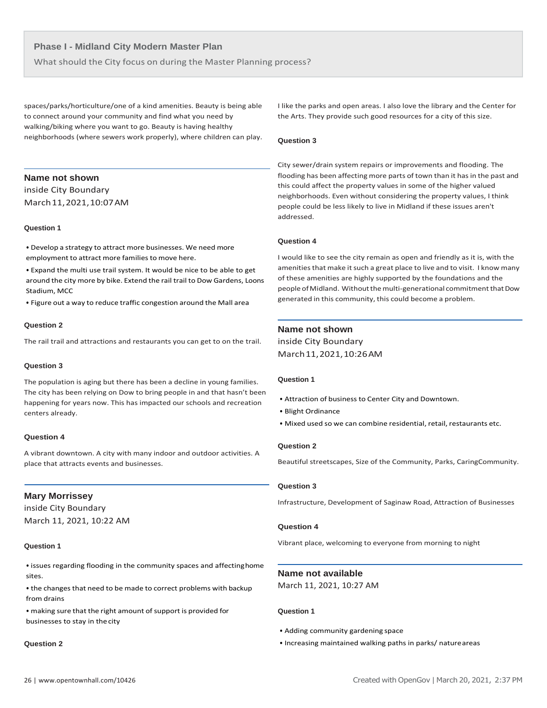What should the City focus on during the Master Planning process?

spaces/parks/horticulture/one of a kind amenities. Beauty is being able to connect around your community and find what you need by walking/biking where you want to go. Beauty is having healthy neighborhoods (where sewers work properly), where children can play.

# **Name not shown**

inside City Boundary March11,2021,10:07AM

# **Question 1**

• Develop a strategy to attract more businesses. We need more employment to attract more families to move here.

• Expand the multi use trail system. It would be nice to be able to get around the city more by bike. Extend the rail trail to Dow Gardens, Loons Stadium, MCC

• Figure out a way to reduce traffic congestion around the Mall area

#### **Question 2**

The rail trail and attractions and restaurants you can get to on the trail.

#### **Question 3**

The population is aging but there has been a decline in young families. The city has been relying on Dow to bring people in and that hasn't been happening for years now. This has impacted our schools and recreation centers already.

# **Question 4**

A vibrant downtown. A city with many indoor and outdoor activities. A place that attracts events and businesses.

# **Mary Morrissey**

inside City Boundary March 11, 2021, 10:22 AM

# **Question 1**

• issues regarding flooding in the community spaces and affectinghome sites.

• the changes that need to be made to correct problems with backup from drains

• making sure that the right amount of support is provided for businesses to stay in thecity

#### **Question 2**

I like the parks and open areas. I also love the library and the Center for the Arts. They provide such good resources for a city of this size.

#### **Question 3**

 City sewer/drain system repairs or improvements and flooding. The flooding has been affecting more parts of town than it has in the past and this could affect the property values in some of the higher valued neighborhoods. Even without considering the property values, I think people could be less likely to live in Midland if these issues aren't addressed.

# **Question 4**

I would like to see the city remain as open and friendly as it is, with the amenities that make it such a great place to live and to visit. I know many of these amenities are highly supported by the foundations and the people of Midland. Without the multi-generational commitment that Dow generated in this community, this could become a problem.

# **Name not shown**

inside City Boundary March11,2021,10:26AM

# **Question 1**

- Attraction of business to Center City and Downtown.
- Blight Ordinance
- Mixed used so we can combine residential, retail, restaurants etc.

# **Question 2**

Beautiful streetscapes, Size of the Community, Parks, CaringCommunity.

# **Question 3**

Infrastructure, Development of Saginaw Road, Attraction of Businesses

# **Question 4**

Vibrant place, welcoming to everyone from morning to night

# **Name not available**

March 11, 2021, 10:27 AM

- Adding community gardening space
- Increasing maintained walking paths in parks/ natureareas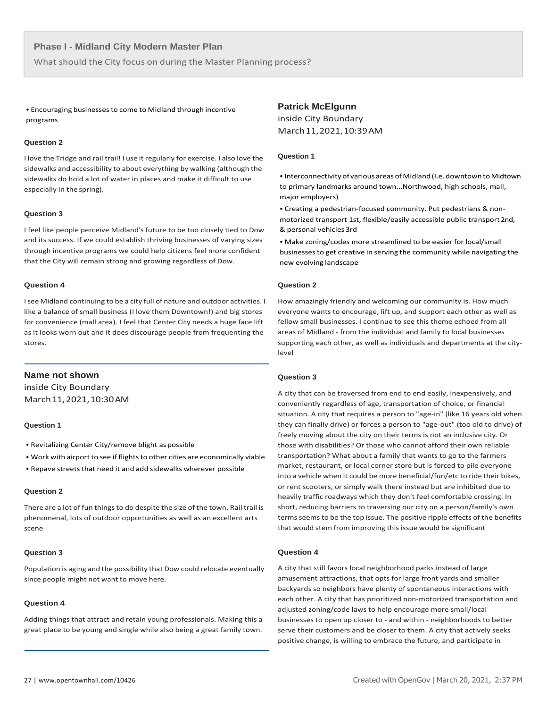What should the City focus on during the Master Planning process?

• Encouraging businessesto come to Midland through incentive programs

# **Question 2**

I love the Tridge and rail trail! I use it regularly for exercise. I also love the sidewalks and accessibility to about everything by walking (although the sidewalks do hold a lot of water in places and make it difficult to use especially in the spring).

#### **Question 3**

I feel like people perceive Midland's future to be too closely tied to Dow and its success. If we could establish thriving businesses of varying sizes through incentive programs we could help citizens feel more confident that the City will remain strong and growing regardless of Dow.

#### **Question 4**

Isee Midland continuing to be a city full of nature and outdoor activities. I like a balance of small business (I love them Downtown!) and big stores for convenience (mall area). I feel that Center City needs a huge face lift as it looks worn out and it does discourage people from frequenting the stores.

# **Name not shown**

inside City Boundary March11,2021,10:30AM

#### **Question 1**

- Revitalizing Center City/remove blight as possible
- Work with airport to see if flights to other cities are economically viable
- Repave streets that need it and add sidewalks wherever possible

# **Question 2**

There are a lot of fun things to do despite the size of the town. Rail trail is phenomenal, lots of outdoor opportunities as well as an excellent arts scene

#### **Question 3**

Population is aging and the possibility that Dow could relocate eventually since people might not want to move here.

# **Question 4**

Adding things that attract and retain young professionals. Making this a great place to be young and single while also being a great family town.

# **Patrick McElgunn**

inside City Boundary March11,2021,10:39AM

# **Question 1**

- Interconnectivity of various areas of Midland (I.e. downtown to Midtown to primary landmarks around town...Northwood, high schools, mall, major employers)
- Creating a pedestrian-focused community. Put pedestrians & nonmotorized transport 1st, flexible/easily accessible public transport2nd, & personal vehicles 3rd
- Make zoning/codes more streamlined to be easier for local/small businessesto get creative in serving the community while navigating the new evolving landscape

#### **Question 2**

How amazingly friendly and welcoming our community is. How much everyone wants to encourage, lift up, and support each other as well as fellow small businesses. I continue to see this theme echoed from all areas of Midland - from the individual and family to local businesses supporting each other, as well as individuals and departments at the citylevel

# **Question 3**

A city that can be traversed from end to end easily, inexpensively, and conveniently regardless of age, transportation of choice, or financial situation. A city that requires a person to "age-in" (like 16 years old when they can finally drive) or forces a person to "age-out" (too old to drive) of freely moving about the city on their terms is not an inclusive city. Or those with disabilities? Or those who cannot afford their own reliable transportation? What about a family that wants to go to the farmers market, restaurant, or local corner store but is forced to pile everyone into a vehicle when it could be more beneficial/fun/etc to ride their bikes, or rent scooters, or simply walk there instead but are inhibited due to heavily traffic roadways which they don't feel comfortable crossing. In short, reducing barriers to traversing our city on a person/family's own terms seems to be the top issue. The positive ripple effects of the benefits that would stem from improving this issue would be significant

# **Question 4**

A city that still favors local neighborhood parks instead of large amusement attractions, that opts for large front yards and smaller backyards so neighbors have plenty of spontaneous interactions with each other. A city that has prioritized non-motorized transportation and adjusted zoning/code laws to help encourage more small/local businesses to open up closer to - and within - neighborhoods to better serve their customers and be closer to them. A city that actively seeks positive change, is willing to embrace the future, and participate in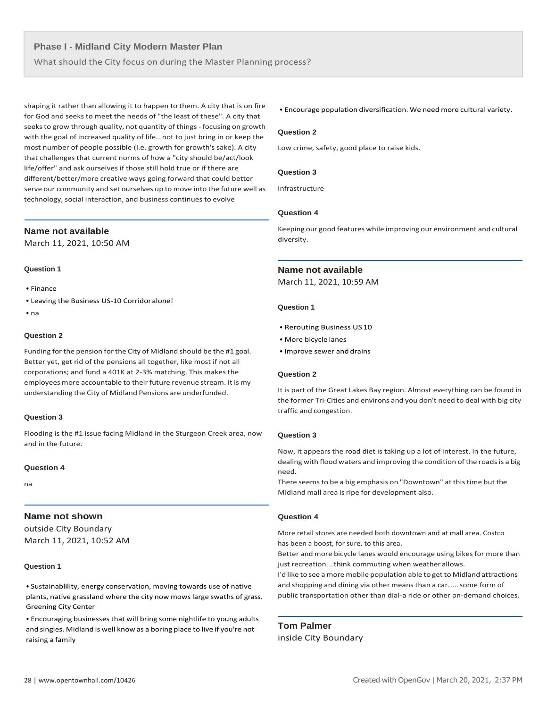What should the City focus on during the Master Planning process?

shaping it rather than allowing it to happen to them. A city that is on fire for God and seeks to meet the needs of "the least of these". A city that seeks to grow through quality, not quantity of things - focusing on growth with the goal of increased quality of life...not to just bring in or keep the most number of people possible (I.e. growth for growth's sake). A city that challenges that current norms of how a "city should be/act/look life/offer" and ask ourselves if those still hold true or if there are different/better/more creative ways going forward that could better serve our community and set ourselves up to move into the future well as technology, social interaction, and business continues to evolve

# **Name not available**

March 11, 2021, 10:50 AM

#### **Question 1**

- Finance
- Leaving the Business US-10 Corridoralone!
- na

#### **Question 2**

Funding for the pension for the City of Midland should be the #1 goal. Better yet, get rid of the pensions all together, like most if not all corporations; and fund a 401K at 2-3% matching. This makes the employees more accountable to their future revenue stream. It is my understanding the City of Midland Pensions are underfunded.

#### **Question 3**

Flooding is the #1 issue facing Midland in the Sturgeon Creek area, now and in the future.

# **Question 4**

na

# **Name not shown**

outside City Boundary March 11, 2021, 10:52 AM

# **Question 1**

• Sustainablility, energy conservation, moving towards use of native plants, native grassland where the city now mows large swaths of grass. Greening City Center

• Encouraging businesses that will bring some nightlife to young adults and singles. Midland is well know as a boring place to live if you're not raising a family

# • Encourage population diversification. We need more cultural variety.

# **Question 2**

Low crime, safety, good place to raise kids.

# **Question 3**

Infrastructure

# **Question 4**

Keeping our good features while improving our environment and cultural diversity.

# **Name not available**

March 11, 2021, 10:59 AM

# **Question 1**

- Rerouting Business US10
- More bicycle lanes
- Improve sewer and drains

#### **Question 2**

It is part of the Great Lakes Bay region. Almost everything can be found in the former Tri-Cities and environs and you don't need to deal with big city traffic and congestion.

#### **Question 3**

Now, it appears the road diet is taking up a lot of interest. In the future, dealing with flood waters and improving the condition of the roads is a big need.

There seems to be a big emphasis on "Downtown" at this time but the Midland mall area is ripe for development also.

# **Question 4**

More retail stores are needed both downtown and at mall area. Costco has been a boost, for sure, to this area.

Better and more bicycle lanes would encourage using bikes for more than just recreation. . think commuting when weather allows.

I'd like to see a more mobile population able to get to Midland attractions and shopping and dining via other means than a car..... some form of public transportation other than dial-a ride or other on-demand choices.

**Tom Palmer** inside City Boundary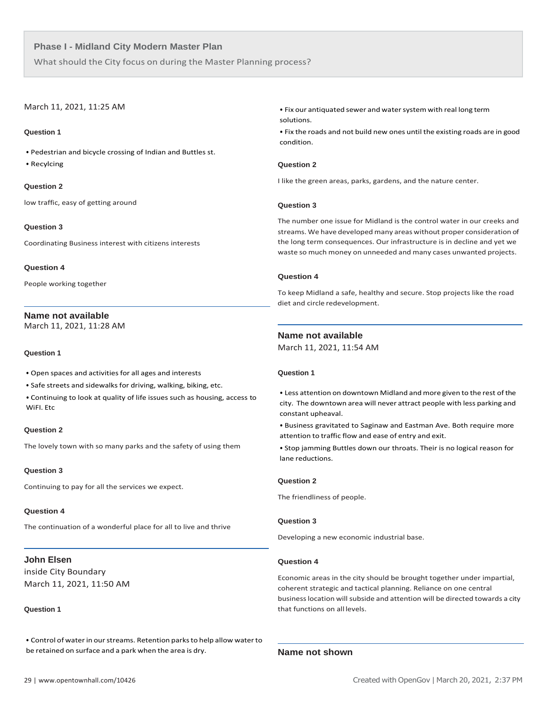What should the City focus on during the Master Planning process?

# March 11, 2021, 11:25 AM

# **Question 1**

• Pedestrian and bicycle crossing of Indian and Buttles st.

• Recylcing

**Question 2**

low traffic, easy of getting around

# **Question 3**

Coordinating Business interest with citizens interests

# **Question 4**

People working together

# **Name not available**

March 11, 2021, 11:28 AM

# **Question 1**

- Open spaces and activities for all ages and interests
- Safe streets and sidewalks for driving, walking, biking, etc.
- Continuing to look at quality of life issues such as housing, access to WiFI. Etc

# **Question 2**

The lovely town with so many parks and the safety of using them

# **Question 3**

Continuing to pay for all the services we expect.

# **Question 4**

The continuation of a wonderful place for all to live and thrive

# **John Elsen**

inside City Boundary March 11, 2021, 11:50 AM

# **Question 1**

• Control of waterin ourstreams. Retention parksto help allow waterto be retained on surface and a park when the area is dry. **Name not shown**

• Fix our antiquated sewer and watersystem with real long term solutions.

• Fix the roads and not build new ones until the existing roads are in good condition.

# **Question 2**

I like the green areas, parks, gardens, and the nature center.

# **Question 3**

The number one issue for Midland is the control water in our creeks and streams. We have developed many areas without proper consideration of the long term consequences. Our infrastructure is in decline and yet we waste so much money on unneeded and many cases unwanted projects.

# **Question 4**

To keep Midland a safe, healthy and secure. Stop projects like the road diet and circle redevelopment.

# **Name not available**

March 11, 2021, 11:54 AM

# **Question 1**

• Less attention on downtown Midland and more given to the rest of the city. The downtown area will never attract people with less parking and constant upheaval.

• Business gravitated to Saginaw and Eastman Ave. Both require more attention to traffic flow and ease of entry and exit.

• Stop jamming Buttles down our throats. Their is no logical reason for lane reductions.

# **Question 2**

The friendliness of people.

# **Question 3**

Developing a new economic industrial base.

# **Question 4**

Economic areas in the city should be brought together under impartial, coherent strategic and tactical planning. Reliance on one central business location will subside and attention will be directed towards a city that functions on all levels.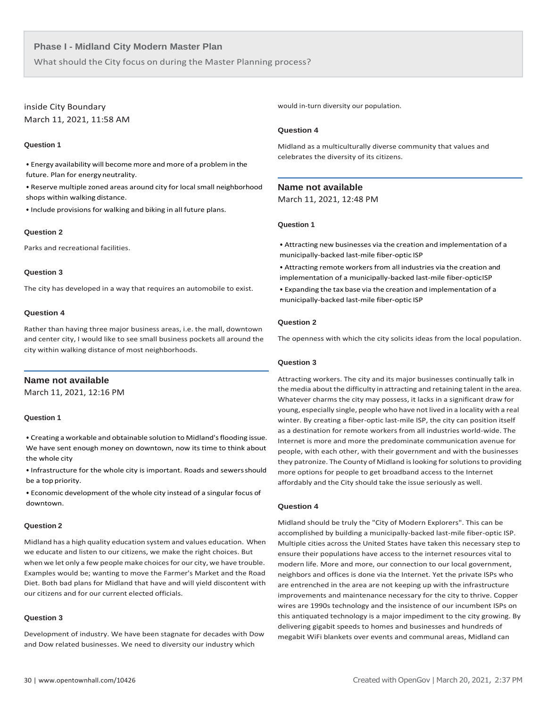What should the City focus on during the Master Planning process?

# inside City Boundary March 11, 2021, 11:58 AM

# **Question 1**

• Energy availability will become more and more of a problemin the future. Plan for energyneutrality.

• Reserve multiple zoned areas around city for local small neighborhood shops within walking distance.

• Include provisions for walking and biking in all future plans.

# **Question 2**

Parks and recreational facilities.

# **Question 3**

The city has developed in a way that requires an automobile to exist.

# **Question 4**

Rather than having three major business areas, i.e. the mall, downtown and center city, I would like to see small business pockets all around the city within walking distance of most neighborhoods.

# **Name not available**

March 11, 2021, 12:16 PM

#### **Question 1**

• Creating a workable and obtainable solution to Midland's flooding issue. We have sent enough money on downtown, now its time to think about the whole city

• Infrastructure for the whole city is important. Roads and sewersshould be a top priority.

• Economic development of the whole city instead of a singular focus of downtown.

#### **Question 2**

Midland has a high quality education system and values education. When we educate and listen to our citizens, we make the right choices. But when we let only a few people make choices for our city, we have trouble. Examples would be; wanting to move the Farmer's Market and the Road Diet. Both bad plans for Midland that have and will yield discontent with our citizens and for our current elected officials.

# **Question 3**

Development of industry. We have been stagnate for decades with Dow and Dow related businesses. We need to diversity our industry which

would in-turn diversity our population.

#### **Question 4**

Midland as a multiculturally diverse community that values and celebrates the diversity of its citizens.

# **Name not available**

March 11, 2021, 12:48 PM

#### **Question 1**

• Attracting new businesses via the creation and implementation of a municipally-backed last-mile fiber-optic ISP

• Attracting remote workers from all industries via the creation and implementation of a municipally-backed last-mile fiber-opticISP

• Expanding the tax base via the creation and implementation of a municipally-backed last-mile fiber-optic ISP

# **Question 2**

The openness with which the city solicits ideas from the local population.

# **Question 3**

Attracting workers. The city and its major businesses continually talk in the media about the difficulty in attracting and retaining talent in the area. Whatever charms the city may possess, it lacks in a significant draw for young, especially single, people who have not lived in a locality with a real winter. By creating a fiber-optic last-mile ISP, the city can position itself as a destination for remote workers from all industries world-wide. The Internet is more and more the predominate communication avenue for people, with each other, with their government and with the businesses they patronize. The County of Midland is looking for solutions to providing more options for people to get broadband access to the Internet affordably and the City should take the issue seriously as well.

# **Question 4**

Midland should be truly the "City of Modern Explorers". This can be accomplished by building a municipally-backed last-mile fiber-optic ISP. Multiple cities across the United States have taken this necessary step to ensure their populations have access to the internet resources vital to modern life. More and more, our connection to our local government, neighbors and offices is done via the Internet. Yet the private ISPs who are entrenched in the area are not keeping up with the infrastructure improvements and maintenance necessary for the city to thrive. Copper wires are 1990s technology and the insistence of our incumbent ISPs on this antiquated technology is a major impediment to the city growing. By delivering gigabit speeds to homes and businesses and hundreds of megabit WiFi blankets over events and communal areas, Midland can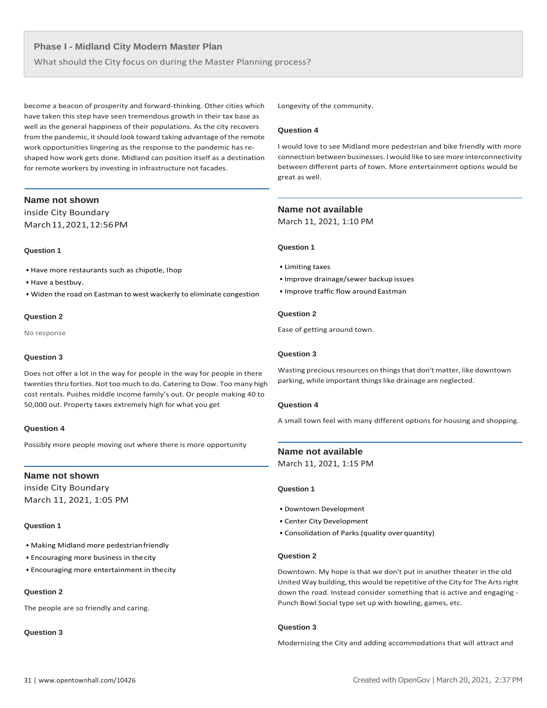What should the City focus on during the Master Planning process?

become a beacon of prosperity and forward-thinking. Other cities which have taken this step have seen tremendous growth in their tax base as well as the general happiness of their populations. As the city recovers from the pandemic, it should look toward taking advantage of the remote work opportunities lingering as the response to the pandemic has reshaped how work gets done. Midland can position itself as a destination for remote workers by investing in infrastructure not facades.

# **Name not shown**

inside City Boundary March11,2021,12:56PM

# **Question 1**

- Have more restaurants such as chipotle, Ihop
- Have a bestbuy.
- Widen the road on Eastman to west wackerly to eliminate congestion

#### **Question 2**

No response

# **Question 3**

Does not offer a lot in the way for people in the way for people in there twenties thru forties. Not too much to do. Catering to Dow. Too many high cost rentals. Pushes middle income family's out. Or people making 40 to 50,000 out. Property taxes extremely high for what you get

# **Question 4**

Possibly more people moving out where there is more opportunity

# **Name not shown**

inside City Boundary March 11, 2021, 1:05 PM

# **Question 1**

- Making Midland more pedestrian friendly
- Encouraging more business in thecity
- Encouraging more entertainment in thecity

# **Question 2**

The people are so friendly and caring.

# **Question 3**

Longevity of the community.

# **Question 4**

I would love to see Midland more pedestrian and bike friendly with more connection between businesses. I would like to see more interconnectivity between different parts of town. More entertainment options would be great as well.

# **Name not available**

March 11, 2021, 1:10 PM

# **Question 1**

- Limiting taxes
- Improve drainage/sewer backup issues
- Improve traffic flow around Eastman

# **Question 2**

Ease of getting around town.

# **Question 3**

Wasting precious resources on things that don't matter, like downtown parking, while important things like drainage are neglected.

# **Question 4**

A small town feel with many different options for housing and shopping.

# **Name not available**

March 11, 2021, 1:15 PM

# **Question 1**

- Downtown Development
- Center City Development
- Consolidation of Parks (quality overquantity)

# **Question 2**

Downtown. My hope is that we don't put in another theater in the old United Way building, this would be repetitive of the City for The Arts right down the road. Instead consider something that is active and engaging - Punch Bowl Social type set up with bowling, games, etc.

# **Question 3**

Modernizing the City and adding accommodations that will attract and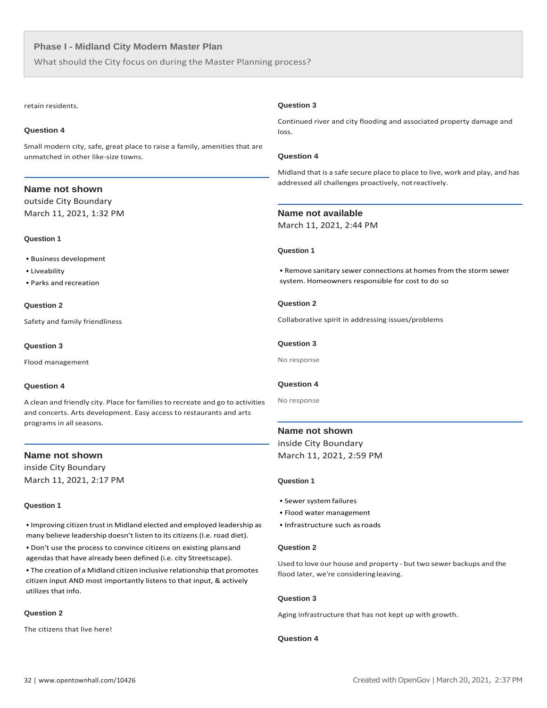What should the City focus on during the Master Planning process?

#### retain residents.

#### **Question 4**

Small modern city, safe, great place to raise a family, amenities that are unmatched in other like-size towns.

# **Name not shown**

outside City Boundary March 11, 2021, 1:32 PM

#### **Question 1**

- Business development
- Liveability
- Parks and recreation

# **Question 2**

Safety and family friendliness

#### **Question 3**

Flood management

# **Question 4**

A clean and friendly city. Place for familiesto recreate and go to activities and concerts. Arts development. Easy access to restaurants and arts programs in all seasons.

# **Name not shown**

inside City Boundary March 11, 2021, 2:17 PM

#### **Question 1**

• Improving citizen trust in Midland elected and employed leadership as many believe leadership doesn't listen to its citizens (I.e. road diet).

• Don't use the process to convince citizens on existing plansand agendas that have already been defined (i.e. city Streetscape).

• The creation of a Midland citizen inclusive relationship that promotes citizen input AND most importantly listens to that input, & actively utilizes that info.

# **Question 2**

The citizens that live here!

#### **Question 3**

Continued river and city flooding and associated property damage and loss.

# **Question 4**

Midland that is a safe secure place to place to live, work and play, and has addressed all challenges proactively, notreactively.

# **Name not available**

March 11, 2021, 2:44 PM

# **Question 1**

• Remove sanitary sewer connections at homes from the storm sewer system. Homeowners responsible for cost to do so

# **Question 2**

Collaborative spirit in addressing issues/problems

#### **Question 3**

No response

# **Question 4**

No response

# **Name not shown**

inside City Boundary March 11, 2021, 2:59 PM

#### **Question 1**

- Sewer system failures
- Flood water management
- Infrastructure such asroads

# **Question 2**

Used to love our house and property - but two sewer backups and the flood later, we're consideringleaving.

# **Question 3**

Aging infrastructure that has not kept up with growth.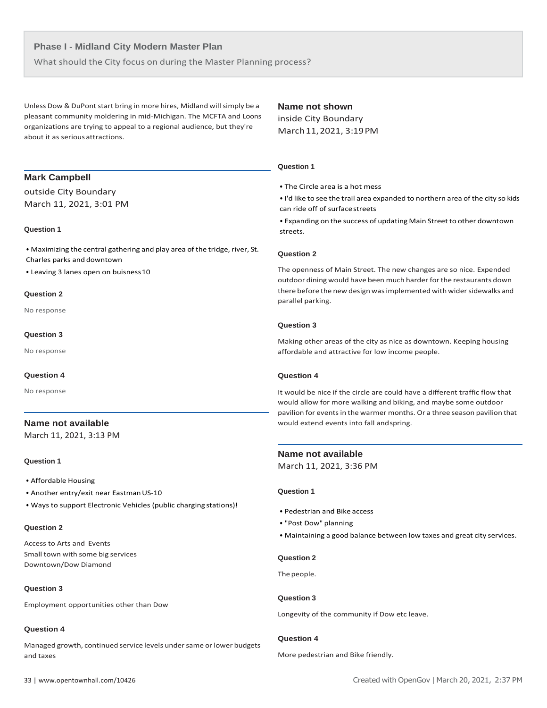What should the City focus on during the Master Planning process?

Unless Dow & DuPont start bring in more hires, Midland will simply be a pleasant community moldering in mid-Michigan. The MCFTA and Loons organizations are trying to appeal to a regional audience, but they're about it as serious attractions.

# **Name not shown**

inside City Boundary March11,2021, 3:19PM

#### **Question 1**

• The Circle area is a hot mess

• I'd like to see the trail area expanded to northern area of the city so kids can ride off of surfacestreets

• Expanding on the success of updating Main Street to other downtown streets.

#### **Question 2**

The openness of Main Street. The new changes are so nice. Expended outdoor dining would have been much harder forthe restaurants down there before the new design was implemented with wider sidewalks and parallel parking.

#### **Question 3**

Making other areas of the city as nice as downtown. Keeping housing affordable and attractive for low income people.

# **Question 4**

It would be nice if the circle are could have a different traffic flow that would allow for more walking and biking, and maybe some outdoor pavilion for events in the warmer months. Or a three season pavilion that would extend events into fall andspring.

# **Name not available**

March 11, 2021, 3:36 PM

# **Question 1**

- Pedestrian and Bike access
- "Post Dow" planning
- Maintaining a good balance between low taxes and great city services.

#### **Question 2**

The people.

# **Question 3**

Longevity of the community if Dow etc leave.

# **Question 4**

More pedestrian and Bike friendly.

# **Mark Campbell**

outside City Boundary March 11, 2021, 3:01 PM

#### **Question 1**

• Maximizing the central gathering and play area of the tridge, river, St. Charles parks and downtown

• Leaving 3 lanes open on buisness10

#### **Question 2**

No response

#### **Question 3**

No response

#### **Question 4**

No response

# **Name not available**

March 11, 2021, 3:13 PM

# **Question 1**

- Affordable Housing
- Another entry/exit near Eastman US-10
- Ways to support Electronic Vehicles (public charging stations)!

# **Question 2**

Access to Arts and Events Small town with some big services Downtown/Dow Diamond

# **Question 3**

Employment opportunities other than Dow

# **Question 4**

Managed growth, continued service levels under same or lower budgets and taxes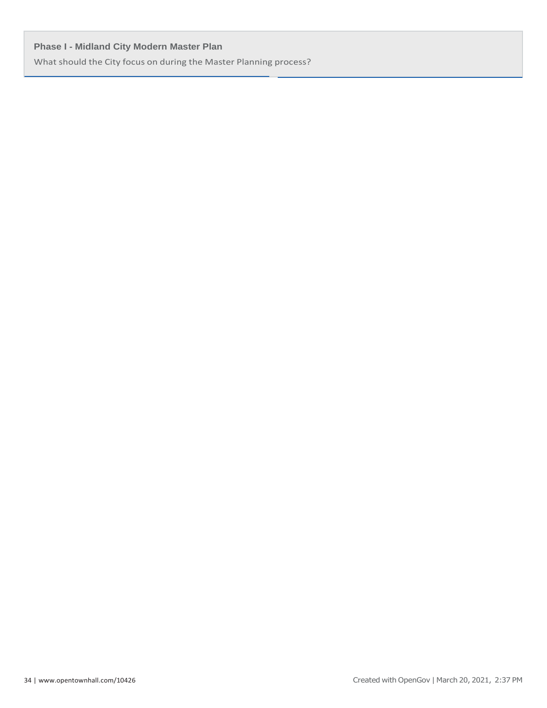What should the City focus on during the Master Planning process?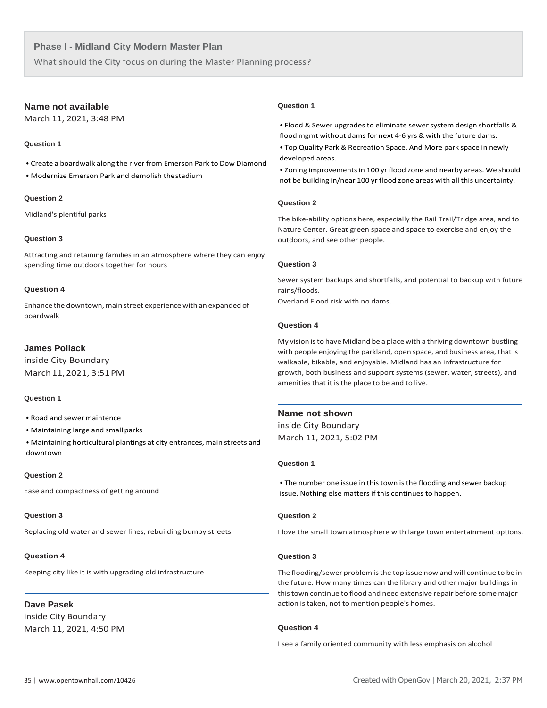What should the City focus on during the Master Planning process?

# **Name not available**

March 11, 2021, 3:48 PM

# **Question 1**

• Create a boardwalk along the river from Emerson Park to Dow Diamond

• Modernize Emerson Park and demolish thestadium

# **Question 2**

Midland's plentiful parks

# **Question 3**

Attracting and retaining families in an atmosphere where they can enjoy spending time outdoors together for hours

# **Question 4**

Enhance the downtown, main street experience with an expanded of boardwalk

# **James Pollack**

inside City Boundary March11,2021, 3:51PM

# **Question 1**

• Road and sewer maintence

- Maintaining large and small parks
- Maintaining horticultural plantings at city entrances, main streets and downtown

# **Question 2**

Ease and compactness of getting around

# **Question 3**

Replacing old water and sewer lines, rebuilding bumpy streets

# **Question 4**

Keeping city like it is with upgrading old infrastructure

# **Dave Pasek**

inside City Boundary March 11, 2021, 4:50 PM

# **Question 1**

• Flood & Sewer upgrades to eliminate sewer system design shortfalls & flood mgmt without dams for next 4-6 yrs & with the future dams.

• Top Quality Park & Recreation Space. And More park space in newly developed areas.

• Zoning improvements in 100 yr flood zone and nearby areas. We should not be building in/near 100 yr flood zone areas with all this uncertainty.

# **Question 2**

The bike-ability options here, especially the Rail Trail/Tridge area, and to Nature Center. Great green space and space to exercise and enjoy the outdoors, and see other people.

# **Question 3**

Sewer system backups and shortfalls, and potential to backup with future rains/floods.

Overland Flood risk with no dams.

# **Question 4**

My vision isto have Midland be a place with a thriving downtown bustling with people enjoying the parkland, open space, and business area, that is walkable, bikable, and enjoyable. Midland has an infrastructure for growth, both business and support systems (sewer, water, streets), and amenities that it is the place to be and to live.

# **Name not shown**

inside City Boundary March 11, 2021, 5:02 PM

# **Question 1**

• The number one issue in this town is the flooding and sewer backup issue. Nothing else matters if this continues to happen.

# **Question 2**

I love the small town atmosphere with large town entertainment options.

# **Question 3**

The flooding/sewer problem isthe top issue now and will continue to be in the future. How many times can the library and other major buildings in thistown continue to flood and need extensive repair before some major action is taken, not to mention people's homes.

# **Question 4**

I see a family oriented community with less emphasis on alcohol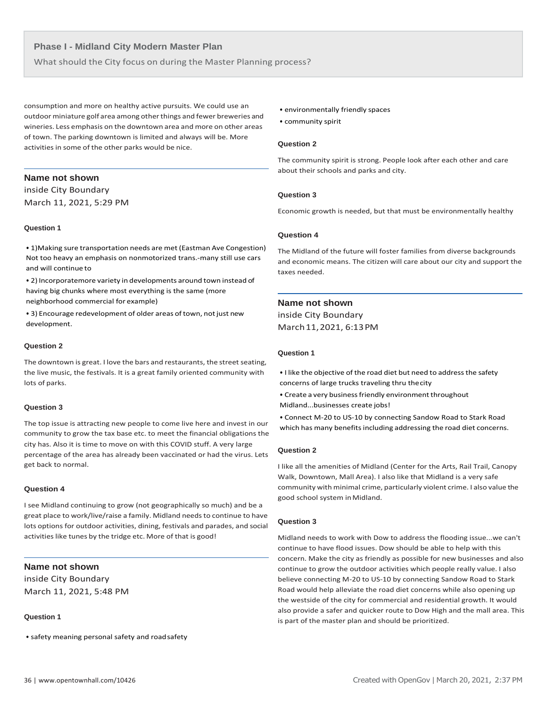What should the City focus on during the Master Planning process?

consumption and more on healthy active pursuits. We could use an outdoor miniature golf area among other things and fewer breweries and wineries. Less emphasis on the downtown area and more on other areas of town. The parking downtown is limited and always will be. More activities in some of the other parks would be nice.

# **Name not shown**

inside City Boundary March 11, 2021, 5:29 PM

#### **Question 1**

• 1)Making sure transportation needs are met (Eastman Ave Congestion) Not too heavy an emphasis on nonmotorized trans.-many still use cars and will continue to

• 2) Incorporatemore variety in developments around town instead of having big chunks where most everything is the same (more neighborhood commercial for example)

• 3) Encourage redevelopment of older areas of town, not just new development.

#### **Question 2**

The downtown is great. I love the bars and restaurants, the street seating, the live music, the festivals. It is a great family oriented community with lots of parks.

# **Question 3**

The top issue is attracting new people to come live here and invest in our community to grow the tax base etc. to meet the financial obligations the city has. Also it is time to move on with this COVID stuff. A very large percentage of the area has already been vaccinated or had the virus. Lets get back to normal.

#### **Question 4**

I see Midland continuing to grow (not geographically so much) and be a great place to work/live/raise a family. Midland needs to continue to have lots options for outdoor activities, dining, festivals and parades, and social activities like tunes by the tridge etc. More of that is good!

# **Name not shown**

inside City Boundary March 11, 2021, 5:48 PM

# **Question 1**

• safety meaning personal safety and roadsafety

- environmentally friendly spaces
- community spirit

# **Question 2**

The community spirit is strong. People look after each other and care about their schools and parks and city.

#### **Question 3**

Economic growth is needed, but that must be environmentally healthy

# **Question 4**

The Midland of the future will foster families from diverse backgrounds and economic means. The citizen will care about our city and support the taxes needed.

# **Name not shown**

inside City Boundary March11,2021, 6:13PM

# **Question 1**

• I like the objective of the road diet but need to addressthe safety concerns of large trucks traveling thru thecity

- Create a very business friendly environment throughout Midland...businesses create jobs!
- Connect M-20 to US-10 by connecting Sandow Road to Stark Road which has many benefits including addressing the road diet concerns.

#### **Question 2**

I like all the amenities of Midland (Center for the Arts, Rail Trail, Canopy Walk, Downtown, Mall Area). I also like that Midland is a very safe community with minimal crime, particularly violent crime. I also value the good school system inMidland.

#### **Question 3**

Midland needs to work with Dow to address the flooding issue...we can't continue to have flood issues. Dow should be able to help with this concern. Make the city as friendly as possible for new businesses and also continue to grow the outdoor activities which people really value. I also believe connecting M-20 to US-10 by connecting Sandow Road to Stark Road would help alleviate the road diet concerns while also opening up the westside of the city for commercial and residential growth. It would also provide a safer and quicker route to Dow High and the mall area. This is part of the master plan and should be prioritized.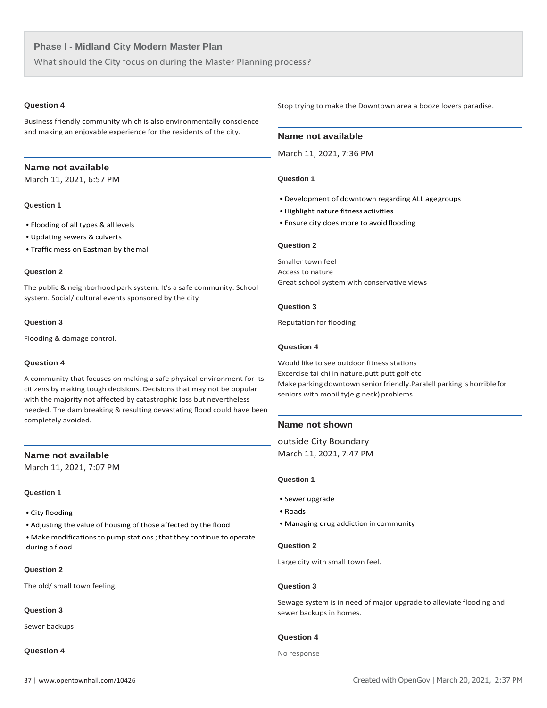What should the City focus on during the Master Planning process?

# **Question 4**

Business friendly community which is also environmentally conscience and making an enjoyable experience for the residents of the city.

# **Name not available**

March 11, 2021, 6:57 PM

# **Question 1**

- Flooding of all types & alllevels
- Updating sewers & culverts
- Traffic mess on Eastman by themall

# **Question 2**

The public & neighborhood park system. It's a safe community. School system. Social/ cultural events sponsored by the city

# **Question 3**

Flooding & damage control.

#### **Question 4**

A community that focuses on making a safe physical environment for its citizens by making tough decisions. Decisions that may not be popular with the majority not affected by catastrophic loss but nevertheless needed. The dam breaking & resulting devastating flood could have been completely avoided.

# **Name not available**

March 11, 2021, 7:07 PM

# **Question 1**

- City flooding
- Adjusting the value of housing of those affected by the flood
- Make modificationsto pump stations; that they continue to operate during a flood

# **Question 2**

The old/ small town feeling.

# **Question 3**

Sewer backups.

# **Question 4**

Stop trying to make the Downtown area a booze lovers paradise.

# **Name not available**

March 11, 2021, 7:36 PM

#### **Question 1**

- Development of downtown regarding ALL agegroups
- Highlight nature fitness activities
- Ensure city does more to avoidflooding

# **Question 2**

Smaller town feel Access to nature Great school system with conservative views

#### **Question 3**

Reputation for flooding

# **Question 4**

Would like to see outdoor fitness stations Excercise tai chi in nature.putt putt golf etc Make parking downtown senior friendly.Paralell parking is horrible for seniors with mobility(e.g neck) problems

# **Name not shown**

 outside City Boundary March 11, 2021, 7:47 PM

# **Question 1**

- Sewer upgrade
- Roads
- Managing drug addiction incommunity

# **Question 2**

Large city with small town feel.

# **Question 3**

Sewage system is in need of major upgrade to alleviate flooding and sewer backups in homes.

#### **Question 4**

No response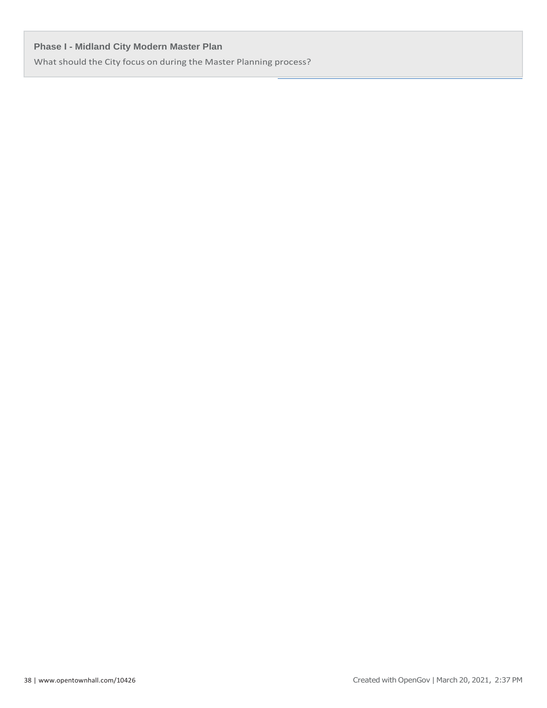What should the City focus on during the Master Planning process?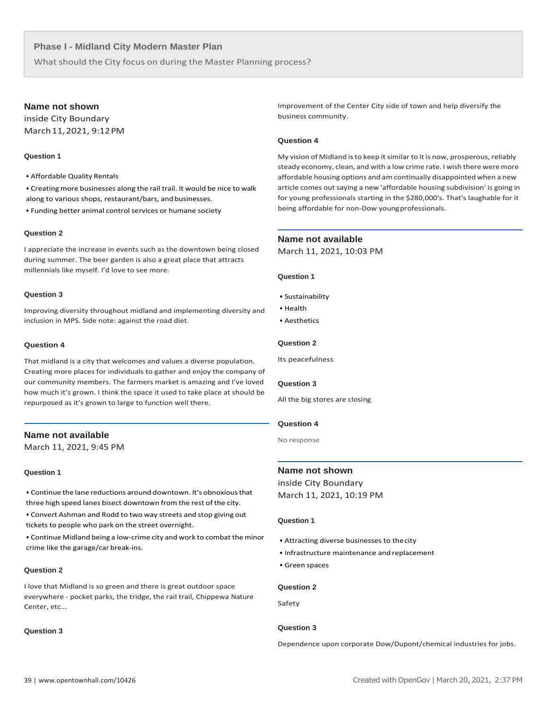What should the City focus on during the Master Planning process?

# **Name not shown**

inside City Boundary March11,2021, 9:12PM

# **Question 1**

- Affordable Quality Rentals
- Creating more businesses along the rail trail. It would be nice to walk along to various shops, restaurant/bars, and businesses.
- Funding better animal control services or humane society

#### **Question 2**

I appreciate the increase in events such as the downtown being closed during summer. The beer garden is also a great place that attracts millennials like myself. I'd love to see more.

#### **Question 3**

Improving diversity throughout midland and implementing diversity and inclusion in MPS. Side note: against the road diet.

# **Question 4**

That midland is a city that welcomes and values a diverse population. Creating more places for individuals to gather and enjoy the company of our community members. The farmers market is amazing and I've loved how much it's grown. I think the space it used to take place at should be repurposed as it's grown to large to function well there.

# **Name not available**

March 11, 2021, 9:45 PM

# **Question 1**

• Continue the lane reductions around downtown. It's obnoxiousthat three high speed lanes bisect downtown from the rest of the city.

• Convert Ashman and Rodd to two way streets and stop giving out tickets to people who park on the street overnight.

• Continue Midland being a low-crime city and work to combat the minor crime like the garage/car break-ins.

# **Question 2**

I love that Midland is so green and there is great outdoor space everywhere - pocket parks, the tridge, the rail trail, Chippewa Nature Center, etc...

# **Question 3**

Improvement of the Center City side of town and help diversify the business community.

# **Question 4**

My vision of Midland is to keep it similar to it is now, prosperous, reliably steady economy, clean, and with a low crime rate. I wish there weremore affordable housing options and am continually disappointed when a new article comes out saying a new 'affordable housing subdivision' is going in for young professionals starting in the \$280,000's. That's laughable for it being affordable for non-Dow youngprofessionals.

# **Name not available**

March 11, 2021, 10:03 PM

#### **Question 1**

- Sustainability
- Health
- Aesthetics

# **Question 2**

Its peacefulness

#### **Question 3**

All the big stores are closing

#### **Question 4**

No response

# **Name not shown**

inside City Boundary March 11, 2021, 10:19 PM

#### **Question 1**

- Attracting diverse businesses to thecity
- Infrastructure maintenance and replacement
- Green spaces

# **Question 2**

Safety

# **Question 3**

Dependence upon corporate Dow/Dupont/chemical industries for jobs.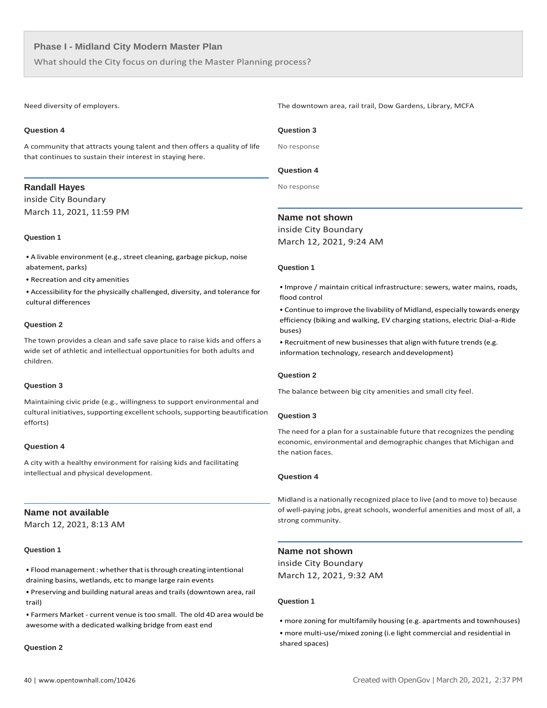What should the City focus on during the Master Planning process?

Need diversity of employers.

#### **Question 4**

A community that attracts young talent and then offers a quality of life that continues to sustain their interest in staying here.

# **Randall Hayes**

inside City Boundary March 11, 2021, 11:59 PM

# **Question 1**

• A livable environment (e.g., street cleaning, garbage pickup, noise abatement, parks)

• Recreation and city amenities

• Accessibility for the physically challenged, diversity, and tolerance for cultural differences

#### **Question 2**

The town provides a clean and safe save place to raise kids and offers a wide set of athletic and intellectual opportunities for both adults and children.

# **Question 3**

Maintaining civic pride (e.g., willingness to support environmental and cultural initiatives, supporting excellent schools, supporting beautification efforts)

# **Question 4**

A city with a healthy environment for raising kids and facilitating intellectual and physical development.

# **Name not available**

March 12, 2021, 8:13 AM

# **Question 1**

• Flood management: whether that is through creating intentional draining basins, wetlands, etc to mange large rain events

• Preserving and building natural areas and trails(downtown area, rail trail)

• Farmers Market - current venue istoo small. The old 4D area would be awesome with a dedicated walking bridge from east end

#### **Question 2**

The downtown area, rail trail, Dow Gardens, Library, MCFA

#### **Question 3**

No response

# **Question 4**

No response

# **Name not shown**

inside City Boundary March 12, 2021, 9:24 AM

# **Question 1**

• Improve / maintain critical infrastructure: sewers, water mains, roads, flood control

• Continue to improve the livability of Midland, especially towards energy efficiency (biking and walking, EV charging stations, electric Dial-a-Ride buses)

• Recruitment of new businesses that align with future trends(e.g. information technology, research and development)

# **Question 2**

The balance between big city amenities and small city feel.

#### **Question 3**

The need for a plan for a sustainable future that recognizes the pending economic, environmental and demographic changes that Michigan and the nation faces.

# **Question 4**

 Midland is a nationally recognized place to live (and to move to) because of well-paying jobs, great schools, wonderful amenities and most of all, a strong community.

# **Name not shown**

inside City Boundary March 12, 2021, 9:32 AM

- more zoning for multifamily housing (e.g. apartments and townhouses)
- more multi-use/mixed zoning (i.e light commercial and residential in shared spaces)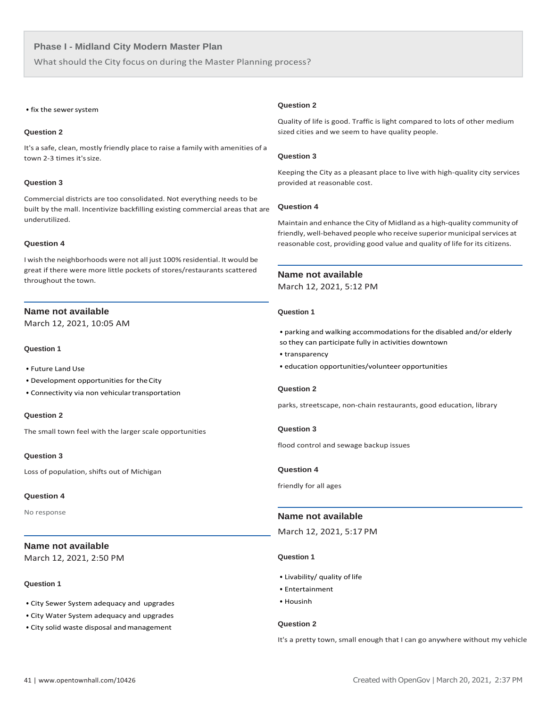What should the City focus on during the Master Planning process?

#### • fix the sewer system

# **Question 2**

It's a safe, clean, mostly friendly place to raise a family with amenities of a town 2-3 times it's size.

# **Question 3**

Commercial districts are too consolidated. Not everything needs to be built by the mall. Incentivize backfilling existing commercial areas that are underutilized.

#### **Question 4**

I wish the neighborhoods were not all just 100% residential. It would be great if there were more little pockets of stores/restaurants scattered throughout the town.

# **Name not available**

March 12, 2021, 10:05 AM

#### **Question 1**

- Future Land Use
- Development opportunities for theCity
- Connectivity via non vehiculartransportation

#### **Question 2**

The small town feel with the larger scale opportunities

# **Question 3**

Loss of population, shifts out of Michigan

# **Question 4**

No response

# **Name not available**

March 12, 2021, 2:50 PM

# **Question 1**

- City Sewer System adequacy and upgrades
- City Water System adequacy and upgrades
- City solid waste disposal and management

#### **Question 2**

Quality of life is good. Traffic is light compared to lots of other medium sized cities and we seem to have quality people.

# **Question 3**

Keeping the City as a pleasant place to live with high-quality city services provided at reasonable cost.

#### **Question 4**

Maintain and enhance the City of Midland as a high-quality community of friendly, well-behaved people who receive superior municipal services at reasonable cost, providing good value and quality of life for its citizens.

# **Name not available**

March 12, 2021, 5:12 PM

#### **Question 1**

• parking and walking accommodations for the disabled and/or elderly so they can participate fully in activities downtown

- transparency
- education opportunities/volunteer opportunities

# **Question 2**

parks, streetscape, non-chain restaurants, good education, library

#### **Question 3**

flood control and sewage backup issues

#### **Question 4**

friendly for all ages

# **Name not available**

March 12, 2021, 5:17 PM

#### **Question 1**

- Livability/ quality of life
- Entertainment
- Housinh

# **Question 2**

It's a pretty town, small enough that I can go anywhere without my vehicle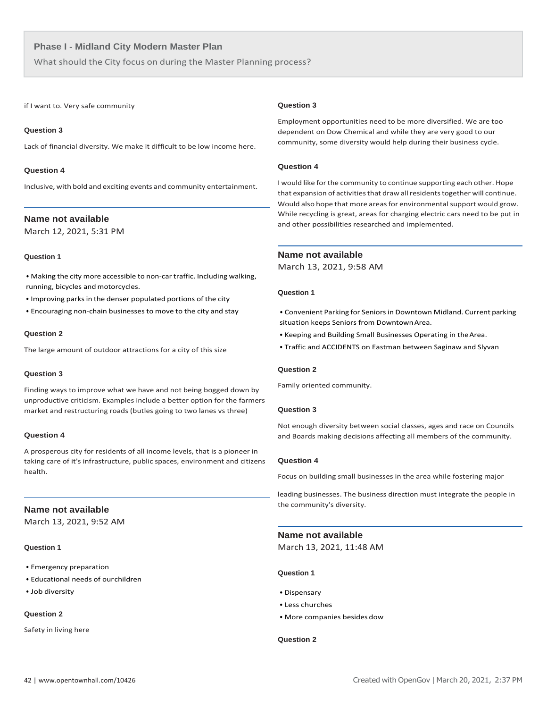What should the City focus on during the Master Planning process?

if I want to. Very safe community

# **Question 3**

Lack of financial diversity. We make it difficult to be low income here.

#### **Question 4**

Inclusive, with bold and exciting events and community entertainment.

# **Name not available**

March 12, 2021, 5:31 PM

# **Question 1**

• Making the city more accessible to non-car traffic. Including walking, running, bicycles and motorcycles.

- Improving parks in the denser populated portions of the city
- Encouraging non-chain businesses to move to the city and stay

# **Question 2**

The large amount of outdoor attractions for a city of this size

# **Question 3**

Finding ways to improve what we have and not being bogged down by unproductive criticism. Examples include a better option for the farmers market and restructuring roads (butles going to two lanes vs three)

# **Question 4**

A prosperous city for residents of all income levels, that is a pioneer in taking care of it's infrastructure, public spaces, environment and citizens health.

# **Name not available**

March 13, 2021, 9:52 AM

#### **Question 1**

- Emergency preparation
- Educational needs of ourchildren
- Job diversity

# **Question 2**

Safety in living here

#### **Question 3**

Employment opportunities need to be more diversified. We are too dependent on Dow Chemical and while they are very good to our community, some diversity would help during their business cycle.

# **Question 4**

I would like for the community to continue supporting each other. Hope that expansion of activities that draw all residents together will continue. Would also hope that more areas for environmental support would grow. While recycling is great, areas for charging electric cars need to be put in and other possibilities researched and implemented.

# **Name not available**

March 13, 2021, 9:58 AM

#### **Question 1**

- Convenient Parking for Seniors in Downtown Midland. Current parking situation keeps Seniors from DowntownArea.
- Keeping and Building Small Businesses Operating in theArea.
- Traffic and ACCIDENTS on Eastman between Saginaw and Slyvan

# **Question 2**

Family oriented community.

#### **Question 3**

Not enough diversity between social classes, ages and race on Councils and Boards making decisions affecting all members of the community.

#### **Question 4**

Focus on building small businesses in the area while fostering major

 leading businesses. The business direction must integrate the people in the community's diversity.

# **Name not available**

March 13, 2021, 11:48 AM

# **Question 1**

- Dispensary
- Less churches
- More companies besides dow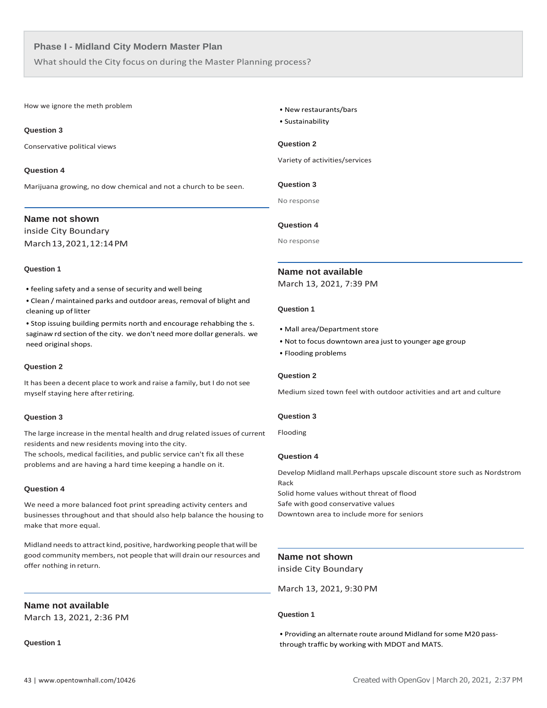What should the City focus on during the Master Planning process?

How we ignore the meth problem

# **Question 3**

Conservative political views

# **Question 4**

Marijuana growing, no dow chemical and not a church to be seen.

# **Name not shown**

inside City Boundary March13,2021,12:14PM

# **Question 1**

• feeling safety and a sense of security and well being

• Clean / maintained parks and outdoor areas, removal of blight and cleaning up of litter

• Stop issuing building permits north and encourage rehabbing the s. saginaw rd section of the city. we don't need more dollar generals. we need original shops.

# **Question 2**

It has been a decent place to work and raise a family, but I do not see myself staying here afterretiring.

# **Question 3**

The large increase in the mental health and drug related issues of current residents and new residents moving into the city.

The schools, medical facilities, and public service can't fix all these problems and are having a hard time keeping a handle on it.

# **Question 4**

We need a more balanced foot print spreading activity centers and businesses throughout and that should also help balance the housing to make that more equal.

Midland needsto attract kind, positive, hardworking people that will be good community members, not people that will drain our resources and offer nothing in return.

# **Name not available**

March 13, 2021, 2:36 PM

**Question 1**

# • New restaurants/bars

• Sustainability

# **Question 2**

Variety of activities/services

**Question 3**

No response

# **Question 4**

No response

# **Name not available**

March 13, 2021, 7:39 PM

# **Question 1**

- Mall area/Department store
- Not to focus downtown area just to younger age group
- Flooding problems

# **Question 2**

Medium sized town feel with outdoor activities and art and culture

# **Question 3**

Flooding

# **Question 4**

Develop Midland mall.Perhaps upscale discount store such as Nordstrom Rack

Solid home values without threat of flood Safe with good conservative values Downtown area to include more for seniors

# **Name not shown**

inside City Boundary

March 13, 2021, 9:30 PM

# **Question 1**

• Providing an alternate route around Midland forsome M20 passthrough traffic by working with MDOT and MATS.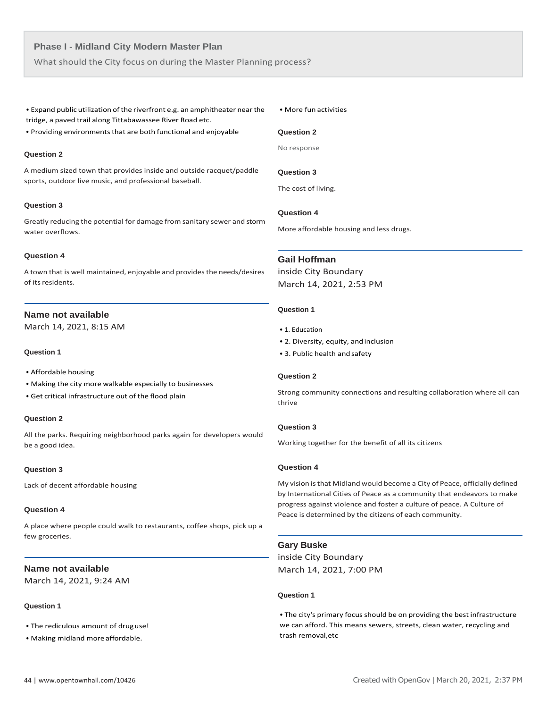What should the City focus on during the Master Planning process?

• Expand public utilization of the riverfront e.g. an amphitheater near the tridge, a paved trail along Tittabawassee River Road etc.

• Providing environments that are both functional and enjoyable

#### **Question 2**

A medium sized town that provides inside and outside racquet/paddle sports, outdoor live music, and professional baseball.

# **Question 3**

Greatly reducing the potential for damage from sanitary sewer and storm water overflows.

#### **Question 4**

A town that is well maintained, enjoyable and provides the needs/desires of its residents.

# **Name not available**

March 14, 2021, 8:15 AM

# **Question 1**

- Affordable housing
- Making the city more walkable especially to businesses
- Get critical infrastructure out of the flood plain

#### **Question 2**

All the parks. Requiring neighborhood parks again for developers would be a good idea.

#### **Question 3**

Lack of decent affordable housing

#### **Question 4**

A place where people could walk to restaurants, coffee shops, pick up a few groceries.

# **Name not available**

March 14, 2021, 9:24 AM

# **Question 1**

- The rediculous amount of druguse!
- Making midland more affordable.

#### • More fun activities

# **Question 2**

No response

# **Question 3**

The cost of living.

# **Question 4**

More affordable housing and less drugs.

# **Gail Hoffman**

inside City Boundary March 14, 2021, 2:53 PM

# **Question 1**

- 1. Education
- 2. Diversity, equity, andinclusion
- 3. Public health and safety

# **Question 2**

Strong community connections and resulting collaboration where all can thrive

# **Question 3**

Working together for the benefit of all its citizens

# **Question 4**

My vision isthat Midland would become a City of Peace, officially defined by International Cities of Peace as a community that endeavors to make progress against violence and foster a culture of peace. A Culture of Peace is determined by the citizens of each community.

## **Gary Buske**

inside City Boundary March 14, 2021, 7:00 PM

# **Question 1**

• The city's primary focus should be on providing the best infrastructure we can afford. This means sewers, streets, clean water, recycling and trash removal,etc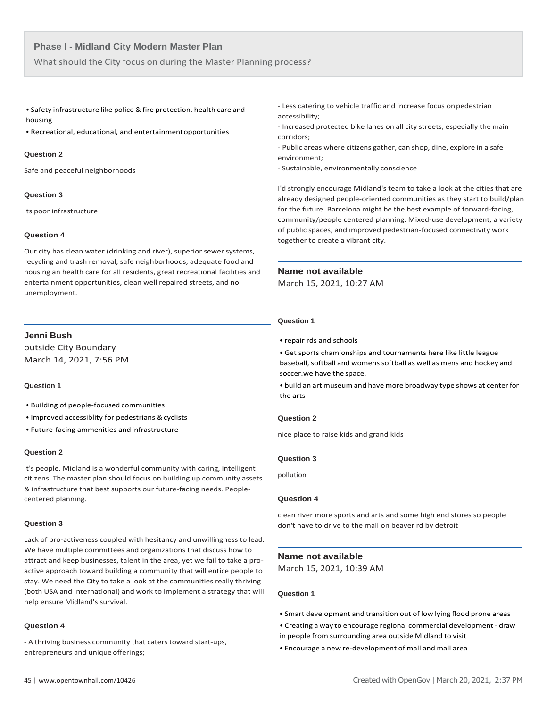What should the City focus on during the Master Planning process?

• Safety infrastructure like police & fire protection, health care and housing

• Recreational, educational, and entertainmentopportunities

#### **Question 2**

Safe and peaceful neighborhoods

## **Question 3**

Its poor infrastructure

# **Question 4**

Our city has clean water (drinking and river), superior sewer systems, recycling and trash removal, safe neighborhoods, adequate food and housing an health care for all residents, great recreational facilities and entertainment opportunities, clean well repaired streets, and no unemployment.

# **Jenni Bush**

outside City Boundary March 14, 2021, 7:56 PM

# **Question 1**

- Building of people-focused communities
- Improved accessiblity for pedestrians & cyclists
- Future-facing ammenities and infrastructure

#### **Question 2**

It's people. Midland is a wonderful community with caring, intelligent citizens. The master plan should focus on building up community assets & infrastructure that best supports our future-facing needs. Peoplecentered planning.

#### **Question 3**

Lack of pro-activeness coupled with hesitancy and unwillingness to lead. We have multiple committees and organizations that discuss how to attract and keep businesses, talent in the area, yet we fail to take a proactive approach toward building a community that will entice people to stay. We need the City to take a look at the communities really thriving (both USA and international) and work to implement a strategy that will help ensure Midland's survival.

#### **Question 4**

- A thriving business community that caters toward start-ups, entrepreneurs and unique offerings;

- Less catering to vehicle traffic and increase focus onpedestrian accessibility;

- Increased protected bike lanes on all city streets, especially the main corridors;

- Public areas where citizens gather, can shop, dine, explore in a safe environment;

- Sustainable, environmentally conscience

I'd strongly encourage Midland's team to take a look at the cities that are already designed people-oriented communities as they start to build/plan for the future. Barcelona might be the best example of forward-facing, community/people centered planning. Mixed-use development, a variety of public spaces, and improved pedestrian-focused connectivity work together to create a vibrant city.

# **Name not available**

March 15, 2021, 10:27 AM

#### **Question 1**

• repair rds and schools

• Get sports chamionships and tournaments here like little league baseball, softball and womens softball as well as mens and hockey and soccer.we have the space.

• build an art museum and have more broadway type shows at center for the arts

# **Question 2**

nice place to raise kids and grand kids

# **Question 3**

pollution

# **Question 4**

clean river more sports and arts and some high end stores so people don't have to drive to the mall on beaver rd by detroit

# **Name not available**

March 15, 2021, 10:39 AM

- Smart development and transition out of low lying flood prone areas
- Creating a way to encourage regional commercial development draw
- in people from surrounding area outside Midland to visit
- Encourage a new re-development of mall and mall area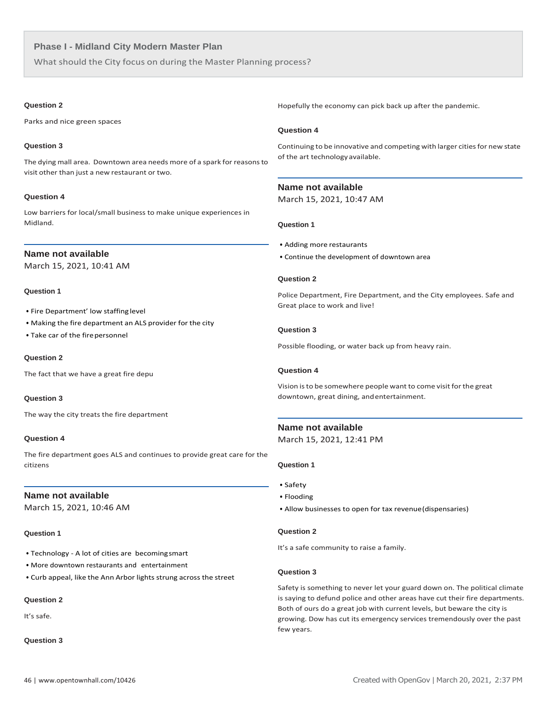What should the City focus on during the Master Planning process?

# **Question 2**

Parks and nice green spaces

# **Question 3**

The dying mall area. Downtown area needs more of a spark for reasonsto visit other than just a new restaurant or two.

# **Question 4**

Low barriers for local/small business to make unique experiences in Midland.

# **Name not available**

March 15, 2021, 10:41 AM

# **Question 1**

- Fire Department' low staffing level
- Making the fire department an ALS provider for the city
- Take car of the fire personnel

# **Question 2**

The fact that we have a great fire depu

# **Question 3**

The way the city treats the fire department

# **Question 4**

The fire department goes ALS and continues to provide great care for the citizens

# **Name not available**

March 15, 2021, 10:46 AM

# **Question 1**

- Technology A lot of cities are becomingsmart
- More downtown restaurants and entertainment
- Curb appeal, like the Ann Arbor lights strung across the street

# **Question 2**

It's safe.

# **Question 3**

Hopefully the economy can pick back up after the pandemic.

# **Question 4**

Continuing to be innovative and competing with larger cities for new state of the art technology available.

# **Name not available**

March 15, 2021, 10:47 AM

# **Question 1**

- Adding more restaurants
- Continue the development of downtown area

# **Question 2**

Police Department, Fire Department, and the City employees. Safe and Great place to work and live!

# **Question 3**

Possible flooding, or water back up from heavy rain.

# **Question 4**

Vision isto be somewhere people want to come visit forthe great downtown, great dining, andentertainment.

# **Name not available**

March 15, 2021, 12:41 PM

# **Question 1**

- Safety
- Flooding
- Allow businesses to open for tax revenue(dispensaries)

# **Question 2**

It's a safe community to raise a family.

# **Question 3**

Safety is something to never let your guard down on. The political climate is saying to defund police and other areas have cut their fire departments. Both of ours do a great job with current levels, but beware the city is growing. Dow has cut its emergency services tremendously over the past few years.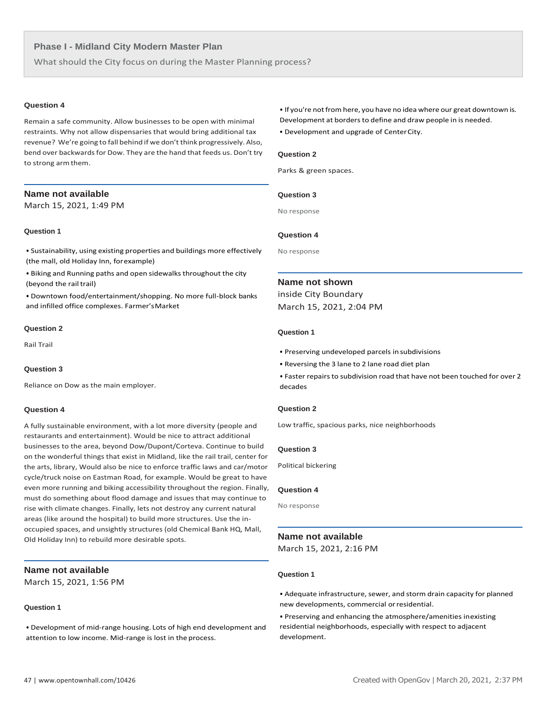What should the City focus on during the Master Planning process?

#### **Question 4**

Remain a safe community. Allow businesses to be open with minimal restraints. Why not allow dispensaries that would bring additional tax revenue? We're going to fall behind if we don't think progressively. Also, bend over backwards for Dow. They are the hand that feeds us. Don't try to strong armthem.

# **Name not available**

March 15, 2021, 1:49 PM

# **Question 1**

• Sustainability, using existing properties and buildings more effectively (the mall, old Holiday Inn, forexample)

• Biking and Running paths and open sidewalks throughout the city (beyond the rail trail)

• Downtown food/entertainment/shopping. No more full-block banks and infilled office complexes. Farmer'sMarket

# **Question 2**

Rail Trail

# **Question 3**

Reliance on Dow as the main employer.

#### **Question 4**

A fully sustainable environment, with a lot more diversity (people and restaurants and entertainment). Would be nice to attract additional businesses to the area, beyond Dow/Dupont/Corteva. Continue to build on the wonderful things that exist in Midland, like the rail trail, center for the arts, library, Would also be nice to enforce traffic laws and car/motor cycle/truck noise on Eastman Road, for example. Would be great to have even more running and biking accessibility throughout the region. Finally, must do something about flood damage and issues that may continue to rise with climate changes. Finally, lets not destroy any current natural areas (like around the hospital) to build more structures. Use the inoccupied spaces, and unsightly structures (old Chemical Bank HQ, Mall, Old Holiday Inn) to rebuild more desirable spots.

# **Name not available**

March 15, 2021, 1:56 PM

# **Question 1**

• Development of mid-range housing. Lots of high end development and attention to low income. Mid-range is lost in the process.

- If you're not from here, you have no idea where our great downtown is.
- Development at borders to define and draw people in is needed.
- Development and upgrade of CenterCity.

# **Question 2**

Parks & green spaces.

#### **Question 3**

No response

# **Question 4**

No response

#### **Name not shown**

inside City Boundary March 15, 2021, 2:04 PM

# **Question 1**

- Preserving undeveloped parcels insubdivisions
- Reversing the 3 lane to 2 lane road diet plan
- Faster repairs to subdivision road that have not been touched for over 2 decades

# **Question 2**

Low traffic, spacious parks, nice neighborhoods

#### **Question 3**

Political bickering

#### **Question 4**

No response

# **Name not available**

March 15, 2021, 2:16 PM

# **Question 1**

• Adequate infrastructure, sewer, and storm drain capacity for planned new developments, commercial orresidential.

• Preserving and enhancing the atmosphere/amenities inexisting residential neighborhoods, especially with respect to adjacent development.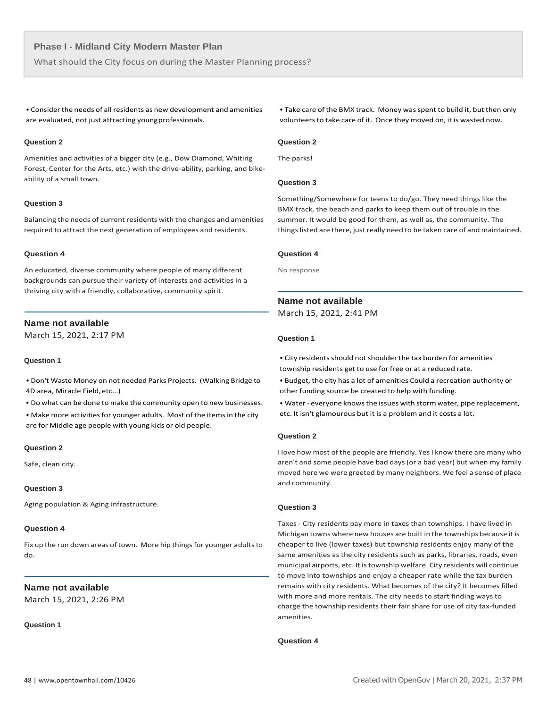What should the City focus on during the Master Planning process?

• Consider the needs of all residents as new development and amenities are evaluated, not just attracting youngprofessionals.

# **Question 2**

Amenities and activities of a bigger city (e.g., Dow Diamond, Whiting Forest, Center for the Arts, etc.) with the drive-ability, parking, and bikeability of a small town.

# **Question 3**

Balancing the needs of current residents with the changes and amenities required to attract the next generation of employees and residents.

#### **Question 4**

An educated, diverse community where people of many different backgrounds can pursue their variety of interests and activities in a thriving city with a friendly, collaborative, community spirit.

# **Name not available**

March 15, 2021, 2:17 PM

# **Question 1**

• Don't Waste Money on not needed Parks Projects. (Walking Bridge to 4D area, Miracle Field,etc...)

• Do what can be done to make the community open to new businesses.

• Make more activities for younger adults. Most of the items in the city are for Middle age people with young kids or old people.

#### **Question 2**

Safe, clean city.

# **Question 3**

Aging population & Aging infrastructure.

#### **Question 4**

Fix up the run down areas of town. More hip things for younger adults to do.

# **Name not available**

March 15, 2021, 2:26 PM

**Question 1**

• Take care of the BMX track. Money wasspent to build it, but then only volunteers to take care of it. Once they moved on, it is wasted now.

# **Question 2**

The parks!

# **Question 3**

Something/Somewhere for teens to do/go. They need things like the BMX track, the beach and parks to keep them out of trouble in the summer. It would be good for them, as well as, the community. The things listed are there, just really need to be taken care of and maintained.

#### **Question 4**

No response

# **Name not available**

March 15, 2021, 2:41 PM

# **Question 1**

• City residents should not shoulder the tax burden for amenities township residents get to use for free or at a reduced rate.

- Budget, the city has a lot of amenities Could a recreation authority or other funding source be created to help with funding.
- Water everyone knows the issues with storm water, pipe replacement, etc. It isn't glamourous but it is a problem and it costs a lot.

# **Question 2**

I love how most of the people are friendly. Yes I know there are many who aren't and some people have bad days (or a bad year) but when my family moved here we were greeted by many neighbors. We feel a sense of place and community.

# **Question 3**

Taxes - City residents pay more in taxes than townships. I have lived in Michigan towns where new houses are built in the townships because it is cheaper to live (lower taxes) but township residents enjoy many of the same amenities as the city residents such as parks, libraries, roads, even municipal airports, etc. It istownship welfare. City residents will continue to move into townships and enjoy a cheaper rate while the tax burden remains with city residents. What becomes of the city? It becomes filled with more and more rentals. The city needs to start finding ways to charge the township residents their fair share for use of city tax-funded amenities.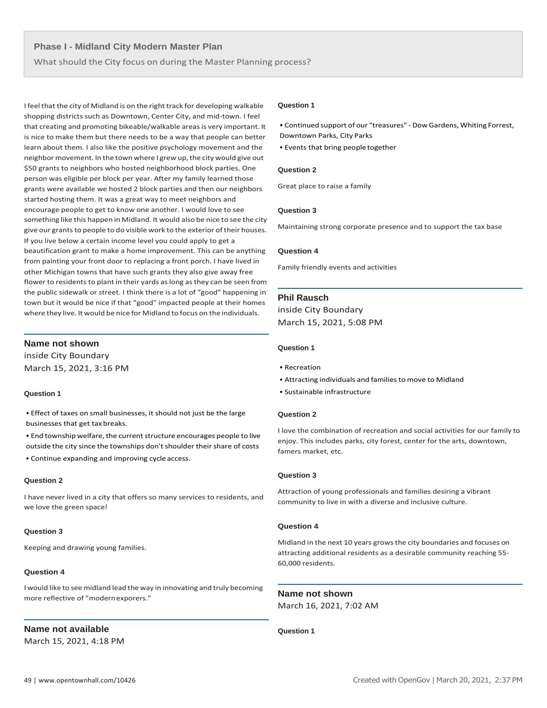What should the City focus on during the Master Planning process?

I feel that the city of Midland is on the right track for developing walkable shopping districts such as Downtown, Center City, and mid-town. I feel that creating and promoting bikeable/walkable areas is very important. It is nice to make them but there needs to be a way that people can better learn about them. I also like the positive psychology movement and the neighbor movement. In the town where I grew up, the city would give out \$50 grants to neighbors who hosted neighborhood block parties. One person was eligible per block per year. After my family learned those grants were available we hosted 2 block parties and then our neighbors started hosting them. It was a great way to meet neighbors and encourage people to get to know one another. I would love to see something like this happen in Midland. It would also be nice to see the city give our grants to people to do visible work to the exterior of their houses. If you live below a certain income level you could apply to get a beautification grant to make a home improvement. This can be anything from painting your front door to replacing a front porch. I have lived in other Michigan towns that have such grants they also give away free flower to residents to plant in their yards as long as they can be seen from the public sidewalk or street. I think there is a lot of "good" happening in town but it would be nice if that "good" impacted people at their homes where they live. It would be nice for Midland to focus on the individuals.

# **Name not shown**

inside City Boundary March 15, 2021, 3:16 PM

#### **Question 1**

• Effect of taxes on small businesses, it should not just be the large businesses that get tax breaks.

• End township welfare, the current structure encourages people to live outside the city since the townships don't shoulder their share of costs

• Continue expanding and improving cycle access.

#### **Question 2**

I have never lived in a city that offers so many services to residents, and we love the green space!

# **Question 3**

Keeping and drawing young families.

# **Question 4**

I would like to see midland lead the way in innovating and truly becoming more reflective of "modernexporers."

# **Name not available**

March 15, 2021, 4:18 PM

#### **Question 1**

• Continued support of our "treasures" - Dow Gardens, Whiting Forrest, Downtown Parks, City Parks

• Events that bring people together

#### **Question 2**

Great place to raise a family

# **Question 3**

Maintaining strong corporate presence and to support the tax base

#### **Question 4**

Family friendly events and activities

# **Phil Rausch**

inside City Boundary March 15, 2021, 5:08 PM

# **Question 1**

- Recreation
- Attracting individuals and families to move to Midland
- Sustainable infrastructure

#### **Question 2**

I love the combination of recreation and social activities for our family to enjoy. This includes parks, city forest, center for the arts, downtown, famers market, etc.

#### **Question 3**

Attraction of young professionals and families desiring a vibrant community to live in with a diverse and inclusive culture.

# **Question 4**

Midland in the next 10 years grows the city boundaries and focuses on attracting additional residents as a desirable community reaching 55- 60,000 residents.

**Name not shown**

March 16, 2021, 7:02 AM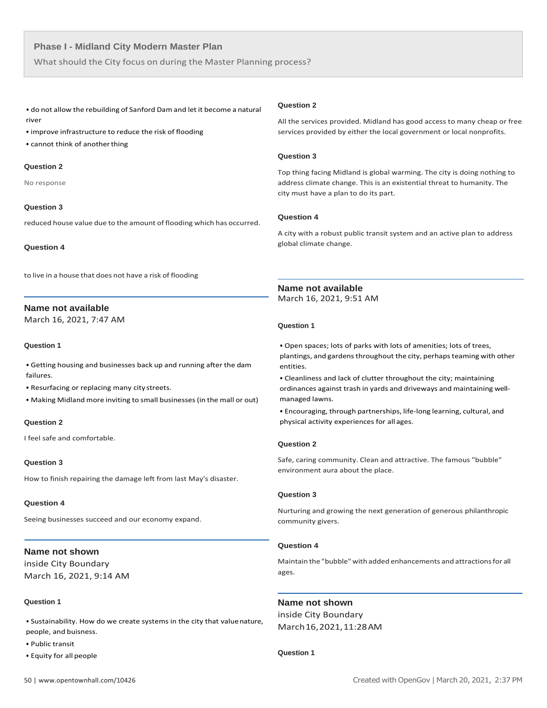What should the City focus on during the Master Planning process?

• do not allow the rebuilding of Sanford Dam and let it become a natural river

- improve infrastructure to reduce the risk of flooding
- cannot think of anotherthing

#### **Question 2**

No response

#### **Question 3**

reduced house value due to the amount of flooding which has occurred.

**Question 4**

to live in a house that does not have a risk of flooding

# **Name not available**

March 16, 2021, 7:47 AM

# **Question 1**

• Getting housing and businesses back up and running after the dam failures.

• Resurfacing or replacing many city streets.

• Making Midland more inviting to small businesses(in the mall or out)

# **Question 2**

I feel safe and comfortable.

# **Question 3**

How to finish repairing the damage left from last May's disaster.

#### **Question 4**

Seeing businesses succeed and our economy expand.

# **Name not shown**

inside City Boundary March 16, 2021, 9:14 AM

#### **Question 1**

• Sustainability. How do we create systems in the city that valuenature, people, and buisness.

- Public transit
- Equity for all people

# **Question 2**

All the services provided. Midland has good access to many cheap or free services provided by either the local government or local nonprofits.

# **Question 3**

Top thing facing Midland is global warming. The city is doing nothing to address climate change. This is an existential threat to humanity. The city must have a plan to do its part.

# **Question 4**

A city with a robust public transit system and an active plan to address global climate change.

# **Name not available**

March 16, 2021, 9:51 AM

# **Question 1**

• Open spaces; lots of parks with lots of amenities; lots of trees, plantings, and gardens throughout the city, perhaps teaming with other entities.

• Cleanliness and lack of clutter throughout the city; maintaining ordinances against trash in yards and driveways and maintaining wellmanaged lawns.

• Encouraging, through partnerships, life-long learning, cultural, and physical activity experiences for all ages.

# **Question 2**

Safe, caring community. Clean and attractive. The famous "bubble" environment aura about the place.

#### **Question 3**

Nurturing and growing the next generation of generous philanthropic community givers.

# **Question 4**

Maintain the "bubble" with added enhancements and attractionsfor all ages.

#### **Name not shown**

inside City Boundary March16,2021,11:28AM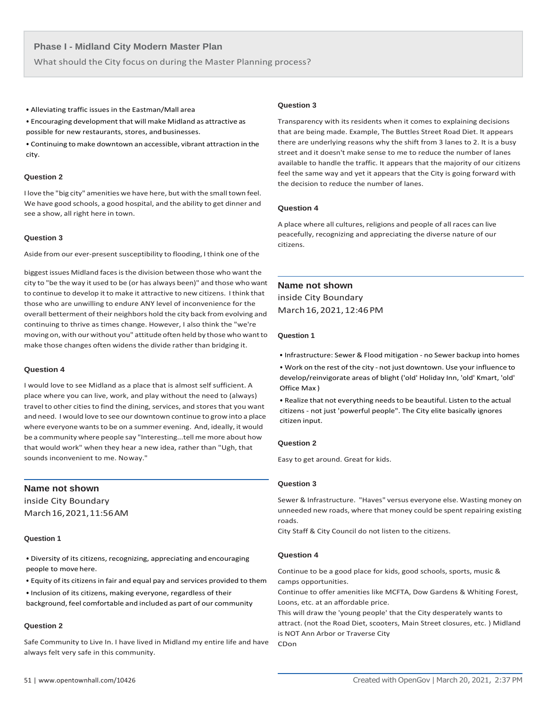What should the City focus on during the Master Planning process?

• Alleviating traffic issues in the Eastman/Mall area

• Encouraging development that will make Midland as attractive as possible for new restaurants, stores, and businesses.

• Continuing to make downtown an accessible, vibrant attraction in the city.

# **Question 2**

I love the "big city" amenities we have here, but with the small town feel. We have good schools, a good hospital, and the ability to get dinner and see a show, all right here in town.

# **Question 3**

Aside from our ever-present susceptibility to flooding, I think one of the

biggest issues Midland faces is the division between those who want the city to "be the way it used to be (or has always been)" and those who want to continue to develop it to make it attractive to new citizens. I think that those who are unwilling to endure ANY level of inconvenience for the overall betterment of their neighbors hold the city back from evolving and continuing to thrive as times change. However, I also think the "we're moving on, with our without you" attitude often held by those who want to make those changes often widensthe divide rather than bridging it.

# **Question 4**

I would love to see Midland as a place that is almost self sufficient. A place where you can live, work, and play without the need to (always) travel to other cities to find the dining, services, and stores that you want and need. I would love to see our downtown continue to grow into a place where everyone wants to be on a summer evening. And, ideally, it would be a community where people say "Interesting...tell me more about how that would work" when they hear a new idea, rather than "Ugh, that sounds inconvenient to me. Noway."

# **Name not shown**

inside City Boundary March16,2021,11:56AM

# **Question 1**

- Diversity of its citizens, recognizing, appreciating andencouraging people to move here.
- Equity of its citizens in fair and equal pay and services provided to them
- Inclusion of its citizens, making everyone, regardless of their
- background, feel comfortable and included as part of our community

# **Question 2**

Safe Community to Live In. I have lived in Midland my entire life and have always felt very safe in this community.

# **Question 3**

Transparency with its residents when it comes to explaining decisions that are being made. Example, The Buttles Street Road Diet. It appears there are underlying reasons why the shift from 3 lanes to 2. It is a busy street and it doesn't make sense to me to reduce the number of lanes available to handle the traffic. It appears that the majority of our citizens feel the same way and yet it appears that the City is going forward with the decision to reduce the number of lanes.

# **Question 4**

A place where all cultures, religions and people of all races can live peacefully, recognizing and appreciating the diverse nature of our citizens.

# **Name not shown**

inside City Boundary March16, 2021, 12:46PM

#### **Question 1**

• Infrastructure: Sewer & Flood mitigation - no Sewer backup into homes

• Work on the rest of the city - not just downtown. Use your influence to develop/reinvigorate areas of blight ('old' Holiday Inn, 'old' Kmart, 'old' Office Max )

• Realize that not everything needsto be beautiful. Listen to the actual citizens - not just 'powerful people". The City elite basically ignores citizen input.

# **Question 2**

Easy to get around. Great for kids.

# **Question 3**

Sewer & Infrastructure. "Haves" versus everyone else. Wasting money on unneeded new roads, where that money could be spent repairing existing roads.

City Staff & City Council do not listen to the citizens.

# **Question 4**

Continue to be a good place for kids, good schools, sports, music & camps opportunities.

Continue to offer amenities like MCFTA, Dow Gardens & Whiting Forest, Loons, etc. at an affordable price.

This will draw the 'young people' that the City desperately wants to attract. (not the Road Diet, scooters, Main Street closures, etc. ) Midland is NOT Ann Arbor or Traverse City CDon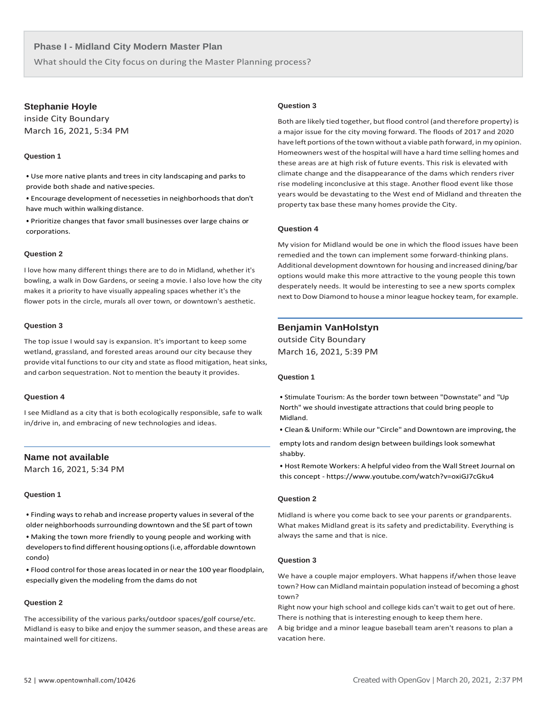What should the City focus on during the Master Planning process?

# **Stephanie Hoyle**

inside City Boundary March 16, 2021, 5:34 PM

# **Question 1**

• Use more native plants and trees in city landscaping and parks to provide both shade and nativespecies.

• Encourage development of necesseties in neighborhoods that don't have much within walking distance.

• Prioritize changes that favor small businesses over large chains or corporations.

#### **Question 2**

I love how many different things there are to do in Midland, whether it's bowling, a walk in Dow Gardens, or seeing a movie. I also love how the city makes it a priority to have visually appealing spaces whether it's the flower pots in the circle, murals all over town, or downtown's aesthetic.

#### **Question 3**

The top issue I would say is expansion. It's important to keep some wetland, grassland, and forested areas around our city because they provide vital functions to our city and state as flood mitigation, heat sinks, and carbon sequestration. Not to mention the beauty it provides.

# **Question 4**

I see Midland as a city that is both ecologically responsible, safe to walk in/drive in, and embracing of new technologies and ideas.

# **Name not available**

March 16, 2021, 5:34 PM

#### **Question 1**

• Finding ways to rehab and increase property values in several of the older neighborhoods surrounding downtown and the SE part of town

• Making the town more friendly to young people and working with developerstofind different housingoptions(i.e, affordable downtown condo)

• Flood control for those areaslocated in or near the 100 year floodplain, especially given the modeling from the dams do not

#### **Question 2**

The accessibility of the various parks/outdoor spaces/golf course/etc. Midland is easy to bike and enjoy the summer season, and these areas are maintained well for citizens.

#### **Question 3**

Both are likely tied together, but flood control (and therefore property) is a major issue for the city moving forward. The floods of 2017 and 2020 have left portions of the town without a viable path forward, in my opinion. Homeowners west of the hospital will have a hard time selling homes and these areas are at high risk of future events. This risk is elevated with climate change and the disappearance of the dams which renders river rise modeling inconclusive at this stage. Another flood event like those years would be devastating to the West end of Midland and threaten the property tax base these many homes provide the City.

#### **Question 4**

My vision for Midland would be one in which the flood issues have been remedied and the town can implement some forward-thinking plans. Additional development downtown for housing and increased dining/bar options would make this more attractive to the young people this town desperately needs. It would be interesting to see a new sports complex next to Dow Diamond to house a minor league hockey team, for example.

# **Benjamin VanHolstyn**

outside City Boundary March 16, 2021, 5:39 PM

#### **Question 1**

• Stimulate Tourism: As the border town between "Downstate" and "Up North" we should investigate attractions that could bring people to Midland.

• Clean&Uniform: While our "Circle" and Downtown are improving, the

empty lots and random design between buildings look somewhat shabby.

• Host Remote Workers: A helpful video from the Wall Street Journal on this concept - [https://www.youtube.com/watch?v=oxiGJ7cGku4](http://www.youtube.com/watch?v=oxiGJ7cGku4)

# **Question 2**

Midland is where you come back to see your parents or grandparents. What makes Midland great is its safety and predictability. Everything is always the same and that is nice.

# **Question 3**

We have a couple major employers. What happens if/when those leave town? How can Midland maintain population instead of becoming a ghost town?

Right now your high school and college kids can't wait to get out of here. There is nothing that is interesting enough to keep them here.

A big bridge and a minor league baseball team aren't reasons to plan a vacation here.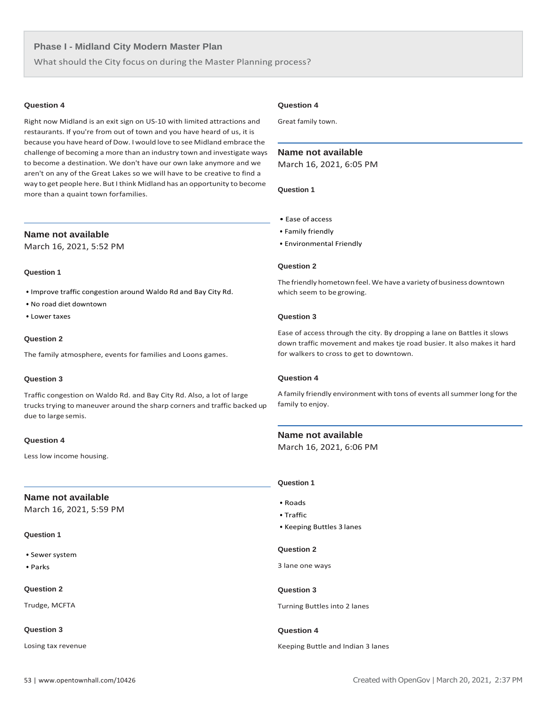What should the City focus on during the Master Planning process?

#### **Question 4**

Right now Midland is an exit sign on US-10 with limited attractions and restaurants. If you're from out of town and you have heard of us, it is because you have heard of Dow. I would love to see Midland embrace the challenge of becoming a more than an industry town and investigate ways to become a destination. We don't have our own lake anymore and we aren't on any of the Great Lakes so we will have to be creative to find a way to get people here. But I think Midland has an opportunity to become more than a quaint town forfamilies.

# **Name not available**

March 16, 2021, 5:52 PM

# **Question 1**

- Improve traffic congestion around Waldo Rd and Bay City Rd.
- No road diet downtown
- Lower taxes

# **Question 2**

The family atmosphere, events for families and Loons games.

#### **Question 3**

Traffic congestion on Waldo Rd. and Bay City Rd. Also, a lot of large trucks trying to maneuver around the sharp corners and traffic backed up due to large semis.

# **Question 4**

Less low income housing.

# **Name not available**

March 16, 2021, 5:59 PM

#### **Question 1**

- Sewer system
- Parks

#### **Question 2**

Trudge, MCFTA

# **Question 3**

Losing tax revenue

# **Question 4**

Great family town.

# **Name not available**

March 16, 2021, 6:05 PM

# **Question 1**

- Ease of access
- Family friendly
- Environmental Friendly

## **Question 2**

The friendly hometown feel. We have a variety of business downtown which seem to be growing.

# **Question 3**

Ease of access through the city. By dropping a lane on Battles it slows down traffic movement and makes tje road busier. It also makes it hard for walkers to cross to get to downtown.

# **Question 4**

A family friendly environment with tons of events all summer long for the family to enjoy.

# **Name not available**

March 16, 2021, 6:06 PM

# **Question 1**

- Roads
- Traffic
- Keeping Buttles 3 lanes

#### **Question 2**

3 lane one ways

# **Question 3**

Turning Buttles into 2 lanes

# **Question 4**

Keeping Buttle and Indian 3 lanes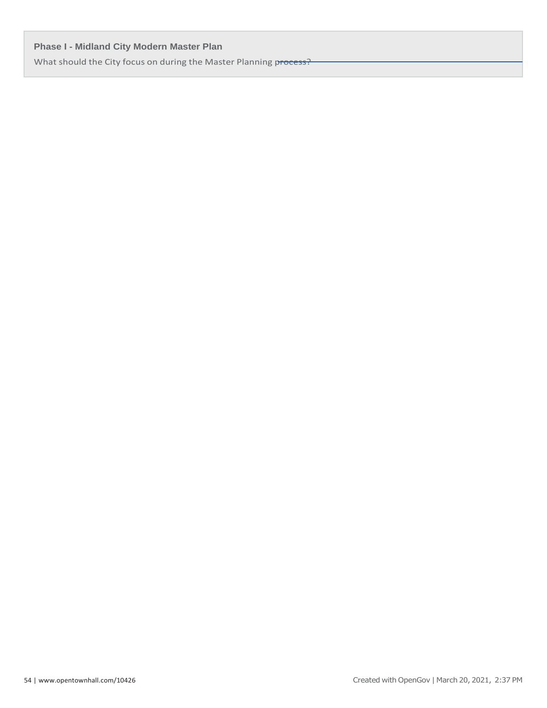What should the City focus on during the Master Planning process?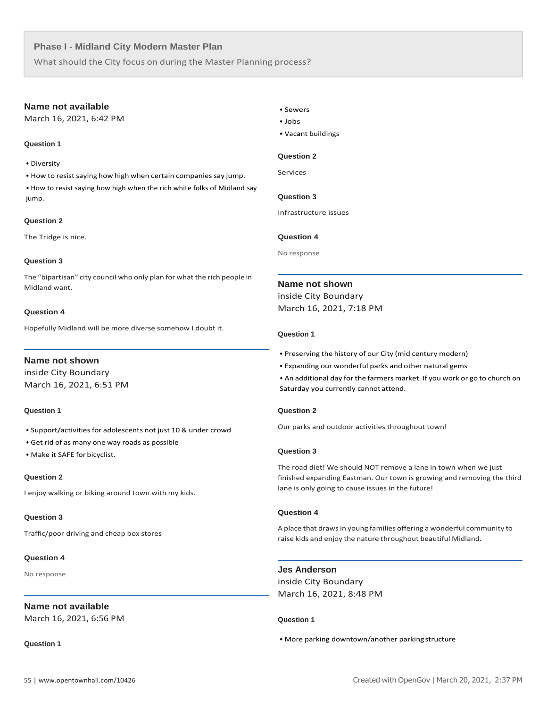What should the City focus on during the Master Planning process?

# **Name not available**

March 16, 2021, 6:42 PM

# **Question 1**

• Diversity

• How to resist saying how high when certain companies say jump.

• How to resist saying how high when the rich white folks of Midland say jump.

# **Question 2**

The Tridge is nice.

# **Question 3**

The "bipartisan" city council who only plan for what the rich people in Midland want.

# **Question 4**

Hopefully Midland will be more diverse somehow I doubt it.

# **Name not shown**

inside City Boundary March 16, 2021, 6:51 PM

# **Question 1**

- Support/activities for adolescents not just 10 & under crowd
- Get rid of as many one way roads as possible
- Make it SAFE for bicyclist.

# **Question 2**

I enjoy walking or biking around town with my kids.

# **Question 3**

Traffic/poor driving and cheap box stores

# **Question 4**

No response

# **Name not available**

March 16, 2021, 6:56 PM

# **Question 1**

- Sewers
- Jobs
- Vacant buildings

# **Question 2**

Services

# **Question 3**

Infrastructure issues

# **Question 4**

No response

# **Name not shown**

inside City Boundary March 16, 2021, 7:18 PM

# **Question 1**

- Preserving the history of our City (mid century modern)
- Expanding our wonderful parks and other natural gems
- An additional day for the farmers market. If you work or go to church on Saturday you currently cannot attend.

# **Question 2**

Our parks and outdoor activities throughout town!

# **Question 3**

The road diet! We should NOT remove a lane in town when we just finished expanding Eastman. Our town is growing and removing the third lane is only going to cause issues in the future!

# **Question 4**

A place that drawsin young families offering a wonderful community to raise kids and enjoy the nature throughout beautiful Midland.

# **Jes Anderson**

inside City Boundary March 16, 2021, 8:48 PM

# **Question 1**

# • More parking downtown/another parkingstructure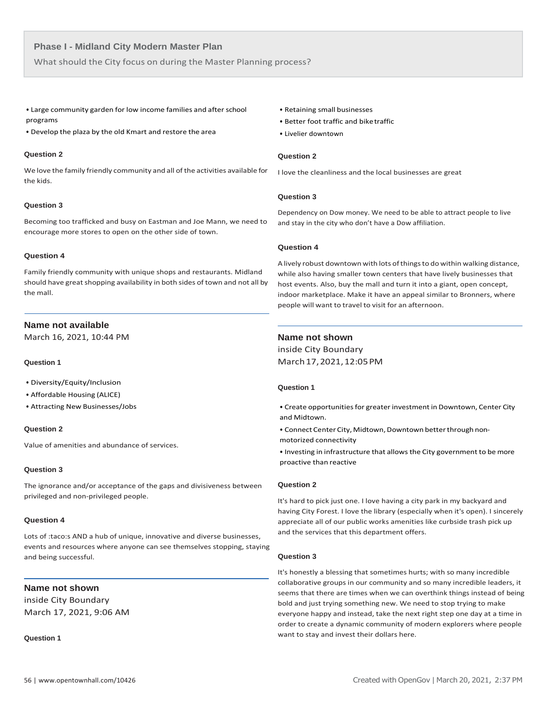What should the City focus on during the Master Planning process?

- Large community garden for low income families and after school programs
- Develop the plaza by the old Kmart and restore the area

#### **Question 2**

We love the family friendly community and all of the activities available for the kids.

# **Question 3**

Becoming too trafficked and busy on Eastman and Joe Mann, we need to encourage more stores to open on the other side of town.

# **Question 4**

Family friendly community with unique shops and restaurants. Midland should have great shopping availability in both sides of town and not all by the mall.

# **Name not available**

March 16, 2021, 10:44 PM

#### **Question 1**

- Diversity/Equity/Inclusion
- Affordable Housing (ALICE)
- Attracting New Businesses/Jobs

# **Question 2**

Value of amenities and abundance of services.

#### **Question 3**

The ignorance and/or acceptance of the gaps and divisiveness between privileged and non-privileged people.

# **Question 4**

Lots of :taco:s AND a hub of unique, innovative and diverse businesses, events and resources where anyone can see themselves stopping, staying and being successful.

# **Name not shown**

inside City Boundary March 17, 2021, 9:06 AM

**Question 1**

- Retaining small businesses
- Better foot traffic and biketraffic
- Livelier downtown

# **Question 2**

I love the cleanliness and the local businesses are great

# **Question 3**

Dependency on Dow money. We need to be able to attract people to live and stay in the city who don't have a Dow affiliation.

#### **Question 4**

A lively robust downtown with lots of things to do within walking distance, while also having smaller town centers that have lively businesses that host events. Also, buy the mall and turn it into a giant, open concept, indoor marketplace. Make it have an appeal similar to Bronners, where people will want to travel to visit for an afternoon.

# **Name not shown**

inside City Boundary March17,2021,12:05PM

# **Question 1**

• Create opportunities for greater investment in Downtown, Center City and Midtown.

• Connect Center City, Midtown, Downtown better through nonmotorized connectivity

• Investing in infrastructure that allowsthe City government to be more proactive than reactive

# **Question 2**

It's hard to pick just one. I love having a city park in my backyard and having City Forest. I love the library (especially when it's open). I sincerely appreciate all of our public works amenities like curbside trash pick up and the services that this department offers.

#### **Question 3**

It's honestly a blessing that sometimes hurts; with so many incredible collaborative groups in our community and so many incredible leaders, it seems that there are times when we can overthink things instead of being bold and just trying something new. We need to stop trying to make everyone happy and instead, take the next right step one day at a time in order to create a dynamic community of modern explorers where people want to stay and invest their dollars here.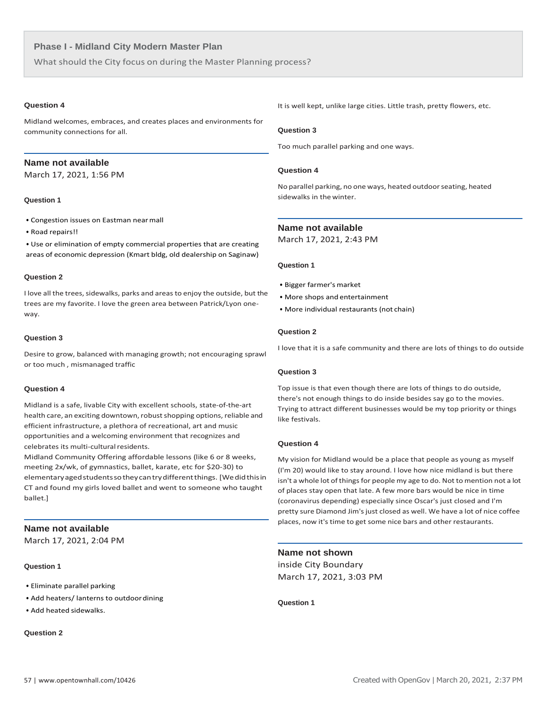What should the City focus on during the Master Planning process?

# **Question 4**

Midland welcomes, embraces, and creates places and environments for community connections for all.

# **Name not available**

March 17, 2021, 1:56 PM

# **Question 1**

- Congestion issues on Eastman nearmall
- Road repairs!!

• Use or elimination of empty commercial properties that are creating areas of economic depression (Kmart bldg, old dealership on Saginaw)

#### **Question 2**

I love all the trees, sidewalks, parks and areas to enjoy the outside, but the trees are my favorite. I love the green area between Patrick/Lyon oneway.

# **Question 3**

Desire to grow, balanced with managing growth; not encouraging sprawl or too much , mismanaged traffic

# **Question 4**

Midland is a safe, livable City with excellent schools, state-of-the-art health care, an exciting downtown, robust shopping options, reliable and efficient infrastructure, a plethora of recreational, art and music opportunities and a welcoming environment that recognizes and celebrates its multi-cultural residents.

Midland Community Offering affordable lessons (like 6 or 8 weeks, meeting 2x/wk, of gymnastics, ballet, karate, etc for \$20-30) to elementaryagedstudentssotheycantrydifferentthings. [Wedidthisin CT and found my girls loved ballet and went to someone who taught ballet.]

# **Name not available**

March 17, 2021, 2:04 PM

#### **Question 1**

- Eliminate parallel parking
- Add heaters/ lanterns to outdoordining
- Add heated sidewalks.

# **Question 2**

It is well kept, unlike large cities. Little trash, pretty flowers, etc.

#### **Question 3**

Too much parallel parking and one ways.

# **Question 4**

No parallel parking, no one ways, heated outdoorseating, heated sidewalks in the winter.

# **Name not available**

March 17, 2021, 2:43 PM

# **Question 1**

- Bigger farmer's market
- More shops and entertainment
- More individual restaurants (not chain)

# **Question 2**

I love that it is a safe community and there are lots of things to do outside

#### **Question 3**

Top issue is that even though there are lots of things to do outside, there's not enough things to do inside besides say go to the movies. Trying to attract different businesses would be my top priority or things like festivals.

# **Question 4**

My vision for Midland would be a place that people as young as myself (I'm 20) would like to stay around. I love how nice midland is but there isn't a whole lot of things for people my age to do. Not to mention not a lot of places stay open that late. A few more bars would be nice in time (coronavirus depending) especially since Oscar's just closed and I'm pretty sure Diamond Jim's just closed as well. We have a lot of nice coffee places, now it's time to get some nice bars and other restaurants.

**Name not shown**

inside City Boundary March 17, 2021, 3:03 PM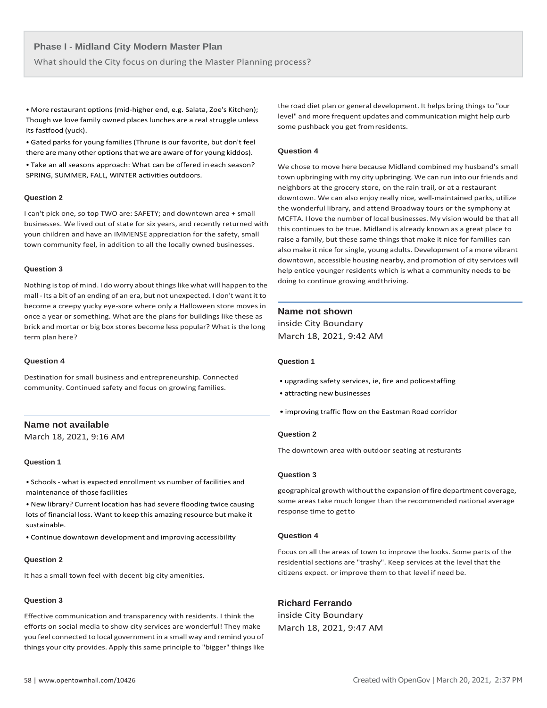What should the City focus on during the Master Planning process?

• More restaurant options (mid-higher end, e.g. Salata, Zoe's Kitchen); Though we love family owned places lunches are a real struggle unless its fastfood (yuck).

• Gated parks for young families (Thrune is our favorite, but don't feel there are many other options that we are aware of for young kiddos).

• Take an all seasons approach: What can be offered ineach season? SPRING, SUMMER, FALL, WINTER activities outdoors.

#### **Question 2**

I can't pick one, so top TWO are: SAFETY; and downtown area + small businesses. We lived out of state for six years, and recently returned with youn children and have an IMMENSE appreciation for the safety, small town community feel, in addition to all the locally owned businesses.

#### **Question 3**

Nothing is top of mind. I do worry about things like what will happen to the mall - Its a bit of an ending of an era, but not unexpected. I don't want it to become a creepy yucky eye-sore where only a Halloween store moves in once a year or something. What are the plans for buildings like these as brick and mortar or big box stores become less popular? What is the long term plan here?

#### **Question 4**

Destination for small business and entrepreneurship. Connected community. Continued safety and focus on growing families.

# **Name not available**

March 18, 2021, 9:16 AM

#### **Question 1**

• Schools - what is expected enrollment vs number of facilities and maintenance of those facilities

• New library? Current location has had severe flooding twice causing lots of financial loss. Want to keep this amazing resource but make it sustainable.

• Continue downtown development and improving accessibility

#### **Question 2**

It has a small town feel with decent big city amenities.

# **Question 3**

Effective communication and transparency with residents. I think the efforts on social media to show city services are wonderful! They make you feel connected to local government in a small way and remind you of things your city provides. Apply this same principle to "bigger" things like

the road diet plan or general development. It helps bring things to "our level" and more frequent updates and communication might help curb some pushback you get fromresidents.

#### **Question 4**

We chose to move here because Midland combined my husband's small town upbringing with my city upbringing. We can run into our friends and neighbors at the grocery store, on the rain trail, or at a restaurant downtown. We can also enjoy really nice, well-maintained parks, utilize the wonderful library, and attend Broadway tours or the symphony at MCFTA. I love the number of local businesses. My vision would be that all this continues to be true. Midland is already known as a great place to raise a family, but these same things that make it nice for families can also make it nice for single, young adults. Development of a more vibrant downtown, accessible housing nearby, and promotion of city services will help entice younger residents which is what a community needs to be doing to continue growing andthriving.

# **Name not shown**

inside City Boundary March 18, 2021, 9:42 AM

# **Question 1**

- upgrading safety services, ie, fire and policestaffing
- attracting new businesses
- improving traffic flow on the Eastman Road corridor

# **Question 2**

The downtown area with outdoor seating at resturants

# **Question 3**

geographical growth without the expansion of fire department coverage, some areas take much longer than the recommended national average response time to getto

#### **Question 4**

Focus on all the areas of town to improve the looks. Some parts of the residential sections are "trashy". Keep services at the level that the citizens expect. or improve them to that level if need be.

# **Richard Ferrando**

inside City Boundary March 18, 2021, 9:47 AM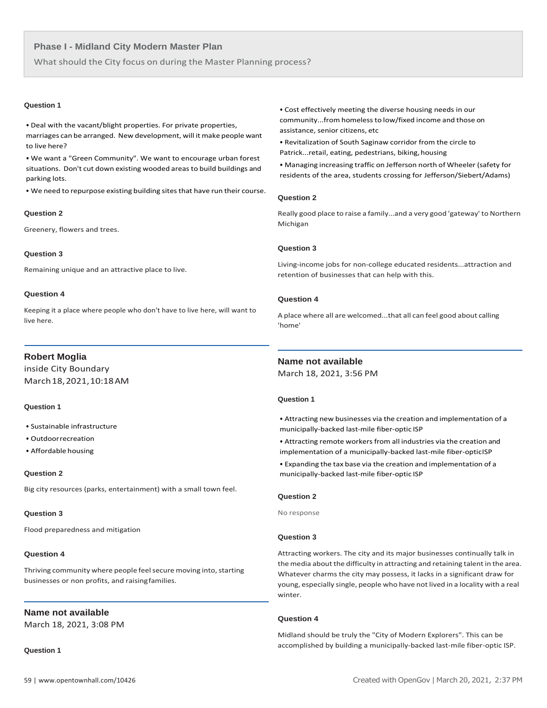What should the City focus on during the Master Planning process?

#### **Question 1**

• Deal with the vacant/blight properties. For private properties, marriages can be arranged. New development, will it make people want to live here?

• We want a "Green Community". We want to encourage urban forest situations. Don't cut down existing wooded areas to build buildings and parking lots.

• We need to repurpose existing building sites that have run their course.

#### **Question 2**

Greenery, flowers and trees.

# **Question 3**

Remaining unique and an attractive place to live.

#### **Question 4**

Keeping it a place where people who don't have to live here, will want to live here.

# **Robert Moglia**

inside City Boundary March18,2021,10:18AM

# **Question 1**

- Sustainable infrastructure
- Outdoorrecreation
- Affordable housing

#### **Question 2**

Big city resources (parks, entertainment) with a small town feel.

#### **Question 3**

Flood preparedness and mitigation

# **Question 4**

Thriving community where people feel secure moving into, starting businesses or non profits, and raisingfamilies.

# **Name not available**

March 18, 2021, 3:08 PM

**Question 1**

• Cost effectively meeting the diverse housing needs in our community...from homelessto low/fixed income and those on assistance, senior citizens, etc

• Revitalization of South Saginaw corridor from the circle to Patrick...retail, eating, pedestrians, biking, housing

• Managing increasing traffic on Jefferson north of Wheeler (safety for residents of the area, students crossing for Jefferson/Siebert/Adams)

#### **Question 2**

Really good place to raise a family...and a very good 'gateway' to Northern Michigan

#### **Question 3**

Living-income jobs for non-college educated residents...attraction and retention of businesses that can help with this.

# **Question 4**

A place where all are welcomed...that all can feel good about calling 'home'

# **Name not available**

March 18, 2021, 3:56 PM

# **Question 1**

• Attracting new businesses via the creation and implementation of a municipally-backed last-mile fiber-optic ISP

• Attracting remote workers from all industries via the creation and implementation of a municipally-backed last-mile fiber-opticISP

• Expanding the tax base via the creation and implementation of a municipally-backed last-mile fiber-optic ISP

# **Question 2**

No response

#### **Question 3**

Attracting workers. The city and its major businesses continually talk in themedia about the difficulty in attracting and retaining talent in the area. Whatever charms the city may possess, it lacks in a significant draw for young, especially single, people who have not lived in a locality with a real winter.

# **Question 4**

Midland should be truly the "City of Modern Explorers". This can be accomplished by building a municipally-backed last-mile fiber-optic ISP.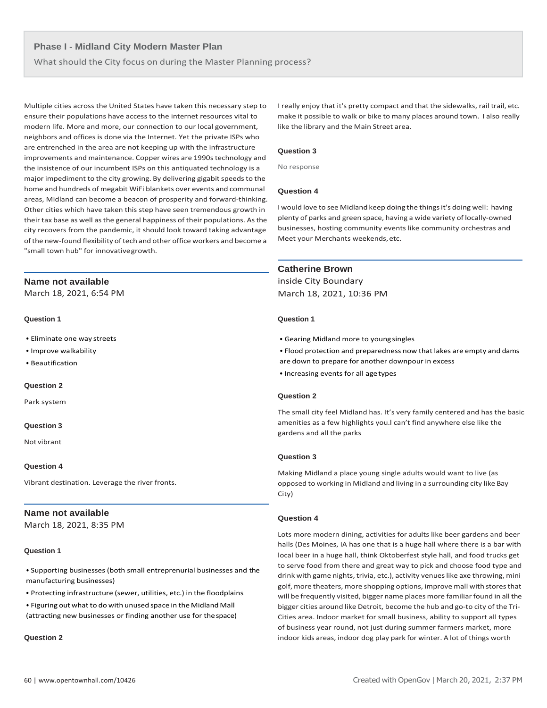What should the City focus on during the Master Planning process?

Multiple cities across the United States have taken this necessary step to ensure their populations have access to the internet resources vital to modern life. More and more, our connection to our local government, neighbors and offices is done via the Internet. Yet the private ISPs who are entrenched in the area are not keeping up with the infrastructure improvements and maintenance. Copper wires are 1990s technology and the insistence of our incumbent ISPs on this antiquated technology is a major impediment to the city growing. By delivering gigabit speeds to the home and hundreds of megabit WiFi blankets over events and communal areas, Midland can become a beacon of prosperity and forward-thinking. Other cities which have taken this step have seen tremendous growth in their tax base as well as the general happiness of their populations. As the city recovers from the pandemic, it should look toward taking advantage of the new-found flexibility of tech and other office workers and become a "small town hub" for innovativegrowth.

# **Name not available**

March 18, 2021, 6:54 PM

# **Question 1**

- Eliminate one way streets
- Improve walkability
- Beautification

# **Question 2**

Park system

# **Question 3**

Not vibrant

# **Question 4**

Vibrant destination. Leverage the river fronts.

# **Name not available**

March 18, 2021, 8:35 PM

# **Question 1**

• Supporting businesses (both small entreprenurial businesses and the manufacturing businesses)

• Protecting infrastructure (sewer, utilities, etc.) in the floodplains

• Figuring out what to do with unused space in the Midland Mall (attracting new businesses or finding another use for thespace)

**Question 2**

I really enjoy that it's pretty compact and that the sidewalks, rail trail, etc. make it possible to walk or bike to many places around town. I also really like the library and the Main Street area.

# **Question 3**

No response

# **Question 4**

I would love to see Midland keep doing the thingsit's doing well: having plenty of parks and green space, having a wide variety of locally-owned businesses, hosting community events like community orchestras and Meet your Merchants weekends,etc.

# **Catherine Brown**

inside City Boundary March 18, 2021, 10:36 PM

# **Question 1**

• Gearing Midland more to youngsingles

• Flood protection and preparedness now that lakes are empty and dams are down to prepare for another downpour in excess

• Increasing events for all agetypes

# **Question 2**

The small city feel Midland has. It's very family centered and has the basic amenities as a few highlights you.l can't find anywhere else like the gardens and all the parks

# **Question 3**

Making Midland a place young single adults would want to live (as opposed to working in Midland and living in a surrounding city like Bay City)

# **Question 4**

Lots more modern dining, activities for adults like beer gardens and beer halls (Des Moines, IA has one that is a huge hall where there is a bar with local beer in a huge hall, think Oktoberfest style hall, and food trucks get to serve food from there and great way to pick and choose food type and drink with game nights, trivia, etc.), activity venues like axe throwing, mini golf, more theaters, more shopping options, improve mall with stores that will be frequently visited, bigger name places more familiar found in all the bigger cities around like Detroit, become the hub and go-to city of the Tri-Cities area. Indoor market for small business, ability to support all types of business year round, not just during summer farmers market, more indoor kids areas, indoor dog play park for winter. A lot of things worth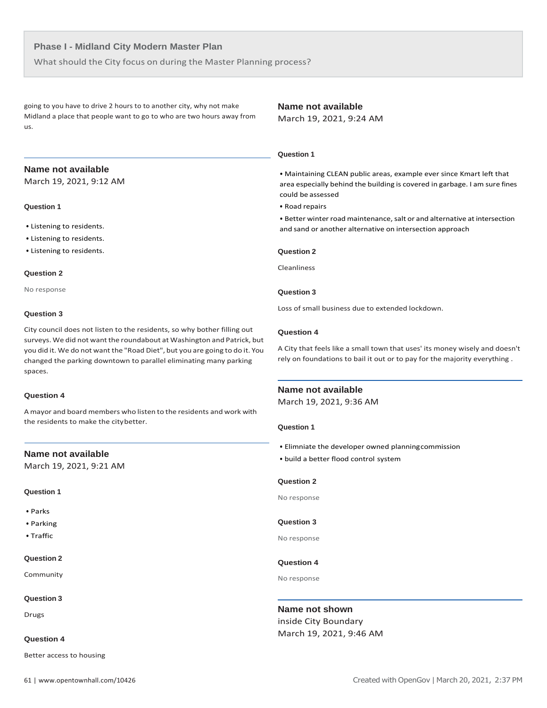What should the City focus on during the Master Planning process?

going to you have to drive 2 hours to to another city, why not make Midland a place that people want to go to who are two hours away from us.

# **Name not available**

March 19, 2021, 9:24 AM

# **Name not available**

March 19, 2021, 9:12 AM

# **Question 1**

- Listening to residents.
- Listening to residents.
- Listening to residents.

#### **Question 2**

No response

# **Question 3**

City council does not listen to the residents, so why bother filling out surveys. We did not want the roundabout at Washington and Patrick, but you did it. We do not want the "Road Diet", but you are going to do it. You changed the parking downtown to parallel eliminating many parking spaces.

#### **Question 4**

A mayor and board members who listen to the residents and work with the residents to make the citybetter.

# **Name not available**

March 19, 2021, 9:21 AM

# **Question 1**

- Parks
- Parking
- Traffic

#### **Question 2**

Community

#### **Question 3**

Drugs

#### **Question 4**

Better access to housing

# • Maintaining CLEAN public areas, example ever since Kmart left that area especially behind the building is covered in garbage. I am sure fines could be assessed

• Road repairs

 **Question 1**

• Better winter road maintenance, salt or and alternative at intersection and sand or another alternative on intersection approach

# **Question 2**

Cleanliness

# **Question 3**

Loss of small business due to extended lockdown.

## **Question 4**

A City that feels like a small town that uses' its money wisely and doesn't rely on foundations to bail it out or to pay for the majority everything .

# **Name not available**

March 19, 2021, 9:36 AM

## **Question 1**

- Elimniate the developer owned planningcommission
- build a better flood control system

#### **Question 2**

No response

# **Question 3**

No response

# **Question 4**

No response

# **Name not shown**

inside City Boundary March 19, 2021, 9:46 AM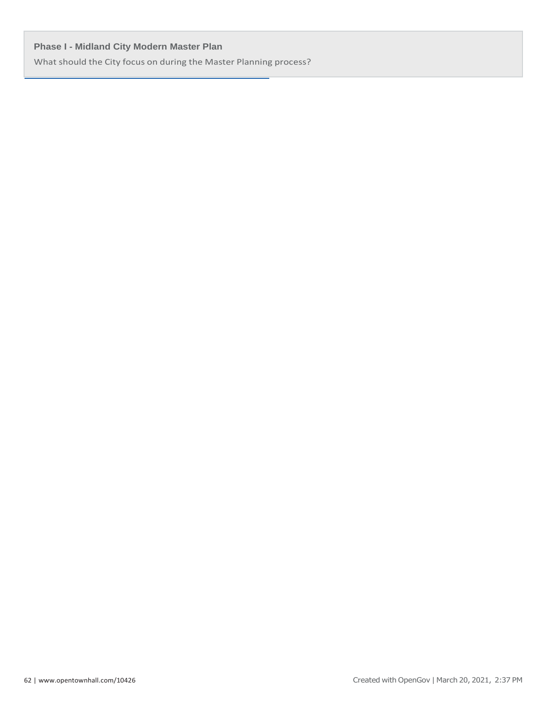What should the City focus on during the Master Planning process?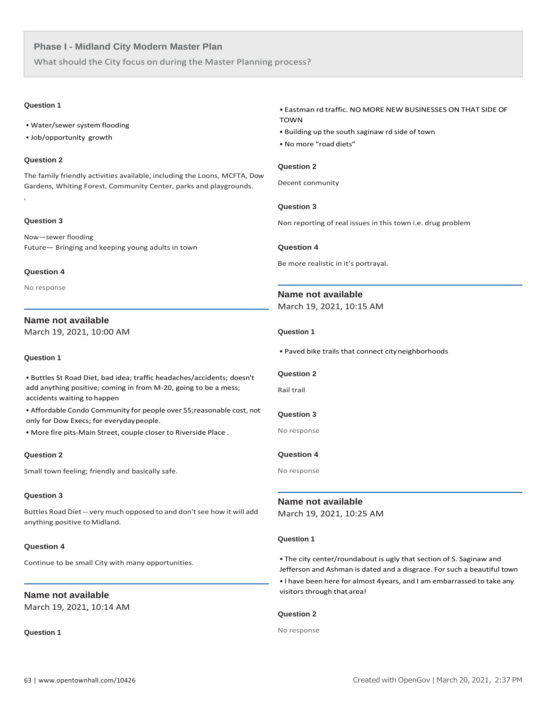What should the City focus on during the Master Planning process?

# **Question 1**

- Water/sewer system flooding
- Job/opportunity growth

# **Question 2**

The family friendly activities available, including the Loons, MCFTA, Dow Gardens, Whiting Forest, Community Center, parks and playgrounds.

# **Question 3**

,

Now—sewer flooding Future— Bringing and keeping young adults in town

# **Question 4**

No response

# **Name not available**

March 19, 2021, 10:00 AM

# **Question 1**

• Buttles St Road Diet, bad idea; traffic headaches/accidents; doesn't add anything positive; coming in from M-20, going to be a mess; accidents waiting to happen

• Affordable Condo Community for people over 55;reasonable cost, not only for Dow Execs; for everydaypeople.

• More fire pits-Main Street, couple closer to Riverside Place .

#### **Question 2**

Small town feeling; friendly and basically safe.

# **Question 3**

Buttles Road Diet -- very much opposed to and don't see how it will add anything positive to Midland.

#### **Question 4**

Continue to be small City with many opportunities.

# **Name not available**

March 19, 2021, 10:14 AM

**Question 1**

# • Eastman rd traffic. NO MORE NEW BUSINESSES ON THAT SIDEOF TOWN

- Building up the south saginaw rd side of town
- No more "road diets"

# **Question 2**

Decent conmunity

# **Question 3**

Non reporting of real issues in this town i.e. drug problem

#### **Question 4**

Be more realistic in it's portrayal.

# **Name not available**

March 19, 2021, 10:15 AM

#### **Question 1**

• Paved bike trails that connect cityneighborhoods

# **Question 2**

Rail trail

# **Question 3**

No response

# **Question 4**

No response

**Name not available** March 19, 2021, 10:25 AM

#### **Question 1**

• The city center/roundabout is ugly that section of S. Saginaw and Jefferson and Ashman is dated and a disgrace. For such a beautiful town • I have been here for almost 4years, and I am embarrassed to take any visitors through that area!

# **Question 2**

No response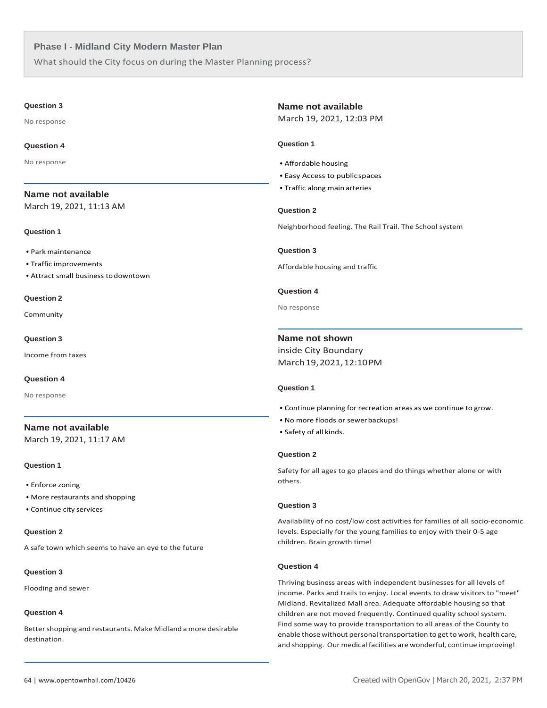What should the City focus on during the Master Planning process?

#### **Question 3**

No response

#### **Question 4**

No response

# **Name not available**

March 19, 2021, 11:13 AM

#### **Question 1**

- Park maintenance
- Traffic improvements
- Attract small business todowntown

#### **Question 2**

Community

#### **Question 3**

Income from taxes

#### **Question 4**

No response

# **Name not available** March 19, 2021, 11:17 AM

# **Question 1**

- Enforce zoning
- More restaurants and shopping
- Continue city services

# **Question 2**

A safe town which seems to have an eye to the future

# **Question 3**

Flooding and sewer

#### **Question 4**

Better shopping and restaurants. Make Midland a more desirable destination.

#### **Name not available**

March 19, 2021, 12:03 PM

# **Question 1**

- Affordable housing
- Easy Access to publicspaces
- Traffic along main arteries

# **Question 2**

Neighborhood feeling. The Rail Trail. The School system

# **Question 3**

Affordable housing and traffic

# **Question 4**

No response

# **Name not shown**

inside City Boundary March19,2021,12:10PM

# **Question 1**

- Continue planning for recreation areas as we continue to grow.
- No more floods or sewerbackups!
- Safety of all kinds.

#### **Question 2**

Safety for all ages to go places and do things whether alone or with others.

# **Question 3**

Availability of no cost/low cost activities for families of all socio-economic levels. Especially for the young families to enjoy with their 0-5 age children. Brain growth time!

#### **Question 4**

Thriving business areas with independent businesses for all levels of income. Parks and trails to enjoy. Local events to draw visitors to "meet" MIdland. Revitalized Mall area. Adequate affordable housing so that children are not moved frequently. Continued quality school system. Find some way to provide transportation to all areas of the County to enable those without personal transportation to get to work, health care, and shopping. Our medical facilities are wonderful, continue improving!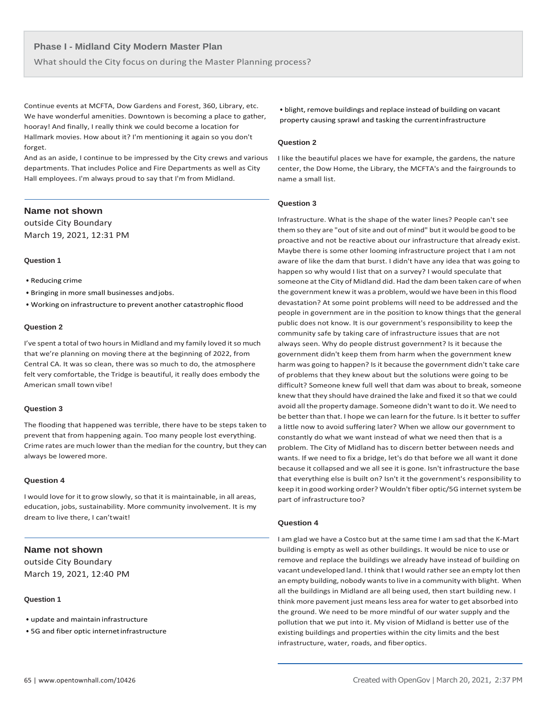What should the City focus on during the Master Planning process?

Continue events at MCFTA, Dow Gardens and Forest, 360, Library, etc. We have wonderful amenities. Downtown is becoming a place to gather, hooray! And finally, I really think we could become a location for Hallmark movies. How about it? I'm mentioning it again so you don't forget.

And as an aside, I continue to be impressed by the City crews and various departments. That includes Police and Fire Departments as well as City Hall employees. I'm always proud to say that I'm from Midland.

# **Name not shown**

outside City Boundary March 19, 2021, 12:31 PM

#### **Question 1**

- Reducing crime
- Bringing in more small businesses andjobs.
- Working on infrastructure to prevent another catastrophic flood

## **Question 2**

I've spent a total of two hours in Midland and my family loved it so much that we're planning on moving there at the beginning of 2022, from Central CA. It was so clean, there was so much to do, the atmosphere felt very comfortable, the Tridge is beautiful, it really does embody the American small town vibe!

# **Question 3**

The flooding that happened was terrible, there have to be steps taken to prevent that from happening again. Too many people lost everything. Crime rates are much lower than the median for the country, but they can always be lowered more.

#### **Question 4**

I would love for it to grow slowly, so that it is maintainable, in all areas, education, jobs, sustainability. More community involvement. It is my dream to live there, I can'twait!

# **Name not shown**

outside City Boundary March 19, 2021, 12:40 PM

# **Question 1**

- update and maintain infrastructure
- 5G and fiber optic internetinfrastructure

• blight, remove buildings and replace instead of building on vacant property causing sprawl and tasking the currentinfrastructure

# **Question 2**

I like the beautiful places we have for example, the gardens, the nature center, the Dow Home, the Library, the MCFTA's and the fairgrounds to name a small list.

# **Question 3**

Infrastructure. What is the shape of the water lines? People can't see them so they are "out of site and out of mind" but it would be good to be proactive and not be reactive about our infrastructure that already exist. Maybe there is some other looming infrastructure project that I am not aware of like the dam that burst. I didn't have any idea that was going to happen so why would I list that on a survey? I would speculate that someone at the City of Midland did. Had the dam been taken care of when the government knew it was a problem, would we have been in this flood devastation? At some point problems will need to be addressed and the people in government are in the position to know things that the general public does not know. It is our government's responsibility to keep the community safe by taking care of infrastructure issues that are not always seen. Why do people distrust government? Is it because the government didn't keep them from harm when the government knew harm was going to happen? Is it because the government didn't take care of problems that they knew about but the solutions were going to be difficult? Someone knew full well that dam was about to break, someone knew that they should have drained the lake and fixed it so that we could avoid all the property damage. Someone didn't wantto do it. We need to be better than that. I hope we can learn for the future. Is it better to suffer a little now to avoid suffering later? When we allow our government to constantly do what we want instead of what we need then that is a problem. The City of Midland has to discern better between needs and wants. If we need to fix a bridge, let's do that before we all want it done because it collapsed and we all see it is gone. Isn't infrastructure the base that everything else is built on? Isn't it the government's responsibility to keep it in good working order? Wouldn't fiber optic/5G internet system be part of infrastructure too?

# **Question 4**

I am glad we have a Costco but at the same time I am sad that the K-Mart building is empty as well as other buildings. It would be nice to use or remove and replace the buildings we already have instead of building on vacant undeveloped land. I think that I would rather see an empty lot then an empty building, nobody wants to live in a community with blight. When all the buildings in Midland are all being used, then start building new. I think more pavement just meansless area for water to get absorbed into the ground. We need to be more mindful of our water supply and the pollution that we put into it. My vision of Midland is better use of the existing buildings and properties within the city limits and the best infrastructure, water, roads, and fiberoptics.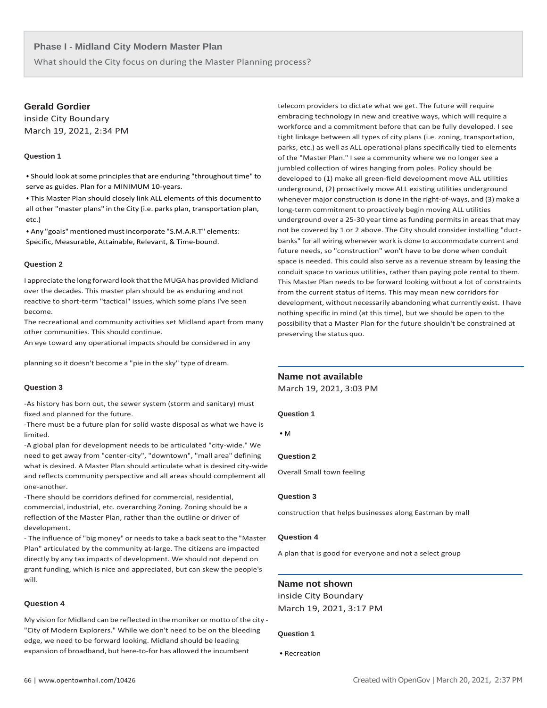What should the City focus on during the Master Planning process?

# **Gerald Gordier**

inside City Boundary March 19, 2021, 2:34 PM

# **Question 1**

• Should look at some principles that are enduring "throughout time" to serve as guides. Plan for a MINIMUM 10-years.

• This Master Plan should closely link ALL elements of this documentto all other "master plans" in the City (i.e. parks plan, transportation plan, etc.)

• Any "goals" mentioned must incorporate "S.M.A.R.T" elements: Specific, Measurable, Attainable, Relevant, & Time-bound.

# **Question 2**

I appreciate the long forward look that the MUGA has provided Midland over the decades. This master plan should be as enduring and not reactive to short-term "tactical" issues, which some plans I've seen become.

The recreational and community activities set Midland apart from many other communities. This should continue.

An eye toward any operational impacts should be considered in any

planning so it doesn't become a "pie in the sky" type of dream.

# **Question 3**

-As history has born out, the sewer system (storm and sanitary) must fixed and planned for the future.

-There must be a future plan for solid waste disposal as what we have is limited.

-A global plan for development needs to be articulated "city-wide." We need to get away from "center-city", "downtown", "mall area" defining what is desired. A Master Plan should articulate what is desired city-wide and reflects community perspective and all areas should complement all one-another.

-There should be corridors defined for commercial, residential, commercial, industrial, etc. overarching Zoning. Zoning should be a reflection of the Master Plan, rather than the outline or driver of development.

- The influence of "big money" or needsto take a back seat to the "Master Plan" articulated by the community at-large. The citizens are impacted directly by any tax impacts of development. We should not depend on grant funding, which is nice and appreciated, but can skew the people's will.

#### **Question 4**

My vision for Midland can be reflected in the moniker or motto of the city -"City of Modern Explorers." While we don't need to be on the bleeding edge, we need to be forward looking. Midland should be leading expansion of broadband, but here-to-for has allowed the incumbent

telecom providers to dictate what we get. The future will require embracing technology in new and creative ways, which will require a workforce and a commitment before that can be fully developed. I see tight linkage between all types of city plans (i.e. zoning, transportation, parks, etc.) as well as ALL operational plans specifically tied to elements of the "Master Plan." I see a community where we no longer see a jumbled collection of wires hanging from poles. Policy should be developed to (1) make all green-field development move ALL utilities underground, (2) proactively move ALL existing utilities underground whenever major construction is done in the right-of-ways, and (3) make a long-term commitment to proactively begin moving ALL utilities underground over a 25-30 year time as funding permits in areas that may not be covered by 1 or 2 above. The City should consider installing "ductbanks" for all wiring whenever work is done to accommodate current and future needs, so "construction" won't have to be done when conduit space is needed. This could also serve as a revenue stream by leasing the conduit space to various utilities, rather than paying pole rental to them. This Master Plan needs to be forward looking without a lot of constraints from the current status of items. This may mean new corridors for development, without necessarily abandoning what currently exist. I have nothing specific in mind (at this time), but we should be open to the possibility that a Master Plan for the future shouldn't be constrained at preserving the status quo.

# **Name not available**

March 19, 2021, 3:03 PM

#### **Question 1**

• M

# **Question 2**

Overall Small town feeling

# **Question 3**

construction that helps businesses along Eastman by mall

## **Question 4**

A plan that is good for everyone and not a select group

# **Name not shown**

inside City Boundary March 19, 2021, 3:17 PM

#### **Question 1**

• Recreation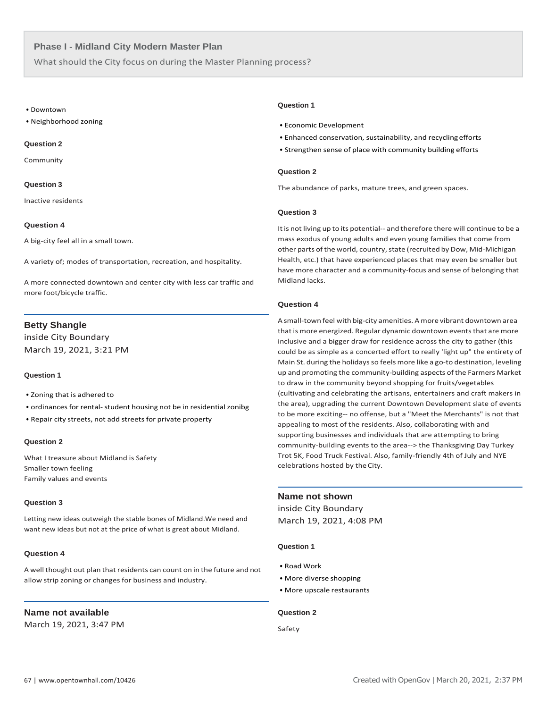What should the City focus on during the Master Planning process?

#### • Downtown

• Neighborhood zoning

#### **Question 2**

Community

#### **Question 3**

Inactive residents

#### **Question 4**

A big-city feel all in a small town.

A variety of; modes of transportation, recreation, and hospitality.

A more connected downtown and center city with less car traffic and more foot/bicycle traffic.

# **Betty Shangle**

inside City Boundary March 19, 2021, 3:21 PM

#### **Question 1**

- Zoning that is adhered to
- ordinances for rental- student housing not be in residential zonibg
- Repair city streets, not add streets for private property

# **Question 2**

What I treasure about Midland is Safety Smaller town feeling Family values and events

# **Question 3**

Letting new ideas outweigh the stable bones of Midland.We need and want new ideas but not at the price of what is great about Midland.

#### **Question 4**

A well thought out plan that residents can count on in the future and not allow strip zoning or changes for business and industry.

# **Name not available**

March 19, 2021, 3:47 PM

#### **Question 1**

- Economic Development
- Enhanced conservation, sustainability, and recycling efforts
- Strengthen sense of place with community building efforts

# **Question 2**

The abundance of parks, mature trees, and green spaces.

# **Question 3**

It is not living up to its potential-- and therefore there will continue to be a mass exodus of young adults and even young families that come from other parts of the world, country, state (recruited by Dow, Mid-Michigan Health, etc.) that have experienced places that may even be smaller but have more character and a community-focus and sense of belonging that Midland lacks.

# **Question 4**

A small-town feel with big-city amenities. A more vibrant downtown area that is more energized. Regular dynamic downtown events that are more inclusive and a bigger draw for residence across the city to gather (this could be as simple as a concerted effort to really 'light up" the entirety of Main St. during the holidays so feels more like a go-to destination, leveling up and promoting the community-building aspects of the Farmers Market to draw in the community beyond shopping for fruits/vegetables (cultivating and celebrating the artisans, entertainers and craft makers in the area), upgrading the current Downtown Development slate of events to be more exciting-- no offense, but a "Meet the Merchants" is not that appealing to most of the residents. Also, collaborating with and supporting businesses and individuals that are attempting to bring community-building events to the area--> the Thanksgiving Day Turkey Trot 5K, Food Truck Festival. Also, family-friendly 4th of July and NYE celebrations hosted by the City.

# **Name not shown**

inside City Boundary March 19, 2021, 4:08 PM

# **Question 1**

- Road Work
- More diverse shopping
- More upscale restaurants

#### **Question 2**

Safety